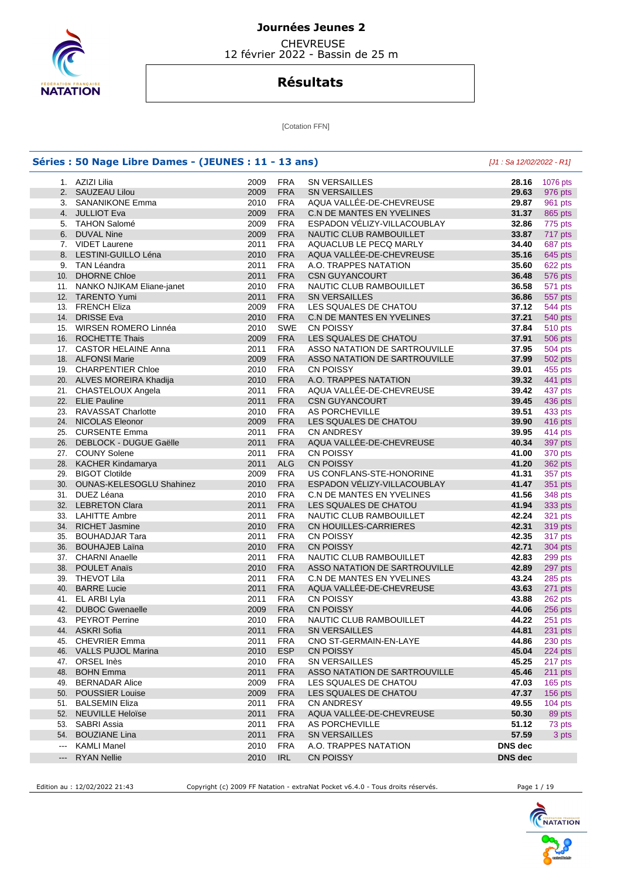

 CHEVREUSE 12 février 2022 - Bassin de 25 m

## **Résultats**

[Cotation FFN]

|                        | Séries : 50 Nage Libre Dames - (JEUNES : 11 - 13 ans) |      |            |                               | $[J1: Sa 12/02/2022 - R1]$ |                |
|------------------------|-------------------------------------------------------|------|------------|-------------------------------|----------------------------|----------------|
|                        | 1. AZIZI Lilia                                        | 2009 | <b>FRA</b> | <b>SN VERSAILLES</b>          | 28.16                      | 1076 pts       |
|                        | 2. SAUZEAU Lilou                                      | 2009 | <b>FRA</b> | <b>SN VERSAILLES</b>          | 29.63                      | 976 pts        |
|                        | 3. SANANIKONE Emma                                    | 2010 | <b>FRA</b> | AQUA VALLÉE-DE-CHEVREUSE      | 29.87                      | 961 pts        |
|                        | 4. JULLIOT Eva                                        | 2009 | <b>FRA</b> | C.N DE MANTES EN YVELINES     | 31.37                      | 865 pts        |
|                        | 5. TAHON Salomé                                       | 2009 | <b>FRA</b> | ESPADON VELIZY-VILLACOUBLAY   | 32.86                      | 775 pts        |
|                        | 6. DUVAL Nine                                         | 2009 | <b>FRA</b> | NAUTIC CLUB RAMBOUILLET       | 33.87                      | 717 pts        |
|                        | 7. VIDET Laurene                                      | 2011 | <b>FRA</b> | AQUACLUB LE PECQ MARLY        | 34.40                      | 687 pts        |
|                        | 8. LESTINI-GUILLO Léna                                | 2010 | <b>FRA</b> | AQUA VALLEE-DE-CHEVREUSE      | 35.16                      | 645 pts        |
|                        | 9. TAN Léandra                                        | 2011 | <b>FRA</b> | A.O. TRAPPES NATATION         | 35.60                      | 622 pts        |
|                        | 10. DHORNE Chloe                                      | 2011 | <b>FRA</b> | <b>CSN GUYANCOURT</b>         | 36.48                      | 576 pts        |
|                        | 11. NANKO NJIKAM Eliane-janet                         | 2010 | <b>FRA</b> | NAUTIC CLUB RAMBOUILLET       | 36.58                      | 571 pts        |
|                        | 12. TARENTO Yumi                                      | 2011 | <b>FRA</b> | <b>SN VERSAILLES</b>          | 36.86                      | 557 pts        |
|                        | 13. FRENCH Eliza                                      | 2009 | <b>FRA</b> | LES SQUALES DE CHATOU         | 37.12                      | 544 pts        |
|                        | 14. DRISSE Eva                                        | 2010 | <b>FRA</b> | C.N DE MANTES EN YVELINES     | 37.21                      | 540 pts        |
|                        | 15. WIRSEN ROMERO Linnéa                              | 2010 | <b>SWE</b> | <b>CN POISSY</b>              | 37.84                      | 510 pts        |
|                        | 16. ROCHETTE Thais                                    | 2009 | <b>FRA</b> | LES SQUALES DE CHATOU         | 37.91                      | 506 pts        |
|                        | 17. CASTOR HELAINE Anna                               | 2011 | <b>FRA</b> | ASSO NATATION DE SARTROUVILLE | 37.95                      | 504 pts        |
|                        | 18. ALFONSI Marie                                     | 2009 | <b>FRA</b> | ASSO NATATION DE SARTROUVILLE | 37.99                      | <b>502 pts</b> |
|                        | 19. CHARPENTIER Chloe                                 | 2010 | <b>FRA</b> | <b>CN POISSY</b>              | 39.01                      | 455 pts        |
|                        | 20. ALVES MOREIRA Khadija                             | 2010 | <b>FRA</b> | A.O. TRAPPES NATATION         | 39.32                      | 441 pts        |
|                        | 21. CHASTELOUX Angela                                 | 2011 | <b>FRA</b> | AQUA VALLÉE-DE-CHEVREUSE      | 39.42                      | 437 pts        |
|                        | 22. ELIE Pauline                                      | 2011 | <b>FRA</b> | <b>CSN GUYANCOURT</b>         | 39.45                      | 436 pts        |
|                        | 23. RAVASSAT Charlotte                                | 2010 | <b>FRA</b> | <b>AS PORCHEVILLE</b>         | 39.51                      | 433 pts        |
|                        | 24. NICOLAS Eleonor                                   | 2009 | <b>FRA</b> | LES SQUALES DE CHATOU         | 39.90                      | 416 pts        |
|                        | 25. CURSENTE Emma                                     | 2011 | <b>FRA</b> | <b>CN ANDRESY</b>             | 39.95                      | 414 pts        |
|                        | 26. DEBLOCK - DUGUE Gaëlle                            | 2011 | <b>FRA</b> | AQUA VALLÉE-DE-CHEVREUSE      | 40.34                      | 397 pts        |
|                        | 27. COUNY Solene                                      | 2011 | <b>FRA</b> | <b>CN POISSY</b>              | 41.00                      | 370 pts        |
|                        | 28. KACHER Kindamarya                                 | 2011 | <b>ALG</b> | <b>CN POISSY</b>              | 41.20                      | 362 pts        |
|                        | 29. BIGOT Clotilde                                    | 2009 | <b>FRA</b> | US CONFLANS-STE-HONORINE      | 41.31                      | 357 pts        |
|                        | 30. OUNAS-KELESOGLU Shahinez                          | 2010 | <b>FRA</b> | ESPADON VÉLIZY-VILLACOUBLAY   | 41.47                      | 351 pts        |
|                        | 31. DUEZ Léana                                        | 2010 | <b>FRA</b> | C.N DE MANTES EN YVELINES     | 41.56                      | 348 pts        |
|                        | 32. LEBRETON Clara                                    | 2011 | <b>FRA</b> | LES SQUALES DE CHATOU         | 41.94                      | 333 pts        |
|                        | 33. LAHITTE Ambre                                     | 2011 | <b>FRA</b> | NAUTIC CLUB RAMBOUILLET       | 42.24                      | 321 pts        |
|                        | 34. RICHET Jasmine                                    | 2010 | <b>FRA</b> | CN HOUILLES-CARRIERES         | 42.31                      | 319 pts        |
|                        | 35. BOUHADJAR Tara                                    | 2011 | <b>FRA</b> | <b>CN POISSY</b>              | 42.35                      | 317 pts        |
|                        | 36. BOUHAJEB Laïna                                    | 2010 | <b>FRA</b> | <b>CN POISSY</b>              | 42.71                      | 304 pts        |
|                        | 37. CHARNI Anaelle                                    | 2011 | <b>FRA</b> | NAUTIC CLUB RAMBOUILLET       | 42.83                      | 299 pts        |
|                        | 38. POULET Anaïs                                      | 2010 | <b>FRA</b> | ASSO NATATION DE SARTROUVILLE | 42.89                      | 297 pts        |
|                        | 39. THEVOT Lila                                       | 2011 | <b>FRA</b> | C.N DE MANTES EN YVELINES     | 43.24                      | 285 pts        |
|                        | 40. BARRE Lucie                                       | 2011 | <b>FRA</b> | AQUA VALLÉE-DE-CHEVREUSE      | 43.63                      | 271 pts        |
|                        | 41. EL ARBI Lyla                                      | 2011 | <b>FRA</b> | <b>CN POISSY</b>              | 43.88                      | 262 pts        |
|                        | 42. DUBOC Gwenaelle                                   | 2009 | <b>FRA</b> | <b>CN POISSY</b>              | 44.06                      | 256 pts        |
| 43.                    | <b>PEYROT Perrine</b>                                 | 2010 | <b>FRA</b> | NAUTIC CLUB RAMBOUILLET       | 44.22                      | $251$ pts      |
|                        | 44. ASKRI Sofia                                       | 2011 | <b>FRA</b> | SN VERSAILLES                 | 44.81                      | 231 pts        |
|                        | 45. CHEVRIER Emma                                     | 2011 | <b>FRA</b> | CNO ST-GERMAIN-EN-LAYE        | 44.86                      | 230 pts        |
|                        | 46. VALLS PUJOL Marina                                | 2010 | <b>ESP</b> | <b>CN POISSY</b>              | 45.04                      | 224 pts        |
|                        | 47. ORSEL Inès                                        | 2010 | <b>FRA</b> | <b>SN VERSAILLES</b>          | 45.25                      | 217 pts        |
|                        | 48. BOHN Emma                                         | 2011 | <b>FRA</b> | ASSO NATATION DE SARTROUVILLE | 45.46                      | 211 pts        |
|                        | 49. BERNADAR Alice                                    | 2009 | <b>FRA</b> | LES SQUALES DE CHATOU         | 47.03                      | 165 pts        |
|                        | 50. POUSSIER Louise                                   | 2009 | <b>FRA</b> | LES SQUALES DE CHATOU         | 47.37                      | 156 pts        |
|                        | 51. BALSEMIN Eliza                                    | 2011 | <b>FRA</b> | CN ANDRESY                    | 49.55                      | $104$ pts      |
|                        | 52. NEUVILLE Heloïse                                  | 2011 | <b>FRA</b> | AQUA VALLEE-DE-CHEVREUSE      | 50.30                      | 89 pts         |
|                        | 53. SABRI Assia                                       | 2011 | <b>FRA</b> | AS PORCHEVILLE                | 51.12                      | 73 pts         |
|                        | 54. BOUZIANE Lina                                     | 2011 | <b>FRA</b> | SN VERSAILLES                 | 57.59                      | 3 pts          |
| $\scriptstyle\cdots$   | <b>KAMLI Manel</b>                                    | 2010 | <b>FRA</b> | A.O. TRAPPES NATATION         | DNS dec                    |                |
| $\qquad \qquad \cdots$ | <b>RYAN Nellie</b>                                    | 2010 | IRL        | <b>CN POISSY</b>              | DNS dec                    |                |

Edition au : 12/02/2022 21:43 Copyright (c) 2009 FF Natation - extraNat Pocket v6.4.0 - Tous droits réservés. Page 1 / 19

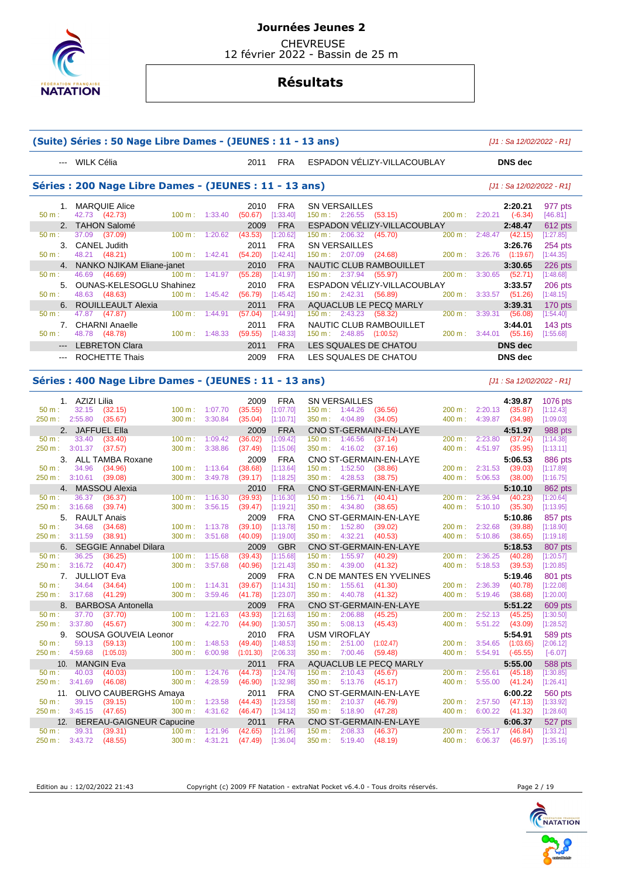

 CHEVREUSE 12 février 2022 - Bassin de 25 m

# **Résultats**

|                         | (Suite) Séries : 50 Nage Libre Dames - (JEUNES : 11 - 13 ans) |                             |         |                     |                           |                                                            |                  |                       |                    | [J1 : Sa 12/02/2022 - R1]  |
|-------------------------|---------------------------------------------------------------|-----------------------------|---------|---------------------|---------------------------|------------------------------------------------------------|------------------|-----------------------|--------------------|----------------------------|
|                         | --- WILK Célia                                                |                             |         | 2011                | <b>FRA</b>                | ESPADON VĚLIZY-VILLACOUBLAY                                |                  |                       | <b>DNS</b> dec     |                            |
|                         | Séries : 200 Nage Libre Dames - (JEUNES : 11 - 13 ans)        |                             |         |                     |                           |                                                            |                  |                       |                    | $[J1: Sa 12/02/2022 - R1]$ |
|                         | 1. MARQUIE Alice                                              |                             |         | 2010                | FRA                       | <b>SN VERSAILLES</b>                                       |                  |                       | 2:20.21            | 977 pts                    |
| $50 m$ :                | 42.73 (42.73)                                                 | 100 m:                      | 1:33.40 | (50.67)             | [1:33.40]                 | 150 m: 2:26.55<br>(53.15)                                  | 200 m:           | 2:20.21               | $(-6.34)$          | [46.81]                    |
|                         | 2. TAHON Salomé                                               |                             |         | 2009                | <b>FRA</b>                | ESPADON VÉLIZY-VILLACOUBLAY                                |                  |                       | 2:48.47            | 612 pts                    |
| 50 m:                   | 37.09<br>(37.09)                                              | 100 m:                      | 1:20.62 | (43.53)             | [1:20.62]                 | $150 \text{ m}: 2:06.32$<br>(45.70)                        | 200 m:           | 2:48.47               | (42.15)            | [1:27.85]                  |
| 3.                      | <b>CANEL Judith</b>                                           |                             |         | 2011                | <b>FRA</b>                | <b>SN VERSAILLES</b>                                       |                  |                       | 3:26.76            | 254 pts                    |
| 50 m:                   | 48.21<br>(48.21)                                              | 100 m:                      | 1:42.41 | (54.20)             | [1:42.41]                 | 150 m: 2:07.09 (24.68)                                     | 200 m:           | 3:26.76               | (1:19.67)          | [1:44.35]                  |
| 4.                      | NANKO NJIKAM Eliane-janet                                     |                             |         | 2010                | <b>FRA</b>                | NAUTIC CLUB RAMBOUILLET                                    |                  |                       | 3:30.65            | 226 pts                    |
| 50 m:                   | 46.69<br>(46.69)                                              | 100 m:                      | 1:41.97 | (55.28)             | [1:41.97]                 | 150 m: 2:37.94<br>(55.97)                                  | 200 m:           | 3:30.65               | (52.71)            | [1:48.68]                  |
| 5.<br>$50 m$ :          | <b>OUNAS-KELESOGLU Shahinez</b><br>48.63<br>(48.63)           | 100 m:                      | 1:45.42 | 2010                | <b>FRA</b><br>[1:45.42]   | ESPADON VÉLIZY-VILLACOUBLAY<br>150 m: 2:42.31<br>(56.89)   | 200 m:           | 3:33.57               | 3:33.57            | 206 pts<br>[1:48.15]       |
| 6.                      |                                                               |                             |         | (56.79)             |                           |                                                            |                  |                       | (51.26)            |                            |
| 50 m:                   | ROUILLEAULT Alexia<br>47.87<br>(47.87)                        | 100 m:                      | 1:44.91 | 2011<br>(57.04)     | <b>FRA</b><br>[1:44.91]   | AQUACLUB LE PECQ MARLY<br>150 m:<br>2:43.23<br>(58.32)     | 200 m:           | 3:39.31               | 3:39.31<br>(56.08) | 170 pts<br>[1:54.40]       |
| 7.                      | <b>CHARNI Anaelle</b>                                         |                             |         | 2011                | <b>FRA</b>                | NAUTIC CLUB RAMBOUILLET                                    |                  |                       | 3:44.01            |                            |
| 50 m:                   | 48.78 (48.78)                                                 | 100 m:                      | 1:48.33 | (59.55)             | [1:48.33]                 | $150 \text{ m}: 2:48.85$ $(1:00.52)$                       | 200 m:           | $3:44.01$ (55.16)     |                    | $143$ pts<br>[1:55.68]     |
|                         |                                                               |                             |         |                     |                           |                                                            |                  |                       |                    |                            |
| ---                     | <b>LEBRETON Clara</b>                                         |                             |         | 2011                | <b>FRA</b>                | LES SQUALES DE CHATOU                                      |                  |                       | <b>DNS dec</b>     |                            |
| ---                     | ROCHETTE Thais                                                |                             |         | 2009                | <b>FRA</b>                | LES SQUALES DE CHATOU                                      |                  |                       | <b>DNS</b> dec     |                            |
|                         | Séries : 400 Nage Libre Dames - (JEUNES : 11 - 13 ans)        |                             |         |                     |                           |                                                            |                  |                       |                    | $[J1: Sa 12/02/2022 - R1]$ |
|                         | 1. AZIZI Lilia                                                |                             |         | 2009                | <b>FRA</b>                | <b>SN VERSAILLES</b>                                       |                  |                       | 4:39.87            | 1076 pts                   |
| 50 m:                   | 32.15<br>(32.15)                                              | 100 m:                      | 1:07.70 | (35.55)             | [1:07.70]                 | 150 m: 1:44.26<br>(36.56)                                  | 200 m:           | 2:20.13               | (35.87)            | [1:12.43]                  |
| 250 m: 2:55.80          | (35.67)                                                       | 300 m:                      | 3:30.84 | (35.04)             | [1:10.71]                 | 350 m: 4:04.89<br>(34.05)                                  | 400 m:           | 4:39.87               | (34.98)            | [1:09.03]                  |
| 2.                      | <b>JAFFUEL Ella</b>                                           |                             |         | 2009                | <b>FRA</b>                | CNO ST-GERMAIN-EN-LAYE                                     |                  |                       | 4:51.97            | 988 pts                    |
| 50 m:                   | 33.40<br>(33.40)                                              | 100 m:                      | 1:09.42 | (36.02)             | [1:09.42]                 | 150 m:<br>1:46.56<br>(37.14)                               | 200 m:           | 2:23.80               | (37.24)            | [1:14.38]                  |
| 250 m : 3:01.37         | (37.57)                                                       | 300 m:                      | 3:38.86 | (37.49)             | [1:15.06]                 | 350 m: 4:16.02<br>(37.16)                                  | 400 m:           | 4:51.97               | (35.95)            | [1:13.11]                  |
|                         | 3. ALL TAMBA Roxane                                           |                             |         | 2009                | <b>FRA</b>                | CNO ST-GERMAIN-EN-LAYE                                     |                  |                       | 5:06.53            | 886 pts                    |
| 50 m:                   | 34.96<br>(34.96)                                              | 100 m:                      | 1:13.64 | (38.68)             | [1:13.64]                 | 150 m: 1:52.50<br>(38.86)                                  | 200 m:           | 2:31.53               | (39.03)            | [1:17.89]                  |
| 250 m:                  | 3:10.61<br>(39.08)                                            | 300 m:                      | 3:49.78 | (39.17)             | [1:18.25]                 | 350 m:<br>4:28.53<br>(38.75)                               | 400 m:           | 5:06.53               | (38.00)            | [1:16.75]                  |
|                         | 4. MASSOU Alexia                                              |                             |         | 2010                | <b>FRA</b>                | CNO ST-GERMAIN-EN-LAYE                                     |                  |                       | 5:10.10            | 862 pts                    |
| 50 m:                   | 36.37<br>(36.37)                                              | 100 m:                      | 1:16.30 | (39.93)             | [1:16.30]                 | 150 m:<br>1:56.71<br>(40.41)                               | 200 m:           | 2:36.94               | (40.23)            | [1:20.64]                  |
| 250 m: 3:16.68          | (39.74)                                                       | 300 m:                      | 3:56.15 | (39.47)             | [1:19.21]                 | 350 m:<br>4:34.80<br>(38.65)                               | 400 m:           | 5:10.10               | (35.30)            | [1:13.95]                  |
|                         | 5. RAULT Anais                                                |                             |         | 2009                | <b>FRA</b>                | CNO ST-GERMAIN-EN-LAYE                                     |                  |                       | 5:10.86            | 857 pts                    |
| $50 m$ :                | 34.68<br>(34.68)                                              | 100 m:                      | 1:13.78 | (39.10)             | [1:13.78]                 | 1:52.80<br>150 m:<br>(39.02)                               | 200 m:           | 2:32.68               | (39.88)            | [1:18.90]                  |
| 250 m: 3:11.59          | (38.91)                                                       | 300 m:                      | 3:51.68 | (40.09)             | [1:19.00]                 | 350 m: 4:32.21<br>(40.53)                                  | 400 m:           | 5:10.86               | (38.65)            | [1:19.18]                  |
|                         | 6. SEGGIE Annabel Dilara                                      |                             |         | 2009                | <b>GBR</b>                | CNO ST-GERMAIN-EN-LAYE                                     |                  |                       | 5:18.53            | 807 pts                    |
| 50 m:                   | 36.25<br>(36.25)<br>3:16.72                                   | 100 m:                      | 1:15.68 | (39.43)             | [1:15.68]                 | 1:55.97<br>$150 m$ :<br>(40.29)<br>350 m:                  | 200 m:           | 2:36.25               | (40.28)            | [1:20.57]                  |
| 250 m:                  | (40.47)                                                       | 300 m:                      | 3:57.68 | (40.96)             | [1:21.43]                 | 4:39.00<br>(41.32)                                         | 400 m:           | 5:18.53               | (39.53)            | [1:20.85]                  |
|                         | 7. JULLIOT Eva                                                |                             |         | 2009                | <b>FRA</b>                | C.N DE MANTES EN YVELINES<br>$150 m$ :                     |                  | 2:36.39               | 5:19.46            | 801 pts<br>[1:22.08]       |
| 50 m:<br>250 m: 3:17.68 | 34.64<br>(34.64)                                              | 100 m:<br>300 m: 3:59.46    | 1:14.31 | (39.67)<br>(41.78)  | [1:14.31]<br>[1:23.07]    | 1:55.61<br>(41.30)<br>350 m:<br>4:40.78<br>(41.32)         | 200 m:<br>400 m: | 5:19.46               | (40.78)<br>(38.68) | [1:20.00]                  |
|                         | (41.29)                                                       |                             |         |                     |                           |                                                            |                  |                       |                    |                            |
| 50 m:                   | 8. BARBOSA Antonella<br>37.70<br>(37.70)                      | 100 m: 1:21.63              |         | 2009<br>(43.93)     | <b>FRA</b><br>$[1:21.63]$ | CNO ST-GERMAIN-EN-LAYE<br>$150 \text{ m}: 2:06.88$ (45.25) | 200 m:           | $2:52.13$ (45.25)     | 5:51.22            | 609 pts<br>[1:30.50]       |
|                         | 250 m: 3:37.80 (45.67)                                        | 300 m:                      | 4:22.70 | (44.90)             | $[1:30.57]$               | $350 \text{ m}: 5:08.13 \quad (45.43)$                     | 400 m:           | $5:51.22$ (43.09)     |                    | [1:28.52]                  |
|                         | 9. SOUSA GOUVEIA Leonor                                       |                             |         | 2010                | <b>FRA</b>                | <b>USM VIROFLAY</b>                                        |                  |                       | 5:54.91            | 589 pts                    |
| $50 m$ :                | 59.13<br>(59.13)                                              | $100 \text{ m}: 1:48.53$    |         | $(49.40)$ [1:48.53] |                           | 150 m: 2:51.00 (1:02.47)                                   | 200 m:           | $3:54.65$ $(1:03.65)$ |                    | [2:06.12]                  |
|                         | 250 m: 4:59.68 (1:05.03)                                      | $300 \text{ m}$ : $6:00.98$ |         | (1:01.30)           | [2:06.33]                 | 350 m: 7:00.46<br>(59.48)                                  | 400 m:           | $5:54.91$ $(-65.55)$  |                    | $[-6.07]$                  |
|                         | 10. MANGIN Eva                                                |                             |         | 2011                | <b>FRA</b>                | AQUACLUB LE PECQ MARLY                                     |                  |                       | 5:55.00            | 588 pts                    |
| $50 m$ :                | 40.03<br>(40.03)                                              | 100 m: 1:24.76              |         | (44.73)             | [1:24.76]                 | $150 \text{ m}: 2:10.43$<br>(45.67)                        | 200 m:           | $2:55.61$ (45.18)     |                    | [1:30.85]                  |
|                         | 250 m: 3:41.69 (46.08)                                        | 300 m: 4:28.59              |         | (46.90)             | [1:32.98]                 | 350 m: 5:13.76<br>(45.17)                                  | 400 m:           | 5:55.00 (41.24)       |                    | [1:26.41]                  |
|                         | 11. OLIVO CAUBERGHS Amaya                                     |                             |         | 2011                | <b>FRA</b>                | CNO ST-GERMAIN-EN-LAYE                                     |                  |                       | 6:00.22            | 560 pts                    |
| 50 m:                   | 39.15 (39.15)                                                 | 100 m: 1:23.58              |         | (44.43)             | [1:23.58]                 | 150 m: 2:10.37<br>(46.79)                                  | 200 m:           | $2:57.50$ (47.13)     |                    | [1:33.92]                  |
|                         | 250 m: 3:45.15 (47.65)                                        | 300 m:                      | 4:31.62 | (46.47)             | [1:34.12]                 | 350 m : 5:18.90 (47.28)                                    | 400 m:           | $6:00.22$ $(41.32)$   |                    | [1:28.60]                  |
|                         | 12. BEREAU-GAIGNEUR Capucine                                  |                             |         | 2011                | <b>FRA</b>                | CNO ST-GERMAIN-EN-LAYE                                     |                  |                       | 6:06.37            | 527 pts                    |
| 50 m:                   | 39.31<br>(39.31)                                              | 100 m:                      | 1:21.96 | (42.65)             | [1:21.96]                 | 150 m: 2:08.33<br>(46.37)                                  | 200 m:           | 2:55.17 (46.84)       |                    | [1:33.21]                  |
| 250 m :                 | 3:43.72 (48.55)                                               | 300 m: 4:31.21              |         | (47.49)             | [1:36.04]                 | 350 m : 5:19.40<br>(48.19)                                 | 400 m:           | 6:06.37 (46.97)       |                    | [1:35.16]                  |

Edition au : 12/02/2022 21:43 Copyright (c) 2009 FF Natation - extraNat Pocket v6.4.0 - Tous droits réservés. Page 2 / 19

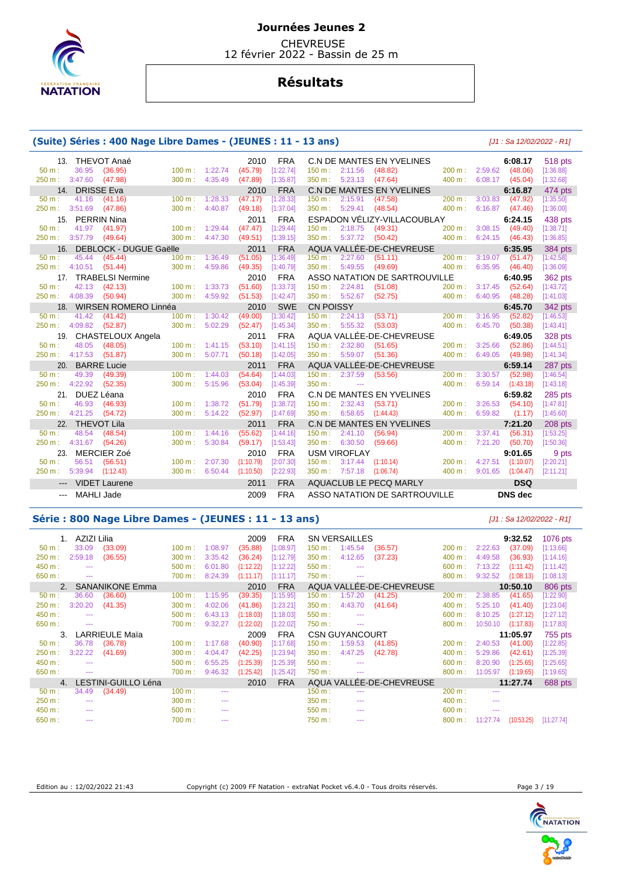

**CHEVREUSE** 12 février 2022 - Bassin de 25 m

# **Résultats**

### **(Suite) Séries : 400 Nage Libre Dames - (JEUNES : 11 - 13 ans)** [J1 : Sa 12/02/2022 - R1]

| 13.            |                    | THEVOT Anaé              |                           |         | 2010      | <b>FRA</b> |                   |                          | C.N DE MANTES EN YVELINES        |                               |         | 6:08.17           | 518 pts        |
|----------------|--------------------|--------------------------|---------------------------|---------|-----------|------------|-------------------|--------------------------|----------------------------------|-------------------------------|---------|-------------------|----------------|
| $50 m$ :       | 36.95              | (36.95)                  | $100 \text{ m}$ : 1:22.74 |         | (45.79)   | [1:22.74]  |                   | $150 \text{ m}: 2:11.56$ | (48.82)                          | $200 \text{ m}$ :             | 2:59.62 | (48.06)           | [1:36.88]      |
| 250 m: 3:47.60 |                    | (47.98)                  | 300 m:                    | 4:35.49 | (47.89)   | [1:35.87]  | 350 m:            | 5:23.13                  | (47.64)                          | 400 m:                        | 6:08.17 | (45.04)           | [1:32.68]      |
|                | 14. DRISSE Eva     |                          |                           |         | 2010      | <b>FRA</b> |                   |                          | <b>C.N DE MANTES EN YVELINES</b> |                               |         | 6:16.87           | 474 pts        |
| 50 m:          | 41.16              | (41.16)                  | 100 m:                    | 1:28.33 | (47.17)   | [1:28.33]  |                   | 150 m : 2:15.91          | (47.58)                          | $200 m$ :                     | 3:03.83 | (47.92)           | [1:35.50]      |
| 250 m: 3:51.69 |                    | (47.86)                  | 300 m:                    | 4:40.87 | (49.18)   | [1:37.04]  | 350 m:            | 5:29.41                  | (48.54)                          | 400 m:                        |         | $6:16.87$ (47.46) | [1:36.00]      |
| 15.            | <b>PERRIN Nina</b> |                          |                           |         | 2011      | <b>FRA</b> |                   |                          | ESPADON VÉLIZY-VILLACOUBLAY      |                               |         | 6:24.15           | 438 pts        |
| $50 m$ :       | 41.97              | (41.97)                  | 100 m: 1:29.44            |         | (47.47)   | [1:29.44]  |                   | 150 m: 2:18.75           | (49.31)                          | 200 m:                        | 3:08.15 | (49.40)           | [1:38.71]      |
| 250 m: 3:57.79 |                    | (49.64)                  | 300 m: 4:47.30            |         | (49.51)   | [1:39.15]  |                   | 350 m: 5:37.72           | (50.42)                          | 400 m:                        | 6:24.15 | (46.43)           | [1:36.85]      |
| 16.            |                    | DEBLOCK - DUGUE Gaëlle   |                           |         | 2011      | <b>FRA</b> |                   |                          | AQUA VALLÉE-DE-CHEVREUSE         |                               |         | 6:35.95           | 384 pts        |
| $50 m$ :       | 45.44              | (45.44)                  | $100 m$ :                 | 1:36.49 | (51.05)   | [1:36.49]  | $150 \text{ m}$ : | 2:27.60                  | (51.11)                          | 200 m:                        | 3:19.07 | (51.47)           | [1:42.58]      |
| 250 m: 4:10.51 |                    | (51.44)                  | 300 m:                    | 4:59.86 | (49.35)   | [1:40.79]  | 350 m:            | 5:49.55                  | (49.69)                          | 400 m:                        | 6:35.95 | (46.40)           | [1:36.09]      |
| 17.            |                    | <b>TRABELSI Nermine</b>  |                           |         | 2010      | <b>FRA</b> |                   |                          |                                  | ASSO NATATION DE SARTROUVILLE |         | 6:40.95           | 362 pts        |
| 50 m:          | 42.13              | (42.13)                  | $100 m$ :                 | 1:33.73 | (51.60)   | [1:33.73]  |                   | $150 \text{ m}: 2:24.81$ | (51.08)                          | 200 m:                        | 3:17.45 | (52.64)           | [1:43.72]      |
| 250 m :        | 4:08.39            | (50.94)                  | 300 m:                    | 4:59.92 | (51.53)   | [1:42.47]  | 350 m:            | 5:52.67                  | (52.75)                          | 400 m:                        | 6:40.95 | (48.28)           | [1:41.03]      |
|                |                    | 18. WIRSEN ROMERO Linnéa |                           |         | 2010      | <b>SWE</b> | <b>CN POISSY</b>  |                          |                                  |                               |         | 6:45.70           | <b>342 pts</b> |
| $50 m$ :       | 41.42              | (41.42)                  | $100 m$ :                 | 1:30.42 | (49.00)   | [1:30.42]  |                   | 150 m : 2:24.13          | (53.71)                          | 200 m:                        | 3:16.95 | (52.82)           | [1:46.53]      |
| 250 m: 4:09.82 |                    | (52.87)                  | 300 m:                    | 5:02.29 | (52.47)   | [1:45.34]  | 350 m:            | 5:55.32                  | (53.03)                          | 400 m:                        | 6:45.70 | (50.38)           | [1:43.41]      |
|                |                    | 19. CHASTELOUX Angela    |                           |         | 2011      | <b>FRA</b> |                   |                          | AQUA VALLÉE-DE-CHEVREUSE         |                               |         | 6:49.05           | 328 pts        |
| 50 m:          | 48.05              | (48.05)                  | 100 m:                    | 1:41.15 | (53.10)   | [1:41.15]  | 150 m:            | 2:32.80                  | (51.65)                          | 200 m:                        | 3:25.66 | (52.86)           | [1:44.51]      |
| 250 m: 4:17.53 |                    | (51.87)                  | 300 m:                    | 5:07.71 | (50.18)   | [1:42.05]  | 350 m:            | 5:59.07                  | (51.36)                          | 400 m:                        | 6:49.05 | (49.98)           | [1:41.34]      |
| 20.            |                    | <b>BARRE Lucie</b>       |                           |         | 2011      | <b>FRA</b> |                   |                          | AQUA VALLÉE-DE-CHEVREUSE         |                               |         | 6:59.14           | 287 pts        |
| $50 m$ :       | 49.39              | (49.39)                  | 100 m:                    | 1:44.03 | (54.64)   | [1:44.03]  |                   | 150 m: 2:37.59           | (53.56)                          | 200 m:                        | 3:30.57 | (52.98)           | [1:46.54]      |
| 250 m :        | 4:22.92            | (52.35)                  | 300 m:                    | 5:15.96 | (53.04)   | [1:45.39]  | 350 m:            | $\sim$ $\sim$            |                                  | 400 m:                        | 6:59.14 | (1:43.18)         | [1:43.18]      |
| 21.            | DUEZ Léana         |                          |                           |         | 2010      | <b>FRA</b> |                   |                          | <b>C.N DE MANTES EN YVELINES</b> |                               |         | 6:59.82           | 285 pts        |
| $50 m$ :       | 46.93              | (46.93)                  | 100 m:                    | 1:38.72 | (51.79)   | [1:38.72]  |                   | 150 m: 2:32.43           | (53.71)                          | 200 m:                        | 3:26.53 | (54.10)           | [1:47.81]      |
| 250 m: 4:21.25 |                    | (54.72)                  | 300 m:                    | 5:14.22 | (52.97)   | [1:47.69]  |                   | 350 m: 6:58.65           | (1:44.43)                        | 400 m:                        | 6:59.82 | (1.17)            | [1:45.60]      |
|                | 22. THEVOT Lila    |                          |                           |         | 2011      | <b>FRA</b> |                   |                          | <b>C.N DE MANTES EN YVELINES</b> |                               |         | 7:21.20           | 208 pts        |
| $50 m$ :       | 48.54              | (48.54)                  | 100 m:                    | 1:44.16 | (55.62)   | [1:44.16]  | $150 \text{ m}$ : | 2:41.10                  | (56.94)                          | 200 m:                        | 3:37.41 | (56.31)           | [1:53.25]      |
| 250 m:         | 4:31.67            | (54.26)                  | 300 m:                    | 5:30.84 | (59.17)   | [1:53.43]  | 350 m:            | 6:30.50                  | (59.66)                          | 400 m:                        | 7:21.20 | (50.70)           | [1:50.36]      |
| 23.            |                    | MERCIER Zoé              |                           |         | 2010      | <b>FRA</b> |                   | <b>USM VIROFLAY</b>      |                                  |                               |         | 9:01.65           | 9 pts          |
| $50 m$ :       | 56.51              | (56.51)                  | $100 m$ :                 | 2:07.30 | (1:10.79) | [2:07.30]  |                   | $150 \text{ m}: 3:17.44$ | (1:10.14)                        | 200 m:                        | 4:27.51 | (1:10.07)         | [2:20.21]      |
| 250 m:         | 5:39.94            | (1:12.43)                | $300 \text{ m}$ :         | 6:50.44 | (1:10.50) | [2:22.93]  |                   | 350 m: 7:57.18           | (1:06.74)                        | 400 m:                        | 9:01.65 | (1:04.47)         | [2:11.21]      |
|                |                    |                          |                           |         |           |            |                   |                          |                                  |                               |         |                   |                |
|                | --- VIDET Laurene  |                          |                           |         | 2011      | <b>FRA</b> |                   |                          | AQUACLUB LE PECQ MARLY           |                               |         | <b>DSQ</b>        |                |

#### **Série : 800 Nage Libre Dames - (JEUNES : 11 - 13 ans)** [J1 : Sa 12/02/2022 - R1]

| 50 m:    | AZIZI Lilia<br>33.09 | (33.09)               | 100 m: | 1:08.97 | 2009<br>(35.88) | <b>FRA</b><br>[1:08.97] | $150 \text{ m}$ : | <b>SN VERSAILLES</b><br>1:45.54 | (36.57)                  | 200 m: | 2:22.63  | 9:32.52<br>(37.09) | 1076 pts<br>[1:13.66] |
|----------|----------------------|-----------------------|--------|---------|-----------------|-------------------------|-------------------|---------------------------------|--------------------------|--------|----------|--------------------|-----------------------|
| 250 m:   | 2:59.18              | (36.55)               | 300 m: | 3:35.42 | (36.24)         | [1:12.79]               | 350 m:            | 4:12.65                         | (37.23)                  | 400 m: | 4:49.58  | (36.93)            | [1:14.16]             |
| 450 m:   |                      |                       | 500 m: | 6:01.80 | (1:12.22)       | [1:12.22]               | 550 m:            | $- - -$                         |                          | 600 m: | 7:13.22  | (1:11.42)          | [1:11.42]             |
| 650 m:   | $\cdots$             |                       | 700 m: | 8:24.39 | (1:11.17)       | [1:11.17]               | 750 m:            | $\cdots$                        |                          | 800 m: | 9:32.52  | (1:08.13)          | [1:08.13]             |
|          |                      | SANANIKONE Emma       |        |         | 2010            | <b>FRA</b>              |                   |                                 | AQUA VALLEE-DE-CHEVREUSE |        |          | 10:50.10           | 806 pts               |
| $50 m$ : | 36.60                | (36.60)               | 100 m: | 1:15.95 | (39.35)         | [1:15.95]               | 150 m:            | 1:57.20                         | (41.25)                  | 200 m: | 2:38.85  | (41.65)            | [1:22.90]             |
| 250 m:   | 3:20.20              | (41.35)               | 300 m: | 4:02.06 | (41.86)         | [1:23.21]               | $350 m$ :         | 4:43.70                         | (41.64)                  | 400 m: | 5:25.10  | (41.40)            | [1:23.04]             |
| 450 m:   | ---                  |                       | 500 m: | 6:43.13 | (1:18.03)       | [1:18.03]               | 550 m:            | $- - -$                         |                          | 600 m: | 8:10.25  | (1:27.12)          | [1:27.12]             |
| 650 m:   | $\frac{1}{2}$        |                       | 700 m: | 9:32.27 | (1:22.02)       | [1:22.02]               | 750 m :           | $\cdots$                        |                          | 800 m: | 10:50.10 | (1:17.83)          | [1:17.83]             |
| 3.       |                      | <b>LARRIEULE Maïa</b> |        |         | 2009            | <b>FRA</b>              |                   | <b>CSN GUYANCOURT</b>           |                          |        |          | 11:05.97           | 755 pts               |
| $50 m$ : | 36.78                | (36.78)               | 100 m: | 1:17.68 | (40.90)         | [1:17.68]               | 150 m:            | 1:59.53                         | (41.85)                  | 200 m: | 2:40.53  | (41.00)            | [1:22.85]             |
| 250 m:   | 3:22.22              | (41.69)               | 300 m: | 4:04.47 | (42.25)         | [1:23.94]               | 350 m:            | 4:47.25                         | (42.78)                  | 400 m: | 5:29.86  | (42.61)            | [1:25.39]             |
| 450 m:   | ---                  |                       | 500 m: | 6:55.25 | (1:25.39)       | [1:25.39]               | $550 m$ :         | $\cdots$                        |                          | 600 m: | 8:20.90  | (1:25.65)          | [1:25.65]             |
| 650 m:   | $- - -$              |                       | 700 m: | 9:46.32 | (1:25.42)       | [1:25.42]               | 750 m:            | $\cdots$                        |                          | 800 m: | 11:05.97 | (1:19.65)          | [1:19.65]             |
| 4.       |                      | LESTINI-GUILLO Léna   |        |         | 2010            | <b>FRA</b>              |                   |                                 | AQUA VALLÉE-DE-CHEVREUSE |        |          | 11:27.74           | 688 pts               |
| $50 m$ : | 34.49                | (34.49)               | 100 m: | $- - -$ |                 |                         | 150 m:            | ---                             |                          | 200 m: | $- - -$  |                    |                       |
| 250 m:   | ---                  |                       | 300 m: | $- - -$ |                 |                         | 350 m:            | $- - -$                         |                          | 400 m: | ---      |                    |                       |
| 450 m:   |                      |                       | 500 m: | ---     |                 |                         | 550 m:            | ---                             |                          | 600 m: | ---      |                    |                       |
| 650 m:   |                      |                       | 700 m: |         |                 |                         | 750 m:            | $- - -$                         |                          | 800 m: | 11:27.74 | (10:53.25)         | [11:27.74]            |

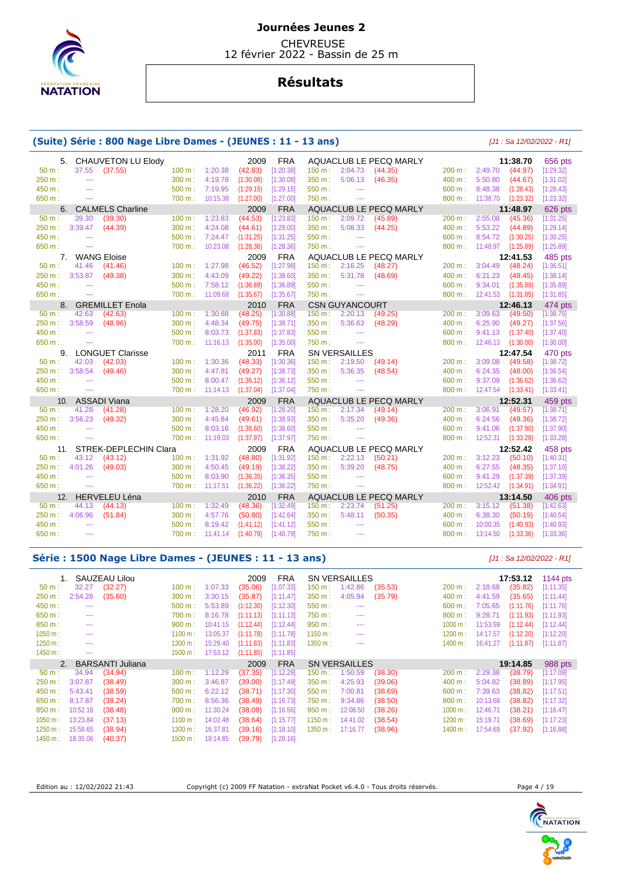

**CHEVREUSE** 12 février 2022 - Bassin de 25 m

# **Résultats**

### **(Suite) Série : 800 Nage Libre Dames - (JEUNES : 11 - 13 ans)** [J1 : Sa 12/02/2022 - R1]

| 5.       |                | CHAUVETON LU Elody      |                   |                 | 2009      | <b>FRA</b>             |                          |                             | AQUACLUB LE PECQ MARLY |           |                      | 11:38.70               | 656 pts                |
|----------|----------------|-------------------------|-------------------|-----------------|-----------|------------------------|--------------------------|-----------------------------|------------------------|-----------|----------------------|------------------------|------------------------|
| $50 m$ : | 37.55          | (37.55)                 |                   | 100 m: 1:20.38  | (42.83)   | [1:20.38]              | 150 m: 2:04.73           |                             | (44.35)                | 200 m:    | 2:49.70              | (44.97)                | [1:29.32]              |
| 250 m:   | $\frac{1}{2}$  |                         | 300 m:            | 4:19.78         | (1:30.08) | [1:30.08]              | 350 m:                   | 5:06.13                     | (46.35)                | 400 m:    | 5:50.80              | (44.67)                | [1:31.02]              |
| 450 m:   | $\sim$         |                         | 500 m:            | 7:19.95         | (1:29.15) | [1:29.15]              | 550 m:                   | $\sim$ $\sim$               |                        | 600 m:    | 8:48.38              | (1:28.43)              | [1:28.43]              |
| 650 m:   | $-$            |                         | 700 m:            | 10:15.38        | (1:27.00) | [1:27.00]              | 750 m:                   | $\sim$ $\sim$ $\sim$        |                        | 800 m:    | 11:38.70             | (1:23.32)              | [1:23.32]              |
| 6.       |                | <b>CALMELS Charline</b> |                   |                 | 2009      | <b>FRA</b>             |                          |                             | AQUACLUB LE PECQ MARLY |           |                      | 11:48.97               | 626 pts                |
| $50 m$ : | 39.30          | (39.30)                 | $100 m$ :         | 1:23.83         | (44.53)   | [1:23.83]              | $150 \text{ m}$ :        | 2:09.72                     | (45.89)                | $200 m$ : | 2:55.08              | (45.36)                | [1:31.25]              |
| 250 m:   | 3:39.47        | (44.39)                 | 300 m:            | 4:24.08         | (44.61)   | [1:29.00]              | 350 m:                   | 5:08.33                     | (44.25)                | 400 m:    | 5:53.22              | (44.89)                | [1:29.14]              |
| 450 m:   | $\sim$ $\sim$  |                         | 500 m:            | 7:24.47         | (1:31.25) | [1:31.25]              | 550 m:                   | $\cdots$                    |                        | 600 m:    | 8:54.72              | (1:30.25)              | [1:30.25]              |
| 650 m:   | $\sim$         |                         | 700 m:            | 10:23.08        | (1:28.36) | [1:28.36]              | 750 m:                   | $\frac{1}{2}$               |                        | 800 m:    | 11:48.97             | (1:25.89)              | [1:25.89]              |
|          | 7. WANG Eloise |                         |                   |                 | 2009      | <b>FRA</b>             |                          |                             | AQUACLUB LE PECQ MARLY |           |                      | 12:41.53               | 485 pts                |
| $50 m$ : | 41.46          | (41.46)                 | $100 m$ :         | 1:27.98         | (46.52)   | [1:27.98]              | 150 m:                   | 2:16.25                     | (48.27)                | 200 m:    | 3:04.49              | (48.24)                | [1:36.51]              |
| 250 m:   | 3:53.87        | (49.38)                 | 300 m:            | 4:43.09         | (49.22)   | [1:38.60]              | 350 m:                   | 5:31.78                     | (48.69)                | 400 m:    | 6:21.23              | (49.45)                | [1:38.14]              |
| 450 m:   | $\sim$         |                         | 500 m:            | 7:58.12         | (1:36.89) | [1:36.89]              | 550 m:                   | $\cdots$                    |                        | 600 m:    | 9:34.01              | (1:35.89)              | [1:35.89]              |
| 650 m:   | $\sim$ $\sim$  |                         |                   | 700 m: 11:09.68 | (1:35.67) | [1:35.67]              | 750 m:                   | $\sim$ $\sim$               |                        | 800 m:    | 12:41.53             | (1:31.85)              | [1:31.85]              |
|          |                | 8. GREMILLET Enola      |                   |                 | 2010      | <b>FRA</b>             |                          | <b>CSN GUYANCOURT</b>       |                        |           |                      | 12:46.13               | 474 pts                |
| $50 m$ : | 42.63          | (42.63)                 | 100 m:            | 1:30.88         | (48.25)   | [1:30.88]              | 150 m :                  | 2:20.13                     | (49.25)                | 200 m:    | 3:09.63              | (49.50)                | [1:38.75]              |
| 250 m:   | 3:58.59        | (48.96)                 | 300 m:            | 4:48.34         | (49.75)   | [1:38.71]              | 350 m:                   | 5:36.63                     | (48.29)                | 400 m:    | 6:25.90              | (49.27)                | [1:37.56]              |
| 450 m:   | $\sim$         |                         | 500 m:            | 8:03.73         | (1:37.83) | [1:37.83]              | 550 m:                   | $\sim$ $\sim$               |                        | 600 m:    | 9:41.13              | (1:37.40)              | [1:37.40]              |
| 650 m:   | $\sim$ $\sim$  |                         | 700 m:            | 11:16.13        | (1:35.00) | [1:35.00]              | 750 m:                   | $\sim$ $\sim$               |                        | 800 m:    | 12:46.13             | (1:30.00)              | [1:30.00]              |
| 9.       |                | <b>LONGUET Clarisse</b> |                   |                 | 2011      | <b>FRA</b>             |                          | <b>SN VERSAILLES</b>        |                        |           |                      | 12:47.54               | 470 pts                |
| 50 m:    | 42.03          | (42.03)                 | 100 m:            | 1:30.36         | (48.33)   | [1:30.36]              | 150 m:                   | 2:19.50                     | (49.14)                | 200 m:    | 3:09.08              | (49.58)                | [1:38.72]              |
|          |                |                         |                   |                 |           |                        |                          |                             |                        |           |                      |                        |                        |
| 250 m:   | 3:58.54        | (49.46)                 | 300 m:            | 4:47.81         | (49.27)   | [1:38.73]              | 350 m:                   | 5:36.35                     | (48.54)                | 400 m:    | 6:24.35              | (48.00)                | [1:36.54]              |
| 450 m:   | $\frac{1}{2}$  |                         | 500 m:            | 8:00.47         | (1:36.12) | [1:36.12]              | 550 m:                   | $\cdots$                    |                        | 600 m:    | 9:37.09              | (1:36.62)              | [1:36.62]              |
| 650 m:   | $\sim$         |                         | 700 m:            | 11:14.13        | (1:37.04) | [1:37.04]              | 750 m:                   | $\sim$                      |                        | 800 m:    | 12:47.54             | (1:33.41)              | [1:33.41]              |
| 10.      |                | <b>ASSADI Viana</b>     |                   |                 | 2009      | <b>FRA</b>             |                          |                             | AQUACLUB LE PECQ MARLY |           |                      | 12:52.31               | 459 pts                |
| 50 m:    | 41.28          | (41.28)                 | $100 \text{ m}$ : | 1:28.20         | (46.92)   | [1:28.20]              | $150 \text{ m}: 2:17.34$ |                             | (49.14)                | 200 m:    | 3:06.91              | (49.57)                | [1:38.71]              |
| 250 m:   | 3:56.23        | (49.32)                 | 300 m:            | 4:45.84         | (49.61)   | [1:38.93]              | 350 m:                   | 5:35.20                     | (49.36)                | 400 m:    | 6:24.56              | (49.36)                | [1:38.72]              |
| 450 m:   | $\sim$ $\sim$  |                         | $500 \text{ m}$ : | 8:03.16         | (1:38.60) | [1:38.60]              | 550 m:                   | $\sim$ $\sim$               |                        | 600 m:    | 9:41.06              | (1:37.90)              | [1:37.90]              |
| 650 m :  | $-$            |                         | 700 m:            | 11:19.03        | (1:37.97) | [1:37.97]              | 750 m:                   | $\cdots$                    |                        | 800 m:    | 12:52.31             | (1:33.28)              | [1:33.28]              |
| 11.      |                | STREK-DEPLECHIN Clara   |                   |                 | 2009      | <b>FRA</b>             |                          |                             | AQUACLUB LE PECQ MARLY |           |                      | 12:52.42               | 458 pts                |
| 50 m:    | 43.12          | (43.12)                 | 100 m:            | 1:31.92         | (48.80)   | [1:31.92]              | 150 m :                  | 2:22.13                     | (50.21)                | 200 m:    | 3:12.23              | (50.10)                | [1:40.31]              |
| 250 m :  | 4:01.26        | (49.03)                 | 300 m:            | 4:50.45         | (49.19)   | [1:38.22]              | 350 m:                   | 5:39.20                     | (48.75)                | 400 m:    | 6:27.55              | (48.35)                | [1:37.10]              |
| 450 m:   | $\sim$ $\sim$  |                         | 500 m:            | 8:03.90         | (1:36.35) | [1:36.35]              | 550 m:                   | $\mathbb{Z} \to \mathbb{Z}$ |                        | 600 m:    | 9:41.29              | (1:37.39)              | [1:37.39]              |
| 650 m:   | $\frac{1}{2}$  |                         | 700 m: 11:17.51   |                 | (1:36.22) | [1:36.22]              | 750 m:                   | $\mathbb{Z} \to \mathbb{Z}$ |                        | 800 m:    | 12:52.42             | (1:34.91)              | [1:34.91]              |
| 12.      |                | <b>HERVELEU Léna</b>    |                   |                 | 2010      | <b>FRA</b>             |                          |                             | AQUACLUB LE PECQ MARLY |           |                      | 13:14.50               | 406 pts                |
| 50 m:    | 44.13          | (44.13)                 | $100 m$ :         | 1:32.49         | (48.36)   | [1:32.49]              | 150 m :                  | 2:23.74                     | (51.25)                | 200 m:    | 3:15.12              | (51.38)                | [1:42.63]              |
| 250 m :  | 4:06.96        | (51.84)                 | 300 m:            | 4:57.76         | (50.80)   | [1:42.64]              | 350 m:                   | 5:48.11                     | (50.35)                | 400 m:    | 6:38.30              | (50.19)                | [1:40.54]              |
| 450 m:   | $\sim$         |                         | 500 m:            | 8:19.42         | (1:41.12) | [1:41.12]<br>[1:40.79] | 550 m:                   | $\cdots$                    |                        | 600 m:    | 10:00.35<br>13:14.50 | (1:40.93)<br>(1:33.36) | [1:40.93]<br>[1:33.36] |

#### **Série : 1500 Nage Libre Dames - (JEUNES : 11 - 13 ans)** [J1 : Sa 12/02/2022 - R1]

|          |          | SAUZEAU Lilou    |         |          | 2009      | <b>FRA</b> |           | <b>SN VERSAILLES</b> |         |           |          | 17:53.12  | 1144 pts  |
|----------|----------|------------------|---------|----------|-----------|------------|-----------|----------------------|---------|-----------|----------|-----------|-----------|
| 50 m:    | 32.27    | (32.27)          | 100 m:  | 1:07.33  | (35.06)   | [1:07.33]  | 150 m:    | 1:42.86              | (35.53) | 200 m:    | 2:18.68  | (35.82)   | [1:11.35] |
| 250 m:   | 2:54.28  | (35.60)          | 300 m:  | 3:30.15  | (35.87)   | [1:11.47]  | 350 m:    | 4:05.94              | (35.79) | 400 m:    | 4:41.59  | (35.65)   | [1:11.44] |
| 450 m:   | ---      |                  | 500 m:  | 5:53.89  | (1:12.30) | [1:12.30]  | 550 m:    | $\cdots$             |         | 600 m:    | 7:05.65  | (1:11.76) | [1:11.76] |
| 650 m:   | ---      |                  | 700 m:  | 8:16.78  | (1:11.13) | [1:11.13]  | 750 m:    | $- - -$              |         | 800 m:    | 9:28.71  | (1:11.93) | [1:11.93] |
| 850 m:   | ---      |                  | 900 m:  | 10:41.15 | (1:12.44) | [1:12.44]  | 950 m:    | $- - -$              |         | 1000 m:   | 11:53.59 | (1:12.44) | [1:12.44] |
| 1050 m:  | ---      |                  | 1100 m: | 13:05.37 | (1:11.78) | [1:11.78]  | 1150 m:   | ---                  |         | 1200 m:   | 14:17.57 | (1:12.20) | [1:12.20] |
| 1250 m:  | ---      |                  | 1300 m: | 15:29.40 | (1:11.83) | [1:11.83]  | 1350 m:   | ---                  |         | 1400 m:   | 16:41.27 | (1:11.87) | [1:11.87] |
| 1450 m:  | ---      |                  | 1500 m: | 17:53.12 | (1:11.85) | [1:11.85]  |           |                      |         |           |          |           |           |
|          |          |                  |         |          |           |            |           |                      |         |           |          |           |           |
| 2.       |          | BARSANTI Juliana |         |          | 2009      | <b>FRA</b> |           | <b>SN VERSAILLES</b> |         |           |          | 19:14.85  | 988 pts   |
| $50 m$ : | 34.94    | (34.94)          | 100 m:  | 1:12.29  | (37.35)   | [1:12.29]  | 150 m :   | 1:50.59              | (38.30) | 200 m:    | 2:29.38  | (38.79)   | [1:17.09] |
| 250 m:   | 3:07.87  | (38.49)          | 300 m:  | 3:46.87  | (39.00)   | [1:17.49]  | $350 m$ : | 4:25.93              | (39.06) | 400 m:    | 5:04.82  | (38.89)   | [1:17.95] |
| 450 m:   | 5:43.41  | (38.59)          | 500 m:  | 6:22.12  | (38.71)   | [1:17.30]  | 550 m:    | 7:00.81              | (38.69) | $600 m$ : | 7:39.63  | (38.82)   | [1:17.51] |
| 650 m:   | 8:17.87  | (38.24)          | 700 m:  | 8:56.36  | (38.49)   | [1:16.73]  | 750 m:    | 9:34.86              | (38.50) | 800 m:    | 10:13.68 | (38.82)   | [1:17.32] |
| 850 m:   | 10:52.16 | (38.48)          | 900 m:  | 11:30.24 | (38.08)   | [1:16.56]  | 950 m:    | 12:08.50             | (38.26) | 1000 m:   | 12:46.7' | (38.21)   | [1:16.47] |
| 1050 m:  | 13:23.84 | (37.13)          | 1100 m: | 14:02.48 | (38.64)   | [1:15.77]  | 1150 m:   | 14:41.02             | (38.54) | 1200 m:   | 15:19.71 | (38.69)   | [1:17.23] |
| 1250 m:  | 15:58.65 | (38.94)          | 1300 m: | 16:37.81 | (39.16)   | [1:18.10]  | 1350 m:   | 17:16.77             | (38.96) | 1400 m:   | 17:54.69 | (37.92)   | [1:16.88] |

Edition au : 12/02/2022 21:43 Copyright (c) 2009 FF Natation - extraNat Pocket v6.4.0 - Tous droits réservés. Page 4 / 19



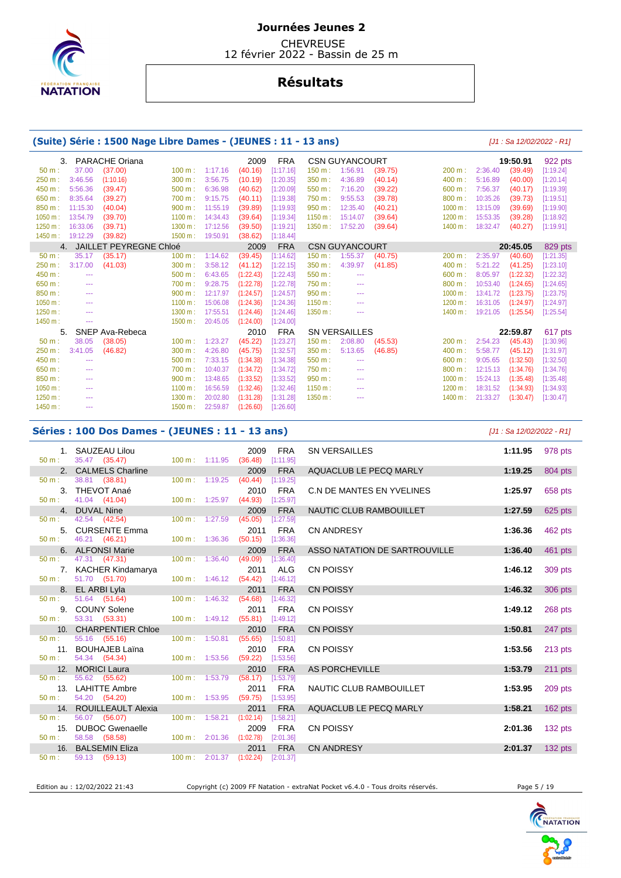

 CHEVREUSE 12 février 2022 - Bassin de 25 m

# **Résultats**

## **(Suite) Série : 1500 Nage Libre Dames - (JEUNES : 11 - 13 ans)** [J1 : Sa 12/02/2022 - R1]

|                  | 3.       | <b>PARACHE Oriana</b>         |         |          | 2009      | <b>FRA</b> |         | <b>CSN GUYANCOURT</b>                                                                          |         |            |          | 19:50.91  | 922 pts   |
|------------------|----------|-------------------------------|---------|----------|-----------|------------|---------|------------------------------------------------------------------------------------------------|---------|------------|----------|-----------|-----------|
| 50 m:            | 37.00    | (37.00)                       | 100 m:  | 1:17.16  | (40.16)   | [1:17.16]  | 150 m:  | 1:56.91                                                                                        | (39.75) | 200 m:     | 2:36.40  | (39.49)   | [1:19.24] |
| 250 m:           | 3:46.56  | (1:10.16)                     | 300 m:  | 3:56.75  | (10.19)   | [1:20.35]  | 350 m:  | 4:36.89                                                                                        | (40.14) | 400 m:     | 5:16.89  | (40.00)   | [1:20.14] |
| 450 m:           | 5:56.36  | (39.47)                       | 500 m:  | 6:36.98  | (40.62)   | [1:20.09]  | 550 m:  | 7:16.20                                                                                        | (39.22) | 600 m:     | 7:56.37  | (40.17)   | [1:19.39] |
| 650 m:           | 8:35.64  | (39.27)                       | 700 m:  | 9:15.75  | (40.11)   | [1:19.38]  | 750 m:  | 9:55.53                                                                                        | (39.78) | 800 m:     | 10:35.26 | (39.73)   | [1:19.51] |
| 850 m:           | 11:15.30 | (40.04)                       | 900 m:  | 11:55.19 | (39.89)   | [1:19.93]  | 950 m:  | 12:35.40                                                                                       | (40.21) | $1000 m$ : | 13:15.09 | (39.69)   | [1:19.90] |
| 1050 m:          | 13:54.79 | (39.70)                       | 1100 m: | 14:34.43 | (39.64)   | [1:19.34]  | 1150 m: | 15:14.07                                                                                       | (39.64) | 1200 m:    | 15:53.35 | (39.28)   | [1:18.92] |
| 1250 m:          | 16:33.06 | (39.71)                       | 1300 m: | 17:12.56 | (39.50)   | [1:19.21]  | 1350 m: | 17:52.20                                                                                       | (39.64) | 1400 m:    | 18:32.47 | (40.27)   | [1:19.91] |
| 1450 m:          | 19:12.29 | (39.82)                       | 1500 m: | 19:50.91 | (38.62)   | [1:18.44]  |         |                                                                                                |         |            |          |           |           |
| $\overline{4}$ . |          | <b>JAILLET PEYREGNE Chloé</b> |         |          | 2009      | <b>FRA</b> |         | <b>CSN GUYANCOURT</b>                                                                          |         |            |          | 20:45.05  | 829 pts   |
| 50 m:            | 35.17    | (35.17)                       | 100 m:  | 1:14.62  | (39.45)   | [1:14.62]  | 150 m:  | 1:55.37                                                                                        | (40.75) | 200 m:     | 2:35.97  | (40.60)   | [1:21.35] |
| 250 m:           | 3:17.00  | (41.03)                       | 300 m:  | 3:58.12  | (41.12)   | [1:22.15]  | 350 m:  | 4:39.97                                                                                        | (41.85) | 400 m:     | 5:21.22  | (41.25)   | [1:23.10] |
| 450 m:           | ---      |                               | 500 m:  | 6:43.65  | (1:22.43) | [1:22.43]  | 550 m:  | $\cdots$                                                                                       |         | 600 m:     | 8:05.97  | (1:22.32) | [1:22.32] |
| 650 m:           | $- - -$  |                               | 700 m:  | 9:28.75  | (1:22.78) | [1:22.78]  | 750 m:  | $\cdots$                                                                                       |         | 800 m:     | 10:53.40 | (1:24.65) | [1:24.65] |
| 850 m:           | $- - -$  |                               | 900 m:  | 12:17.97 | (1:24.57) | [1:24.57]  | 950 m:  | $\cdots$                                                                                       |         | 1000 m:    | 13:41.72 | (1:23.75) | [1:23.75] |
| 1050 m:          | $--$     |                               | 1100 m: | 15:06.08 | (1:24.36) | [1:24.36]  | 1150 m: | $\cdots$                                                                                       |         | 1200 m:    | 16:31.05 | (1:24.97) | [1:24.97] |
| 1250 m:          | ---      |                               | 1300 m: | 17:55.51 | (1:24.46) | [1:24.46]  | 1350 m: | $\cdots$                                                                                       |         | 1400 m:    | 19:21.05 | (1:25.54) | [1:25.54] |
| 1450 m:          | ---      |                               | 1500 m: | 20:45.05 | (1:24.00) | [1:24.00]  |         |                                                                                                |         |            |          |           |           |
| 5.               |          | SNEP Ava-Rebeca               |         |          | 2010      | <b>FRA</b> |         | <b>SN VERSAILLES</b>                                                                           |         |            |          | 22:59.87  | 617 pts   |
| $50 m$ :         | 38.05    | (38.05)                       | 100 m:  | 1:23.27  | (45.22)   | [1:23.27]  | 150 m:  | 2:08.80                                                                                        | (45.53) | 200 m:     | 2:54.23  | (45.43)   | [1:30.96] |
| 250 m:           | 3:41.05  | (46.82)                       | 300 m:  | 4:26.80  | (45.75)   | [1:32.57]  | 350 m:  | 5:13.65                                                                                        | (46.85) | 400 m:     | 5:58.77  | (45.12)   | [1:31.97] |
| 450 m:           | ---      |                               | 500 m:  | 7:33.15  | (1:34.38) | [1:34.38]  | 550 m:  | $\cdots$                                                                                       |         | 600 m:     | 9:05.65  | (1:32.50) | [1:32.50] |
| 650 m:           | $--$     |                               | 700 m:  | 10:40.37 | (1:34.72) | [1:34.72]  | 750 m:  | $\frac{1}{2} \left( \frac{1}{2} \right) \left( \frac{1}{2} \right) \left( \frac{1}{2} \right)$ |         | 800 m:     | 12:15.13 | (1:34.76) | [1:34.76] |
| 850 m:           | ---      |                               | 900 m:  | 13:48.65 | (1:33.52) | [1:33.52]  | 950 m:  | $\cdots$                                                                                       |         | 1000 m:    | 15:24.13 | (1:35.48) | [1:35.48] |
| 1050 m:          | $--$     |                               | 1100 m: | 16:56.59 | (1:32.46) | [1:32.46]  | 1150 m: | $\frac{1}{2} \left( \frac{1}{2} \right) \left( \frac{1}{2} \right) \left( \frac{1}{2} \right)$ |         | 1200 m:    | 18:31.52 | (1:34.93) | [1:34.93] |
| 1250 m:          | $--$     |                               | 1300 m: | 20:02.80 | (1:31.28) | [1:31.28]  | 1350 m: | $\frac{1}{2} \left( \frac{1}{2} \right) \left( \frac{1}{2} \right) \left( \frac{1}{2} \right)$ |         | 1400 m:    | 21:33.27 | (1:30.47) | [1:30.47] |
| 1450 m:          | ---      |                               | 1500 m: | 22:59.87 | (1:26.60) | [1:26.60]  |         |                                                                                                |         |            |          |           |           |
|                  |          |                               |         |          |           |            |         |                                                                                                |         |            |          |           |           |

#### **Séries : 100 Dos Dames - (JEUNES : 11 - 13 ans)** [J1 : Sa 12/02/2022 - R1]

|                  | 1. SAUZEAU Lilou<br>50 m : 35.47 (35.47) 100 m : 1:11.95 (36.48) [1:11.95]        |                                            | 2009                                     | <b>FRA</b> | <b>SN VERSAILLES</b>          | 1:11.95 978 pts |           |
|------------------|-----------------------------------------------------------------------------------|--------------------------------------------|------------------------------------------|------------|-------------------------------|-----------------|-----------|
|                  | 2. CALMELS Charline                                                               |                                            | 2009                                     | <b>FRA</b> | AQUACLUB LE PECQ MARLY        | 1:19.25         | 804 pts   |
|                  | $50 \text{ m}: 38.81 (38.81)$                                                     |                                            | 100 m: 1:19.25 (40.44) [1:19.25]         |            |                               |                 |           |
|                  | 3. THEVOT Anaé                                                                    |                                            | 2010 FRA                                 |            | C.N DE MANTES EN YVELINES     | 1:25.97         | 658 pts   |
|                  | $50 \text{ m}: 41.04 (41.04)$                                                     |                                            | 100 m: 1:25.97 (44.93) [1:25.97]         |            |                               |                 |           |
|                  | 4. DUVAL Nine                                                                     |                                            | 2009                                     | <b>FRA</b> | NAUTIC CLUB RAMBOUILLET       | 1:27.59         | 625 pts   |
| 50 m:            | 42.54 (42.54)                                                                     | $100 \text{ m}: 1:27.59$                   | (45.05)                                  | [1:27.59]  |                               |                 |           |
|                  | 5. CURSENTE Emma                                                                  |                                            | 2011 FRA                                 |            | <b>CN ANDRESY</b>             | 1:36.36         | 462 pts   |
| 50 m:            | 46.21 (46.21)                                                                     |                                            | 100 m: 1:36.36 (50.15) [1:36.36]         |            |                               |                 |           |
|                  | 6. ALFONSI Marie                                                                  |                                            | 2009                                     | <b>FRA</b> | ASSO NATATION DE SARTROUVILLE | 1:36.40         | 461 pts   |
| $50 m$ :         | 47.31 (47.31)                                                                     | $100 \text{ m}: 1:36.40$ (49.09)           | [1:36.40]                                |            |                               |                 |           |
| 50 m:            | 7. KACHER Kindamarya<br>51.70 (51.70)                                             |                                            | 2011<br>100 m: 1:46.12 (54.42) [1:46.12] | ALG        | <b>CN POISSY</b>              | 1:46.12         | 309 pts   |
|                  |                                                                                   |                                            | 2011 FRA                                 |            | <b>CN POISSY</b>              | 1:46.32         | 306 pts   |
| 50 m:            | 8. EL ARBI Lyla<br>51.64 (51.64)                                                  |                                            | 100 m: 1:46.32 (54.68) [1:46.32]         |            |                               |                 |           |
|                  | 9. COUNY Solene                                                                   |                                            | 2011                                     | <b>FRA</b> | <b>CN POISSY</b>              | 1:49.12         | 268 pts   |
| 50 m:            | 53.31 (53.31)                                                                     |                                            | 100 m: 1:49.12 (55.81) [1:49.12]         |            |                               |                 |           |
|                  | 10. CHARPENTIER Chloe                                                             |                                            | 2010 FRA                                 |            | <b>CN POISSY</b>              | 1:50.81         | 247 pts   |
| 50 m:            | 55.16 (55.16)                                                                     |                                            | 100 m: 1:50.81 (55.65) [1:50.81]         |            |                               |                 |           |
|                  | 11. BOUHAJEB Laïna                                                                |                                            | 2010                                     | <b>FRA</b> | <b>CN POISSY</b>              | 1:53.56         | 213 pts   |
| 50 m:            | 54.34 (54.34)                                                                     | $100 \text{ m}: 1:53.56$ (59.22) [1:53.56] |                                          |            |                               |                 |           |
|                  | 12. MORICI Laura                                                                  |                                            | 2010                                     | <b>FRA</b> | AS PORCHEVILLE                | 1:53.79         | 211 pts   |
| 50 m:            | 55.62 (55.62)                                                                     |                                            | 100 m: 1:53.79 (58.17) [1:53.79]         |            |                               |                 |           |
|                  | 13. LAHITTE Ambre                                                                 |                                            | 2011                                     | <b>FRA</b> | NAUTIC CLUB RAMBOUILLET       | 1:53.95         | 209 pts   |
| $50 \text{ m}$ : | 54.20 (54.20)                                                                     |                                            | 100 m: 1:53.95 (59.75) [1:53.95]         |            |                               |                 |           |
|                  | 14. ROUILLEAULT Alexia                                                            |                                            | 2011                                     | <b>FRA</b> | AQUACLUB LE PECQ MARLY        | 1:58.21         | $162$ pts |
| 50 m:            | 56.07 (56.07)                                                                     | $100 \text{ m}: 1:58.21 (1:02.14)$         |                                          | [1:58.21]  |                               |                 |           |
| 50 m:            | 15. DUBOC Gwenaelle<br>58.58 (58.58) 100 m : 2:01.36 (1:02.78) [2:01.36]          |                                            | 2009                                     | <b>FRA</b> | <b>CN POISSY</b>              | 2:01.36         | $132$ pts |
|                  |                                                                                   |                                            |                                          |            | <b>CN ANDRESY</b>             | 2:01.37         | 132 pts   |
| 50 m:            | 16. BALSEMIN Eliza 2011 FRA<br>: 59.13 (59.13) 100 m: 2:01.37 (1:02.24) [2:01.37] |                                            |                                          |            |                               |                 |           |
|                  |                                                                                   |                                            |                                          |            |                               |                 |           |
|                  |                                                                                   |                                            |                                          |            |                               |                 |           |

Edition au : 12/02/2022 21:43 Copyright (c) 2009 FF Natation - extraNat Pocket v6.4.0 - Tous droits réservés. Page 5 / 19



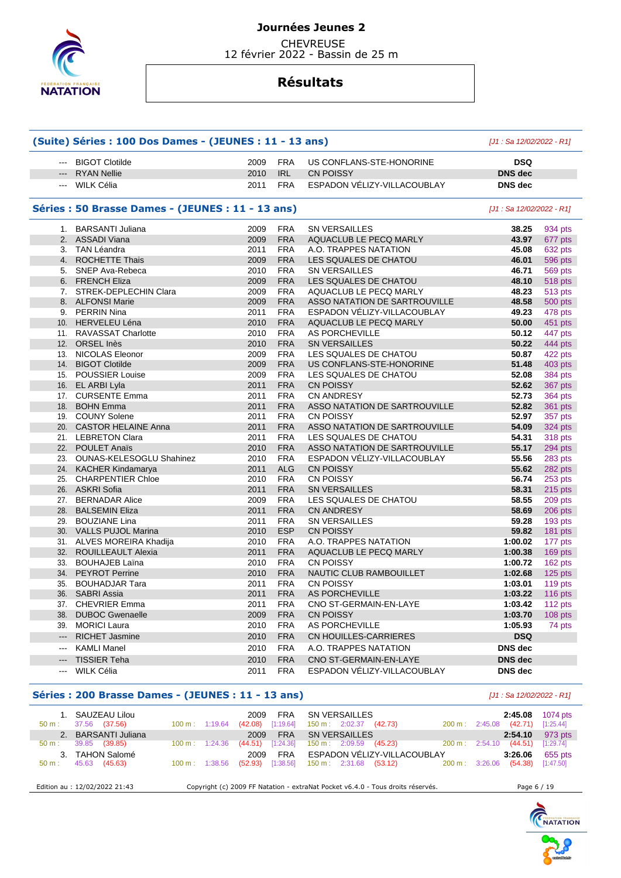

 CHEVREUSE 12 février 2022 - Bassin de 25 m

## **Résultats**

|                                                                                                                                                                                                                                                                                                                                                                                                                                                                            | (Suite) Séries : 100 Dos Dames - (JEUNES : 11 - 13 ans) | [J1 : Sa 12/02/2022 - R1] |            |                               |                           |                |
|----------------------------------------------------------------------------------------------------------------------------------------------------------------------------------------------------------------------------------------------------------------------------------------------------------------------------------------------------------------------------------------------------------------------------------------------------------------------------|---------------------------------------------------------|---------------------------|------------|-------------------------------|---------------------------|----------------|
| $\frac{1}{2} \left( \frac{1}{2} \right) \left( \frac{1}{2} \right) \left( \frac{1}{2} \right) \left( \frac{1}{2} \right) \left( \frac{1}{2} \right) \left( \frac{1}{2} \right) \left( \frac{1}{2} \right) \left( \frac{1}{2} \right) \left( \frac{1}{2} \right) \left( \frac{1}{2} \right) \left( \frac{1}{2} \right) \left( \frac{1}{2} \right) \left( \frac{1}{2} \right) \left( \frac{1}{2} \right) \left( \frac{1}{2} \right) \left( \frac{1}{2} \right) \left( \frac$ | <b>BIGOT Clotilde</b>                                   | 2009                      | <b>FRA</b> | US CONFLANS-STE-HONORINE      | <b>DSQ</b>                |                |
| $\frac{1}{2} \left( \frac{1}{2} \right) \left( \frac{1}{2} \right) \left( \frac{1}{2} \right) \left( \frac{1}{2} \right) \left( \frac{1}{2} \right) \left( \frac{1}{2} \right) \left( \frac{1}{2} \right) \left( \frac{1}{2} \right) \left( \frac{1}{2} \right) \left( \frac{1}{2} \right) \left( \frac{1}{2} \right) \left( \frac{1}{2} \right) \left( \frac{1}{2} \right) \left( \frac{1}{2} \right) \left( \frac{1}{2} \right) \left( \frac{1}{2} \right) \left( \frac$ | <b>RYAN Nellie</b>                                      | 2010                      | IRL        | <b>CN POISSY</b>              | <b>DNS</b> dec            |                |
| $--$                                                                                                                                                                                                                                                                                                                                                                                                                                                                       | WILK Célia                                              | 2011                      | <b>FRA</b> | ESPADON VÉLIZY-VILLACOUBLAY   | <b>DNS</b> dec            |                |
|                                                                                                                                                                                                                                                                                                                                                                                                                                                                            | Séries : 50 Brasse Dames - (JEUNES : 11 - 13 ans)       |                           |            |                               | [J1 : Sa 12/02/2022 - R1] |                |
|                                                                                                                                                                                                                                                                                                                                                                                                                                                                            | 1. BARSANTI Juliana                                     | 2009                      | <b>FRA</b> | <b>SN VERSAILLES</b>          | 38.25                     | 934 pts        |
|                                                                                                                                                                                                                                                                                                                                                                                                                                                                            | 2. ASSADI Viana                                         | 2009                      | <b>FRA</b> | AQUACLUB LE PECQ MARLY        | 43.97                     | 677 pts        |
|                                                                                                                                                                                                                                                                                                                                                                                                                                                                            | 3. TAN Léandra                                          | 2011                      | <b>FRA</b> | A.O. TRAPPES NATATION         | 45.08                     | 632 pts        |
|                                                                                                                                                                                                                                                                                                                                                                                                                                                                            | 4. ROCHETTE Thais                                       | 2009                      | <b>FRA</b> | LES SQUALES DE CHATOU         | 46.01                     | 596 pts        |
| 5.                                                                                                                                                                                                                                                                                                                                                                                                                                                                         | SNEP Ava-Rebeca                                         | 2010                      | <b>FRA</b> | <b>SN VERSAILLES</b>          | 46.71                     | 569 pts        |
|                                                                                                                                                                                                                                                                                                                                                                                                                                                                            | 6. FRENCH Eliza                                         | 2009                      | <b>FRA</b> | LES SQUALES DE CHATOU         | 48.10                     | 518 pts        |
|                                                                                                                                                                                                                                                                                                                                                                                                                                                                            | 7. STREK-DEPLECHIN Clara                                | 2009                      | <b>FRA</b> | AQUACLUB LE PECQ MARLY        | 48.23                     | 513 pts        |
|                                                                                                                                                                                                                                                                                                                                                                                                                                                                            | 8. ALFONSI Marie                                        | 2009                      | <b>FRA</b> | ASSO NATATION DE SARTROUVILLE | 48.58                     | 500 pts        |
|                                                                                                                                                                                                                                                                                                                                                                                                                                                                            | 9. PERRIN Nina                                          | 2011                      | <b>FRA</b> | ESPADON VÉLIZY-VILLACOUBLAY   | 49.23                     | 478 pts        |
|                                                                                                                                                                                                                                                                                                                                                                                                                                                                            | 10. HERVELEU Léna                                       | 2010                      | <b>FRA</b> | AQUACLUB LE PECQ MARLY        | 50.00                     | 451 pts        |
|                                                                                                                                                                                                                                                                                                                                                                                                                                                                            | 11. RAVASSAT Charlotte                                  | 2010                      | <b>FRA</b> | AS PORCHEVILLE                | 50.12                     | 447 pts        |
|                                                                                                                                                                                                                                                                                                                                                                                                                                                                            | 12. ORSEL Inès                                          | 2010                      | <b>FRA</b> | <b>SN VERSAILLES</b>          | 50.22                     | 444 pts        |
|                                                                                                                                                                                                                                                                                                                                                                                                                                                                            | 13. NICOLAS Eleonor                                     | 2009                      | <b>FRA</b> | LES SQUALES DE CHATOU         | 50.87                     | 422 pts        |
|                                                                                                                                                                                                                                                                                                                                                                                                                                                                            | 14. BIGOT Clotilde                                      | 2009                      | <b>FRA</b> | US CONFLANS-STE-HONORINE      | 51.48                     | 403 pts        |
|                                                                                                                                                                                                                                                                                                                                                                                                                                                                            | 15. POUSSIER Louise                                     | 2009                      | <b>FRA</b> | LES SQUALES DE CHATOU         | 52.08                     | 384 pts        |
|                                                                                                                                                                                                                                                                                                                                                                                                                                                                            | 16. EL ARBI Lyla                                        | 2011                      | <b>FRA</b> | <b>CN POISSY</b>              | 52.62                     | 367 pts        |
|                                                                                                                                                                                                                                                                                                                                                                                                                                                                            | 17. CURSENTE Emma                                       | 2011                      | <b>FRA</b> | <b>CN ANDRESY</b>             | 52.73                     | <b>364 pts</b> |
|                                                                                                                                                                                                                                                                                                                                                                                                                                                                            | 18. BOHN Emma                                           | 2011                      | <b>FRA</b> | ASSO NATATION DE SARTROUVILLE | 52.82                     | 361 pts        |
|                                                                                                                                                                                                                                                                                                                                                                                                                                                                            | 19. COUNY Solene                                        | 2011                      | <b>FRA</b> | <b>CN POISSY</b>              | 52.97                     | 357 pts        |
|                                                                                                                                                                                                                                                                                                                                                                                                                                                                            | 20. CASTOR HELAINE Anna                                 | 2011                      | <b>FRA</b> | ASSO NATATION DE SARTROUVILLE | 54.09                     | <b>324 pts</b> |
|                                                                                                                                                                                                                                                                                                                                                                                                                                                                            | 21. LEBRETON Clara                                      | 2011                      | <b>FRA</b> | LES SQUALES DE CHATOU         | 54.31                     | 318 pts        |
|                                                                                                                                                                                                                                                                                                                                                                                                                                                                            | 22. POULET Anaïs                                        | 2010                      | <b>FRA</b> | ASSO NATATION DE SARTROUVILLE | 55.17                     | 294 pts        |
|                                                                                                                                                                                                                                                                                                                                                                                                                                                                            | 23. OUNAS-KELESOGLU Shahinez                            | 2010                      | <b>FRA</b> | ESPADON VELIZY-VILLACOUBLAY   | 55.56                     | 283 pts        |
|                                                                                                                                                                                                                                                                                                                                                                                                                                                                            | 24. KACHER Kindamarya                                   | 2011                      | <b>ALG</b> | <b>CN POISSY</b>              | 55.62                     | 282 pts        |
|                                                                                                                                                                                                                                                                                                                                                                                                                                                                            | 25. CHARPENTIER Chloe                                   | 2010                      | <b>FRA</b> | <b>CN POISSY</b>              | 56.74                     | 253 pts        |
|                                                                                                                                                                                                                                                                                                                                                                                                                                                                            | 26. ASKRI Sofia                                         | 2011                      | <b>FRA</b> | <b>SN VERSAILLES</b>          | 58.31                     |                |
|                                                                                                                                                                                                                                                                                                                                                                                                                                                                            |                                                         |                           |            |                               |                           | 215 pts        |
|                                                                                                                                                                                                                                                                                                                                                                                                                                                                            | 27. BERNADAR Alice<br>28. BALSEMIN Eliza                | 2009                      | <b>FRA</b> | LES SQUALES DE CHATOU         | 58.55                     | 209 pts        |
|                                                                                                                                                                                                                                                                                                                                                                                                                                                                            |                                                         | 2011                      | <b>FRA</b> | <b>CN ANDRESY</b>             | 58.69                     | 206 pts        |
|                                                                                                                                                                                                                                                                                                                                                                                                                                                                            | 29. BOUZIANE Lina                                       | 2011                      | <b>FRA</b> | <b>SN VERSAILLES</b>          | 59.28                     | 193 pts        |
|                                                                                                                                                                                                                                                                                                                                                                                                                                                                            | 30. VALLS PUJOL Marina                                  | 2010                      | <b>ESP</b> | <b>CN POISSY</b>              | 59.82                     | 181 pts        |
|                                                                                                                                                                                                                                                                                                                                                                                                                                                                            | 31. ALVES MOREIRA Khadija                               | 2010                      | <b>FRA</b> | A.O. TRAPPES NATATION         | 1:00.02                   | 177 pts        |
|                                                                                                                                                                                                                                                                                                                                                                                                                                                                            | 32. ROUILLEAULT Alexia                                  | 2011                      | <b>FRA</b> | AQUACLUB LE PECQ MARLY        | 1:00.38                   | 169 pts        |
|                                                                                                                                                                                                                                                                                                                                                                                                                                                                            | 33. BOUHAJEB Laïna                                      | 2010                      | <b>FRA</b> | <b>CN POISSY</b>              | 1:00.72                   | 162 pts        |
|                                                                                                                                                                                                                                                                                                                                                                                                                                                                            | 34. PEYROT Perrine                                      | 2010                      | <b>FRA</b> | NAUTIC CLUB RAMBOUILLET       | 1:02.68                   | $125$ pts      |
| 35.                                                                                                                                                                                                                                                                                                                                                                                                                                                                        | <b>BOUHADJAR Tara</b>                                   | 2011                      | <b>FRA</b> | <b>CN POISSY</b>              | 1:03.01                   | 119 pts        |
|                                                                                                                                                                                                                                                                                                                                                                                                                                                                            | 36. SABRI Assia                                         | 2011                      | <b>FRA</b> | <b>AS PORCHEVILLE</b>         | 1:03.22                   | <b>116 pts</b> |
|                                                                                                                                                                                                                                                                                                                                                                                                                                                                            | 37. CHEVRIER Emma                                       | 2011                      | <b>FRA</b> | CNO ST-GERMAIN-EN-LAYE        | 1:03.42                   | 112 pts        |
| 38.                                                                                                                                                                                                                                                                                                                                                                                                                                                                        | <b>DUBOC Gwenaelle</b>                                  | 2009                      | <b>FRA</b> | <b>CN POISSY</b>              | 1:03.70                   | 108 pts        |
|                                                                                                                                                                                                                                                                                                                                                                                                                                                                            | 39. MORICI Laura                                        | 2010                      | <b>FRA</b> | AS PORCHEVILLE                | 1:05.93                   | 74 pts         |
| $\qquad \qquad \cdots$                                                                                                                                                                                                                                                                                                                                                                                                                                                     | <b>RICHET Jasmine</b>                                   | 2010                      | <b>FRA</b> | CN HOUILLES-CARRIERES         | <b>DSQ</b>                |                |
| $\qquad \qquad -$                                                                                                                                                                                                                                                                                                                                                                                                                                                          | <b>KAMLI Manel</b>                                      | 2010                      | <b>FRA</b> | A.O. TRAPPES NATATION         | DNS dec                   |                |
| ---                                                                                                                                                                                                                                                                                                                                                                                                                                                                        | <b>TISSIER Teha</b>                                     | 2010                      | <b>FRA</b> | CNO ST-GERMAIN-EN-LAYE        | DNS dec                   |                |
| ---                                                                                                                                                                                                                                                                                                                                                                                                                                                                        | WILK Célia                                              | 2011                      | <b>FRA</b> | ESPADON VÉLIZY-VILLACOUBLAY   | DNS dec                   |                |
|                                                                                                                                                                                                                                                                                                                                                                                                                                                                            |                                                         |                           |            |                               |                           |                |

### **Séries : 200 Brasse Dames - (JEUNES : 11 - 13 ans)** [J1 : Sa 12/02/2022 - R1]

| 1. SAUZEAU Lilou<br>37.56<br>(37.56)<br>$50 m$ : | $100 \text{ m}$ : 1:19.64    | <b>FRA</b><br>2009<br>[1:19.64]<br>(42.08) | SN VERSAILLES<br>(42.73)<br>$150 \text{ m}: 2:02.37$                            | 1074 pts<br>2:45.08<br>(42.71)<br>$200 \text{ m}$ : 2:45.08<br>[1:25.44] |
|--------------------------------------------------|------------------------------|--------------------------------------------|---------------------------------------------------------------------------------|--------------------------------------------------------------------------|
| <b>BARSANTI Juliana</b><br>2.                    |                              | <b>FRA</b><br>2009                         | <b>SN VERSAILLES</b>                                                            | 2:54.10<br>973 pts                                                       |
| 39.85<br>(39.85)<br>$50 m$ :                     | $100 \text{ m}$ :<br>1:24.36 | [1:24.36]<br>(44.51)                       | $150 \text{ m}: 2:09.59$<br>(45.23)<br>$200 \text{ m}$ :                        | (44.51)<br>[1:29.74]<br>2:54.10                                          |
| 3. TAHON Salomé                                  |                              | <b>FRA</b><br>2009                         | ESPADON VÉLIZY-VILLACOUBLAY                                                     | 3:26.06<br>655 pts                                                       |
| 45.63<br>(45.63)<br>$50 \text{ m}$ :             | $100 \text{ m}: 1:38.56$     | [1:38.56]<br>(52.93)                       | $150 \text{ m}: 2:31.68$ (53.12)                                                | (54.38)<br>200 m: 3:26.06<br>[1:47.50]                                   |
| Edition au : 12/02/2022 21:43                    |                              |                                            | Copyright (c) 2009 FF Natation - extraNat Pocket v6.4.0 - Tous droits réservés. | Page 6 / 19                                                              |

NATATION

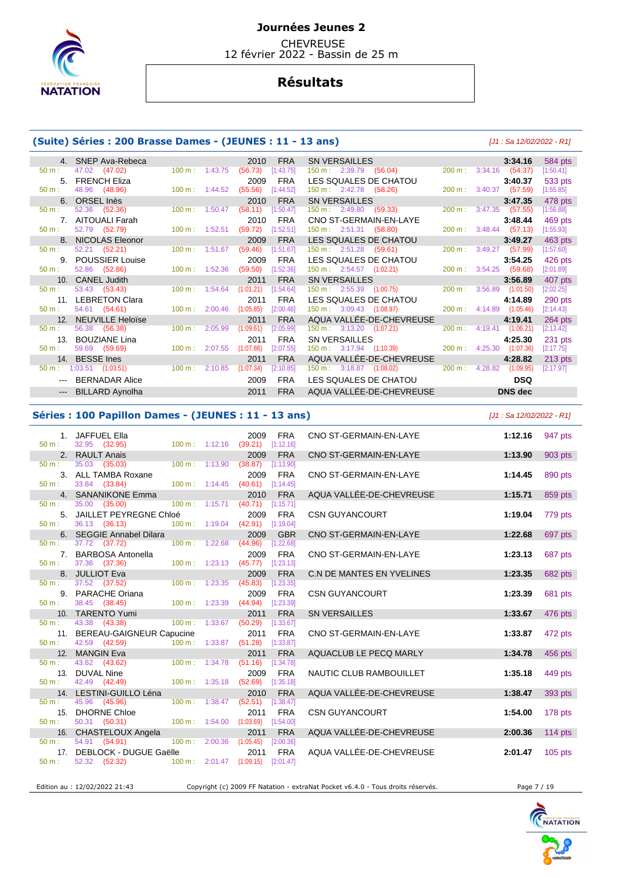

**CHEVREUSE** 12 février 2022 - Bassin de 25 m

# **Résultats**

### **(Suite) Séries : 200 Brasse Dames - (JEUNES : 11 - 13 ans)** [J1 : Sa 12/02/2022 - R1]

|                | <b>SNEP Ava-Rebeca</b>  |                              | 2010<br><b>FRA</b>     | <b>SN VERSAILLES</b>                  | 584 pts<br>3:34.16                                     |
|----------------|-------------------------|------------------------------|------------------------|---------------------------------------|--------------------------------------------------------|
| $50 m$ :       | 47.02<br>(47.02)        | $100 \text{ m}$ : 1:43.75    | (56.73)<br>[1:43.75]   | 150 m : 2:39.79 (56.04)               | $200 \text{ m}: 3:34.16$<br>(54.37)<br>[1:50.41]       |
| 5 <sub>1</sub> | <b>FRENCH Eliza</b>     |                              | <b>FRA</b><br>2009     | LES SQUALES DE CHATOU                 | 533 pts<br>3:40.37                                     |
| $50 m$ :       | 48.96<br>(48.96)        | $100 \text{ m}$ : 1:44.52    | (55.56)<br>[1:44.52]   | 150 m: 2:42.78 (58.26)                | $200 \text{ m}$ :<br>3:40.37<br>(57.59)<br>[1:55.85]   |
|                | 6. ORSEL Inès           |                              | <b>FRA</b><br>2010     | <b>SN VERSAILLES</b>                  | 478 pts<br>3:47.35                                     |
| 50 m:          | (52.36)<br>52.36        | $100 \text{ m}$ :<br>1:50.47 | (58.11)<br>[1:50.47]   | $150 \text{ m}: 2:49.80$<br>(59.33)   | $200 \text{ m}$ :<br>3:47.35<br>(57.55)<br>[1:56.88]   |
|                | AITOUALI Farah          |                              | <b>FRA</b><br>2010     | CNO ST-GERMAIN-EN-LAYE                | 3:48.44<br>469 pts                                     |
| 50 m:          | 52.79 (52.79)           | 100 m: 1:52.51               | (59.72)<br>[1:52.51]   | 150 m: 2:51.31 (58.80)                | 200 m:<br>3:48.44<br>(57.13)<br>[1:55.93]              |
|                | NICOLAS Eleonor         |                              | <b>FRA</b><br>2009     | LES SQUALES DE CHATOU                 | 463 pts<br>3:49.27                                     |
| 50 m:          | 52.21 (52.21)           | 1:51.67<br>$100 \text{ m}$ : | (59.46)<br>[1:51.67]   | $150 \text{ m}: 2:51.28$<br>(59.61)   | $200 \text{ m}$ :<br>3:49.27<br>[1:57.60]<br>(57.99)   |
| 9.             | <b>POUSSIER Louise</b>  |                              | <b>FRA</b><br>2009     | LES SQUALES DE CHATOU                 | 3:54.25<br>426 pts                                     |
| $50 m$ :       | (52.86)<br>52.86        | $100 \text{ m}$ :<br>1:52.36 | [1:52.36]<br>(59.50)   | $150 \text{ m}: 2:54.57$ $(1:02.21)$  | (59.68)<br>[2:01.89]<br>200 m:<br>3:54.25              |
| 10.            | <b>CANEL Judith</b>     |                              | <b>FRA</b><br>2011     | <b>SN VERSAILLES</b>                  | 3:56.89<br>407 pts                                     |
| $50 m$ :       | 53.43 (53.43)           | $100 \text{ m}$ : 1:54.64    | (1:01.21)<br>[1:54.64] | $150 \text{ m}: 2:55.39$<br>(1:00.75) | 3:56.89<br>(1:01.50)<br>[2:02.25]<br>$200 \text{ m}$ : |
| 11.            | <b>LEBRETON Clara</b>   |                              | <b>FRA</b><br>2011     | LES SQUALES DE CHATOU                 | 4:14.89<br>290 pts                                     |
| $50 m$ :       | 54.61 (54.61)           | $100 \text{ m}$ : 2:00.46    | [2:00.46]<br>(1:05.85) | 150 m: 3:09.43 (1:08.97)              | 4:14.89<br>[2:14.43]<br>200 m:<br>(1:05.46)            |
| 12.            | <b>NEUVILLE Heloïse</b> |                              | 2011<br><b>FRA</b>     | AQUA VALLÉE-DE-CHEVREUSE              | 4:19.41<br>$264$ pts                                   |
| $50 m$ :       | 56.38 (56.38)           | $100 \text{ m}$ :<br>2:05.99 | [2:05.99]<br>(1:09.61) | $150 \text{ m}: 3:13.20 (1:07.21)$    | 4:19.41<br>[2:13.42]<br>200 m:<br>(1:06.21)            |
| 13.            | <b>BOUZIANE Lina</b>    |                              | <b>FRA</b><br>2011     | <b>SN VERSAILLES</b>                  | 4:25.30<br>231 pts                                     |
| $50 m$ :       | 59.69 (59.69)           | $100 \text{ m}$ : 2:07.55    | (1:07.86)<br>[2:07.55] | 150 m : 3:17.94 (1:10.39)             | 4:25.30<br>200 m :<br>(1:07.36)<br>[2:17.75]           |
| 14.            | <b>BESSE</b> Ines       |                              | <b>FRA</b><br>2011     | AQUA VALLÉE-DE-CHEVREUSE              | 4:28.82<br>$213$ pts                                   |
| $50 m$ :       | $1:03.51$ $(1:03.51)$   | $100 \text{ m}$ :<br>2:10.85 | (1:07.34)<br>[2:10.85] | 150 m: 3:18.87 (1:08.02)              | 200 m: 4:28.82<br>[2:17.97]<br>(1:09.95)               |
|                | <b>BERNADAR Alice</b>   |                              | <b>FRA</b><br>2009     | LES SQUALES DE CHATOU                 | <b>DSQ</b>                                             |
|                | <b>BILLARD Aynolha</b>  |                              | 2011<br><b>FRA</b>     | AQUA VALLÉE-DE-CHEVREUSE              | <b>DNS</b> dec                                         |
|                |                         |                              |                        |                                       |                                                        |

#### **Séries : 100 Papillon Dames - (JEUNES : 11 - 13 ans)** [J1 : Sa 12/02/2022 - R1]

|                  | 1. JAFFUEL Ella                               |                     | 2009                                 | <b>FRA</b>              | CNO ST-GERMAIN-EN-LAYE           | 1:12.16 | 947 pts   |
|------------------|-----------------------------------------------|---------------------|--------------------------------------|-------------------------|----------------------------------|---------|-----------|
| $50 m$ :         | 32.95 (32.95)                                 | $100 m$ : 1:12.16   | (39.21)                              | [1:12.16]               |                                  |         |           |
|                  | 2. RAULT Anais                                |                     | 2009                                 | <b>FRA</b>              | CNO ST-GERMAIN-EN-LAYE           | 1:13.90 | 903 pts   |
| $50 m$ :         | 35.03 (35.03)                                 | $100 m$ : 1:13.90   | (38.87)                              | [1:13.90]               |                                  |         |           |
|                  | 3. ALL TAMBA Roxane                           |                     | 2009                                 | <b>FRA</b>              | CNO ST-GERMAIN-EN-LAYE           | 1:14.45 | 890 pts   |
| $50 m$ :         | 33.84 (33.84)                                 | $100 m$ : $1:14.45$ | (40.61)                              | [1:14.45]               |                                  |         |           |
|                  | 4. SANANIKONE Emma                            |                     | 2010                                 | <b>FRA</b>              | AQUA VALLÉE-DE-CHEVREUSE         | 1:15.71 | 859 pts   |
| $50 m$ :         | 35.00 (35.00)                                 | 100 m: 1:15.71      | (40.71)                              | [1:15.71]               |                                  |         |           |
|                  | 5. JAILLET PEYREGNE Chloé                     |                     | 2009                                 | <b>FRA</b>              | <b>CSN GUYANCOURT</b>            | 1:19.04 | 779 pts   |
| $50 m$ :         | 36.13 (36.13)                                 | 100 m: 1:19.04      | (42.91)                              | [1:19.04]               |                                  |         |           |
|                  | 6. SEGGIE Annabel Dilara                      |                     | 2009                                 | <b>GBR</b>              | CNO ST-GERMAIN-EN-LAYE           | 1:22.68 | 697 pts   |
| $50 \text{ m}$ : | 37.72 (37.72)                                 | 100 m: 1:22.68      | (44.96)                              | [1:22.68]               |                                  |         |           |
|                  | 7. BARBOSA Antonella                          |                     | 2009                                 | <b>FRA</b>              | CNO ST-GERMAIN-EN-LAYE           | 1:23.13 | 687 pts   |
| 50 m:            | 37.36 (37.36)                                 |                     | $100 \text{ m}: 1:23.13$ (45.77)     | [1:23.13]               |                                  |         |           |
|                  | 8. JULLIOT Eva                                |                     | 2009                                 | <b>FRA</b>              | <b>C.N DE MANTES EN YVELINES</b> | 1:23.35 | 682 pts   |
| 50 m:            | 37.52 (37.52)                                 | 100 m: 1:23.35      | (45.83)                              | [1:23.35]               |                                  |         |           |
| 9.               | PARACHE Oriana                                |                     | 2009                                 | <b>FRA</b>              | <b>CSN GUYANCOURT</b>            | 1:23.39 | 681 pts   |
| $50 m$ :         | 38.45 (38.45)                                 | 100 m: 1:23.39      | (44.94)                              | [1:23.39]               |                                  |         |           |
|                  | 10. TARENTO Yumi                              |                     | 2011                                 | <b>FRA</b>              | <b>SN VERSAILLES</b>             | 1:33.67 | 476 pts   |
| $50 m$ :         | 43.38 (43.38)                                 | 100 m: 1:33.67      | (50.29)                              | [1:33.67]               |                                  |         |           |
| $50 m$ :         | 11. BEREAU-GAIGNEUR Capucine<br>42.59 (42.59) | 100 m:              | 2011<br>1:33.87<br>(51.28)           | <b>FRA</b><br>[1:33.87] | CNO ST-GERMAIN-EN-LAYE           | 1:33.87 | 472 pts   |
|                  |                                               |                     |                                      |                         |                                  |         |           |
| $50 m$ :         | 12. MANGIN Eva<br>43.62 (43.62)               | 100 m: 1:34.78      | 2011<br>(51.16)                      | <b>FRA</b><br>[1:34.78] | AQUACLUB LE PECQ MARLY           | 1:34.78 | 456 pts   |
|                  | 13. DUVAL Nine                                |                     |                                      | <b>FRA</b>              |                                  |         |           |
| $50 m$ :         | 42.49 (42.49)                                 | 100 m: 1:35.18      | 2009<br>(52.69)                      | [1:35.18]               | NAUTIC CLUB RAMBOUILLET          | 1:35.18 | 449 pts   |
|                  | 14. LESTINI-GUILLO Léna                       |                     | 2010                                 | <b>FRA</b>              | AQUA VALLÉE-DE-CHEVREUSE         | 1:38.47 | 393 pts   |
| $50 m$ :         | 45.96 (45.96)                                 | 100 m: 1:38.47      | (52.51)                              | [1:38.47]               |                                  |         |           |
|                  | 15. DHORNE Chloe                              |                     | 2011                                 | <b>FRA</b>              | <b>CSN GUYANCOURT</b>            | 1:54.00 | 178 pts   |
| $50 m$ :         | 50.31 (50.31)                                 |                     | $100 \text{ m}: 1:54.00$ $(1:03.69)$ | [1:54.00]               |                                  |         |           |
|                  | 16. CHASTELOUX Angela                         |                     | 2011                                 | <b>FRA</b>              | AQUA VALLÉE-DE-CHEVREUSE         | 2:00.36 | $114$ pts |
| 50 m:            | 54.91 (54.91)                                 | 100 m: 2:00.36      | (1:05.45)                            | [2:00.36]               |                                  |         |           |
| 17.              | DEBLOCK - DUGUE Gaëlle                        |                     | 2011                                 | <b>FRA</b>              | AQUA VALLÉE-DE-CHEVREUSE         | 2:01.47 | $105$ pts |
| $50 m$ :         | 52.32 (52.32)                                 | 100 m: 2:01.47      | (1:09.15)                            | [2:01.47]               |                                  |         |           |
|                  |                                               |                     |                                      |                         |                                  |         |           |
|                  |                                               |                     |                                      |                         |                                  |         |           |

Edition au : 12/02/2022 21:43 Copyright (c) 2009 FF Natation - extraNat Pocket v6.4.0 - Tous droits réservés. Page 7 / 19

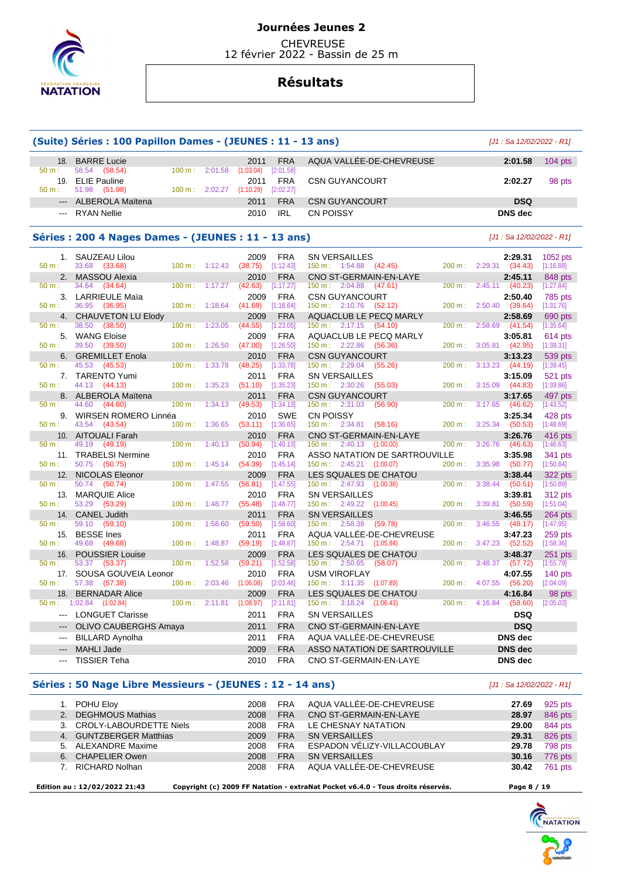

**CHEVREUSE** 12 février 2022 - Bassin de 25 m

## **Résultats**

|                 | (Suite) Séries : 100 Papillon Dames - (JEUNES : 11 - 13 ans) |                   |         |                                    |                         |                                                                     |        | $[J1: Sa 12/02/2022 - R1]$       |                        |
|-----------------|--------------------------------------------------------------|-------------------|---------|------------------------------------|-------------------------|---------------------------------------------------------------------|--------|----------------------------------|------------------------|
| 18.<br>50 m:    | <b>BARRE Lucie</b><br>58.54<br>(58.54)                       | 100 m:            | 2:01.58 | 2011<br>(1:03.04)                  | <b>FRA</b><br>[2:01.58] | AQUA VALLEE-DE-CHEVREUSE                                            |        | 2:01.58                          | $104$ pts              |
| 19.<br>$50 m$ : | <b>ELIE Pauline</b><br>51.98<br>(51.98)                      | $100 \text{ m}$ : | 2:02.27 | 2011<br>(1:10.29)                  | <b>FRA</b><br>[2:02.27] | <b>CSN GUYANCOURT</b>                                               |        | 2:02.27                          | 98 pts                 |
|                 | <b>ALBEROLA Maïtena</b>                                      |                   |         | 2011                               | <b>FRA</b>              | <b>CSN GUYANCOURT</b>                                               |        | <b>DSQ</b>                       |                        |
|                 | <b>RYAN Nellie</b>                                           |                   |         | 2010                               | <b>IRL</b>              | CN POISSY                                                           |        | <b>DNS</b> dec                   |                        |
|                 | Séries: 200 4 Nages Dames - (JEUNES: 11 - 13 ans)            |                   |         |                                    |                         |                                                                     |        | $[J1: Sa 12/02/2022 - R1]$       |                        |
| 1.              | SAUZEAU Lilou                                                |                   |         | 2009                               | <b>FRA</b>              | <b>SN VERSAILLES</b>                                                |        | 2:29.31                          | 1052 pts               |
| 50 m:           | 33.68 (33.68)                                                | 100 m:            | 1:12.43 | (38.75)                            | [1:12.43]               | 150 m: 1:54.88<br>(42.45)                                           | 200 m: | 2:29.31<br>(34.43)               | [1:16.88]              |
| 2.              | <b>MASSOU Alexia</b>                                         |                   |         | 2010                               | <b>FRA</b>              | CNO ST-GERMAIN-EN-LAYE                                              |        | 2:45.11                          | 848 pts                |
| 50 m:           | 34.64<br>(34.64)                                             | $100 \text{ m}$ : | 1:17.27 | (42.63)                            | [1:17.27]               | $150 \text{ m}: 2:04.88$<br>(47.61)                                 | 200 m: | 2:45.11<br>(40.23)               | [1:27.84]              |
| $50 m$ :        | 3. LARRIEULE Maïa<br>36.95                                   |                   | 1:18.64 | 2009                               | <b>FRA</b>              | <b>CSN GUYANCOURT</b>                                               | 200 m: | 2:50.40<br>2:50.40               | 785 pts                |
| 4.              | (36.95)<br><b>CHAUVETON LU Elody</b>                         | 100 m:            |         | (41.69)<br>2009                    | [1:18.64]<br><b>FRA</b> | $150 \text{ m}: 2:10.76$<br>(52.12)<br>AQUACLUB LE PECQ MARLY       |        | (39.64)<br>2:58.69               | [1:31.76]<br>690 pts   |
| 50 m:           | 38.50<br>(38.50)                                             | 100 m:            | 1:23.05 | (44.55)                            | [1:23.05]               | 150 m: 2:17.15<br>(54.10)                                           | 200 m: | 2:58.69<br>(41.54)               | [1:35.64]              |
| 5.              | <b>WANG Eloise</b>                                           |                   |         | 2009                               | <b>FRA</b>              | <b>AQUACLUB LE PECQ MARLY</b>                                       |        | 3:05.81                          | 614 pts                |
| 50 m:           | 39.50<br>(39.50)                                             | 100 m:            | 1:26.50 | (47.00)                            | [1:26.50]               | $150 \text{ m}: 2:22.86$<br>(56.36)                                 | 200 m: | 3:05.81<br>(42.95)               | [1:39.31]              |
| 6.              | <b>GREMILLET Enola</b>                                       |                   |         | 2010                               | <b>FRA</b>              | <b>CSN GUYANCOURT</b>                                               |        | 3:13.23                          | 539 pts                |
| 50 m:           | 45.53<br>(45.53)                                             | 100 m:            | 1:33.78 | (48.25)                            | [1:33.78]               | 150 m: 2:29.04<br>(55.26)                                           | 200 m: | 3:13.23<br>(44.19)               | [1:39.45]              |
| 7.              | <b>TARENTO Yumi</b>                                          |                   |         | 2011                               | <b>FRA</b>              | <b>SN VERSAILLES</b>                                                |        | 3:15.09                          | 521 pts                |
| 50 m:           | 44.13 (44.13)                                                | 100 m:            | 1:35.23 | (51.10)                            | [1:35.23]               | 150 m: 2:30.26<br>(55.03)                                           | 200 m: | 3:15.09<br>(44.83)               | [1:39.86]              |
| 8.              | <b>ALBEROLA Maïtena</b>                                      |                   |         | 2011                               | <b>FRA</b>              | <b>CSN GUYANCOURT</b>                                               |        | 3:17.65                          | 497 pts                |
| $50 m$ :        | 44.60<br>(44.60)                                             | 100 m:            | 1:34.13 | (49.53)                            | [1:34.13]               | 150 m: 2:31.03<br>(56.90)                                           | 200 m: | 3:17.65<br>(46.62)               | [1:43.52]              |
| 9.              | WIRSEN ROMERO Linnéa                                         |                   |         | 2010                               | <b>SWE</b>              | CN POISSY                                                           |        | 3:25.34                          | 428 pts                |
| 50 m:           | 43.54<br>(43.54)                                             | 100 m:            | 1:36.65 | (53.11)                            | [1:36.65]               | $150 \text{ m}: 2:34.81$<br>(58.16)                                 | 200 m: | 3:25.34<br>(50.53)               | [1:48.69]              |
| 10.<br>50 m:    | <b>AITOUALI Farah</b><br>49.19<br>(49.19)                    | 100 m:            | 1:40.13 | 2010<br>(50.94)                    | <b>FRA</b><br>[1:40.13] | CNO ST-GERMAIN-EN-LAYE<br>2:40.13<br>$150 \text{ m}$ :<br>(1:00.00) | 200 m: | 3:26.76<br>3:26.76<br>(46.63)    | 416 pts<br>[1:46.63]   |
| 11.             | <b>TRABELSI Nermine</b>                                      |                   |         | 2010                               | <b>FRA</b>              | ASSO NATATION DE SARTROUVILLE                                       |        | 3:35.98                          | 341 pts                |
| 50 m:           | 50.75<br>(50.75)                                             | 100 m:            | 1:45.14 | (54.39)                            | [1:45.14]               | $150 \text{ m}: 2:45.21 (1:00.07)$                                  | 200 m: | 3:35.98<br>(50.77)               | [1:50.84]              |
| 12.             | <b>NICOLAS Eleonor</b>                                       |                   |         | 2009                               | <b>FRA</b>              | LES SQUALES DE CHATOU                                               |        | 3:38.44                          | 322 pts                |
| 50 m:           | 50.74<br>(50.74)                                             | 100 m:            | 1:47.55 | (56.81)                            | [1:47.55]               | $150 \text{ m}: 2:47.93$<br>(1:00.38)                               | 200 m: | 3:38.44<br>(50.51)               | [1:50.89]              |
| 13.             | <b>MARQUIE Alice</b>                                         |                   |         | 2010                               | <b>FRA</b>              | <b>SN VERSAILLES</b>                                                |        | 3:39.81                          | <b>312 pts</b>         |
| 50 m:           | 53.29<br>(53.29)                                             | 100 m:            | 1:48.77 | (55.48)                            | [1:48.77]               | $150 \text{ m}: 2:49.22$<br>(1:00.45)                               | 200 m: | 3:39.81<br>(50.59)               | [1:51.04]              |
| 14.             | <b>CANEL Judith</b>                                          |                   |         | 2011                               | <b>FRA</b>              | <b>SN VERSAILLES</b>                                                |        | 3:46.55                          | 264 pts                |
| 50 m:           | 59.10<br>(59.10)                                             | 100 m:            | 1:58.60 | (59.50)                            | [1:58.60]               | $150 \text{ m}: 2:58.38$<br>(59.78)                                 | 200 m: | 3:46.55<br>(48.17)               | [1:47.95]              |
| 15.             | <b>BESSE</b> Ines                                            |                   |         | 2011                               | <b>FRA</b>              | AQUA VALLÉE-DE-CHEVREUSE                                            |        | 3:47.23                          | 259 pts                |
| 50 m:           | 49.68<br>(49.68)                                             | 100 m:            | 1:48.87 | (59.19)                            | [1:48.87]               | 150 m:<br>2:54.71<br>(1:05.84)                                      | 200 m: | 3:47.23<br>(52.52)               | [1:58.36]              |
| 16.             | <b>POUSSIER Louise</b>                                       |                   |         | 2009                               | <b>FRA</b>              | <b>LES SQUALES DE CHATOU</b>                                        |        | 3:48.37                          | $251$ pts              |
| 50 m:           | 53.37<br>(53.37)                                             | 100 m:            | 1:52.58 | (59.21)                            | [1:52.58]               | 150 m: 2:50.65<br>(58.07)                                           | 200 m: | 3:48.37<br>(57.72)               | [1:55.79]              |
| 17.<br>50 m:    | SOUSA GOUVEIA Leonor<br>57.38 (57.38)                        | $100 \text{ m}$ : | 2:03.46 | 2010<br>(1:06.08)                  | <b>FRA</b><br>[2:03.46] | <b>USM VIROFLAY</b><br>150 m : 3:11.35 (1:07.89)                    | 200 m: | 4:07.55<br>4:07.55<br>(56.20)    | $140$ pts<br>[2:04.09] |
|                 | 18. BERNADAR Alice                                           |                   |         |                                    | 2009 FRA                | LES SQUALES DE CHATOU                                               |        | 4:16.84                          | 98 pts                 |
|                 | $50 \text{ m}: 1:02.84$ $(1:02.84)$                          |                   |         | 100 m: 2:11.81 (1:08.97) [2:11.81] |                         | $150 \text{ m}: 3:18.24 (1:06.43)$                                  |        | 200 m: 4:16.84 (58.60) [2:05.03] |                        |
|                 | --- LONGUET Clarisse                                         |                   |         |                                    |                         | SN VERSAILLES                                                       |        |                                  |                        |
|                 |                                                              |                   |         | 2011                               | <b>FRA</b>              |                                                                     |        | <b>DSQ</b>                       |                        |
| $\cdots$        | OLIVO CAUBERGHS Amaya                                        |                   |         | 2011                               | <b>FRA</b>              | CNO ST-GERMAIN-EN-LAYE                                              |        | <b>DSQ</b>                       |                        |
|                 | <b>BILLARD Aynolha</b>                                       |                   |         | 2011                               | <b>FRA</b>              | AQUA VALLÉE-DE-CHEVREUSE                                            |        | DNS dec                          |                        |
| ---             | <b>MAHLI Jade</b>                                            |                   |         | 2009                               | <b>FRA</b>              | ASSO NATATION DE SARTROUVILLE                                       |        | <b>DNS</b> dec                   |                        |
| $\cdots$        | <b>TISSIER Teha</b>                                          |                   |         | 2010                               | <b>FRA</b>              | CNO ST-GERMAIN-EN-LAYE                                              |        | DNS dec                          |                        |
|                 | Séries : 50 Nage Libre Messieurs - (JEUNES : 12 - 14 ans)    |                   |         |                                    |                         |                                                                     |        | $[J1: Sa 12/02/2022 - R1]$       |                        |
|                 | 1. POHU Eloy                                                 |                   |         | 2008                               | <b>FRA</b>              | AQUA VALLÉE-DE-CHEVREUSE                                            |        | 27.69                            | 925 pts                |
|                 | 2. DEGHMOUS Mathias                                          |                   |         | 2008                               | <b>FRA</b>              | CNO ST-GERMAIN-EN-LAYE                                              |        | 28.97                            | 846 pts                |
|                 | 3. CROLY-LABOURDETTE Niels                                   |                   |         | 2008                               | FRA                     | LE CHESNAY NATATION                                                 |        | 29.00                            | 844 pts                |
|                 |                                                              |                   |         |                                    |                         |                                                                     |        |                                  |                        |

4. GUNTZBERGER Matthias 2009 FRA SN VERSAILLES **29.31** 826 pts

7. RICHARD Nolhan 2008 FRA AQUA VALLÉE-DE-CHEVREUSE **30.42** 761 pts

6. CHAPELIER Owen 2008 FRA SN VERSAILLES **30.16** 

 **Edition au : 12/02/2022 21:43 Copyright (c) 2009 FF Natation - extraNat Pocket v6.4.0 - Tous droits réservés. Page 8 / 19** 

FRA ESPADON VÉLIZY-VILLACOUBLAY **29.78** 798 pts<br>FRA SN VERSAILLES **30.16** 776 pts

**C**<br>MATATION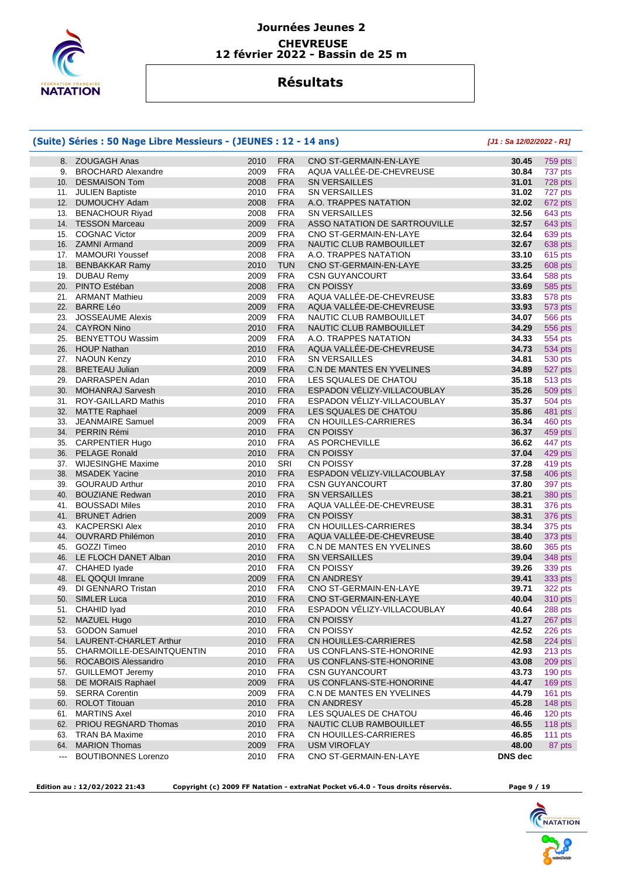

## **Résultats**

### **(Suite) Séries : 50 Nage Libre Messieurs - (JEUNES : 12 - 14 ans) [J1 : Sa 12/02/2022 - R1]** 8. ZOUGAGH Anas 2010 FRA CNO ST-GERMAIN-EN-LAYE **30.45** 759 pts 9. BROCHARD Alexandre 2009 FRA AQUA VALLÉE-DE-CHEVREUSE **30.84** 737 pts 10. DESMAISON Tom 2008 FRA SN VERSAILLES **31.01** 728 pts 11. JULIEN Baptiste 2010 FRA SN VERSAILLES **31.02** 727 pts 12. DUMOUCHY Adam 2008 FRA A.O. TRAPPES NATATION **32.02** 672 pts 13. BENACHOUR Riyad 2008 FRA SN VERSAILLES **32.56** 643 pts 14. TESSON Marceau 2009 FRA ASSO NATATION DE SARTROUVILLE **32.57** 643 pts 15. COGNAC Victor 2009 FRA CNO ST-GERMAIN-EN-LAYE **32.64** 639 pts 16. ZAMNI Armand 2009 FRA NAUTIC CLUB RAMBOUILLET **32.67** 638 pts 17. MAMOURI Youssef 2008 FRA A.O. TRAPPES NATATION **33.10** 615 pts 18. BENBAKKAR Ramy 2010 TUN CNO ST-GERMAIN-EN-LAYE **33.25** 608 pts 19. DUBAU Remy 2009 FRA CSN GUYANCOURT **33.64** 588 pts 20. PINTO Estéban 2008 FRA CN POISSY **33.69** 585 pts 21. ARMANT Mathieu 2009 FRA AQUA VALLÉE-DE-CHEVREUSE **33.83** 578 pts 22. BARRE Léo 2009 FRA AQUA VALLÉE-DE-CHEVREUSE **33.93** 573 pts 23. JOSSEAUME Alexis 2009 FRA NAUTIC CLUB RAMBOUILLET **34.07** 566 pts 24. CAYRON Nino 2010 FRA NAUTIC CLUB RAMBOUILLET **34.29** 556 pts 25. BENYETTOU Wassim 2009 FRA A.O. TRAPPES NATATION **34.33** 554 pts 26. HOUP Nathan 2010 FRA AQUA VALLÉE-DE-CHEVREUSE **34.73** 534 pts 27. NAOUN Kenzy 2010 FRA SN VERSAILLES **34.81** 530 pts 28. BRETEAU Julian 2009 FRA C.N DE MANTES EN YVELINES **34.89** 527 pts 29. DARRASPEN Adan 2010 FRA LES SQUALES DE CHATOU **35.18** 513 pts 30. MOHANRAJ Sarvesh 2010 FRA ESPADON VÉLIZY-VILLACOUBLAY **35.26** 509 pts 31. ROY-GAILLARD Mathis 2010 FRA ESPADON VÉLIZY-VILLACOUBLAY **35.37** 504 pts 32. MATTE Raphael 2009 FRA LES SQUALES DE CHATOU **35.86** 481 pts 33. JEANMAIRE Samuel 2009 FRA CN HOUILLES-CARRIERES **36.34** 460 pts 34. PERRIN Rémi 2010 FRA CN POISSY **36.37** 459 pts



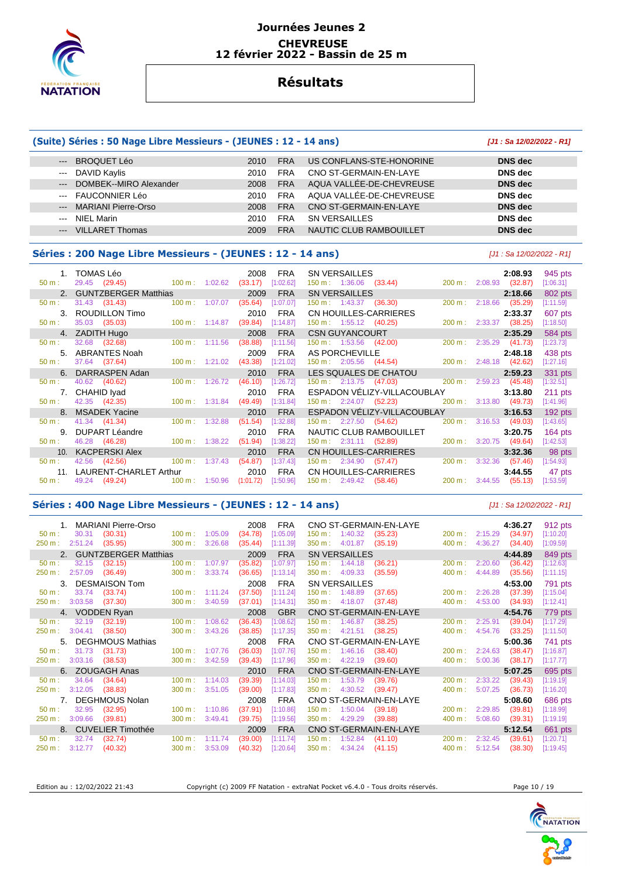

## **Résultats**

### **(Suite) Séries : 50 Nage Libre Messieurs - (JEUNES : 12 - 14 ans) [J1 : Sa 12/02/2022 - R1]** --- BROQUET Léo 2010 FRA US CONFLANS-STE-HONORINE **DNS dec**  --- DAVID Kaylis 2010 FRA CNO ST-GERMAIN-EN-LAYE **DNS dec**  --- DOMBEK--MIRO Alexander 2008 FRA AQUA VALLÉE-DE-CHEVREUSE **DNS dec**  --- FAUCONNIER Léo 2010 FRA AQUA VALLÉE-DE-CHEVREUSE **DNS dec**  --- MARIANI Pierre-Orso 2008 FRA CNO ST-GERMAIN-EN-LAYE **DNS dec**  --- NIEL Marin 2010 FRA SN VERSAILLES **DNS dec**

--- VILLARET Thomas 2009 FRA NAUTIC CLUB RAMBOUILLET **DNS dec** 

#### **Séries : 200 Nage Libre Messieurs - (JEUNES : 12 - 14 ans)** [J1 : Sa 12/02/2022 - R1]

|          | 1. TOMAS Léo            |                           |                                  | 2008      | <b>FRA</b> | <b>SN VERSAILLES</b>                            |                          | 2:08.93 | 945 pts   |
|----------|-------------------------|---------------------------|----------------------------------|-----------|------------|-------------------------------------------------|--------------------------|---------|-----------|
| 50 m:    | 29.45 (29.45)           | $100 \text{ m}$ : 1:02.62 |                                  | (33.17)   | [1:02.62]  | $150 \text{ m}: 1:36.06$ (33.44)                | 200 m: 2:08.93 (32.87)   |         | [1:06.31] |
|          | 2. GUNTZBERGER Matthias |                           |                                  | 2009      | <b>FRA</b> | <b>SN VERSAILLES</b>                            |                          | 2:18.66 | 802 pts   |
| 50 m:    | 31.43 (31.43)           | $100 m$ : 1:07.07         |                                  | (35.64)   | [1:07.07]  | $150 \text{ m}: 1:43.37$ (36.30)                | 200 m: 2:18.66           | (35.29) | [1:11.59] |
|          | 3. ROUDILLON Timo       |                           |                                  | 2010      | <b>FRA</b> | CN HOUILLES-CARRIERES                           |                          | 2:33.37 | 607 pts   |
| 50 m:    | 35.03 (35.03)           | $100 \text{ m}: 1:14.87$  |                                  | (39.84)   | [1:14.87]  | $150 \text{ m}: 1:55.12$ (40.25)                | 200 m: 2:33.37 (38.25)   |         | [1:18.50] |
|          | 4. ZADITH Hugo          |                           |                                  | 2008      | <b>FRA</b> | <b>CSN GUYANCOURT</b>                           |                          | 2:35.29 | 584 pts   |
| 50 m:    | 32.68 (32.68)           | $100 \text{ m}: 1:11.56$  |                                  | (38.88)   | [1:11.56]  | 150 m : 1:53.56 (42.00)                         | 200 m: 2:35.29 (41.73)   |         | [1:23.73] |
| 5.       | ABRANTES Noah           |                           |                                  | 2009      | <b>FRA</b> | AS PORCHEVILLE                                  |                          | 2:48.18 | 438 pts   |
| 50 m:    | 37.64 (37.64)           |                           | $100 \text{ m}: 1:21.02$         | (43.38)   | [1:21.02]  | 150 m : 2:05.56 (44.54)                         | 200 m: 2:48.18 (42.62)   |         | [1:27.16] |
|          | 6. DARRASPEN Adan       |                           |                                  | 2010      | <b>FRA</b> | LES SQUALES DE CHATOU                           |                          | 2:59.23 | 331 pts   |
| 50 m:    | 40.62 (40.62)           |                           | $100 \text{ m}: 1:26.72$         | (46.10)   | [1:26.72]  | 150 m : 2:13.75 (47.03) 200 m : 2:59.23 (45.48) |                          |         | [1:32.51] |
|          | 7. CHAHID Iyad          |                           |                                  | 2010      | <b>FRA</b> | ESPADON VÉLIZY-VILLACOUBLAY                     |                          | 3:13.80 | $211$ pts |
| 50 m:    | 42.35 (42.35)           |                           | $100 \text{ m}: 1:31.84$ (49.49) |           | [1:31.84]  | 150 m : 2:24.07 (52.23)                         | 200 m: 3:13.80 (49.73)   |         | [1:41.96] |
|          | 8. MSADEK Yacine        |                           |                                  | 2010      | <b>FRA</b> | ESPADON VELIZY-VILLACOUBLAY                     |                          | 3:16.53 | $192$ pts |
| 50 m:    | 41.34 (41.34)           | $100 \text{ m}: 1:32.88$  |                                  | (51.54)   | [1:32.88]  | $150 \text{ m}: 2:27.50$ (54.62)                | 200 m: 3:16.53 (49.03)   |         | [1:43.65] |
| 9.       | <b>DUPART Léandre</b>   |                           |                                  | 2010      | <b>FRA</b> | NAUTIC CLUB RAMBOUILLET                         |                          | 3:20.75 | $164$ pts |
| $50 m$ : | 46.28 (46.28)           | $100 \text{ m}: 1:38.22$  |                                  | (51.94)   | [1:38.22]  | 150 m : 2:31.11 (52.89)                         | 200 m : 3:20.75 (49.64)  |         | [1:42.53] |
|          | 10. KACPERSKI Alex      |                           |                                  | 2010      | <b>FRA</b> | CN HOUILLES-CARRIERES                           |                          | 3:32.36 | 98 pts    |
| 50 m:    | 42.56 (42.56)           | $100 \text{ m}: 1:37.43$  |                                  | (54.87)   | [1:37.43]  | 150 m : 2:34.90 (57.47)                         | $200 \text{ m}: 3:32.36$ | (57.46) | [1:54.93] |
| 11.      | LAURENT-CHARLET Arthur  |                           |                                  | 2010      | <b>FRA</b> | CN HOUILLES-CARRIERES                           |                          | 3:44.55 | 47 pts    |
| 50 m:    | 49.24 (49.24)           | $100 m$ :                 | 1:50.96                          | (1:01.72) | [1:50.96]  | $150 \text{ m}: 2:49.42$ (58.46)                | 200 m: 3:44.55 (55.13)   |         | [1:53.59] |

#### **Séries : 400 Nage Libre Messieurs - (JEUNES : 12 - 14 ans)** [J1 : Sa 12/02/2022 - R1]

| MARIANI Pierre-Orso              |                              | 2008<br><b>FRA</b>   | CNO ST-GERMAIN-EN-LAYE                  |                   | 4:36.27 | 912 pts   |
|----------------------------------|------------------------------|----------------------|-----------------------------------------|-------------------|---------|-----------|
| (30.31)<br>30.31<br>$50 m$ :     | $100 m$ :<br>1:05.09         | (34.78)<br>[1:05.09] | 1:40.32<br>$150 m$ :<br>(35.23)         | 2:15.29<br>200 m: | (34.97) | [1:10.20] |
| (35.95)<br>250 m:<br>2:51.24     | 300 m:<br>3:26.68            | (35.44)<br>[1:11.39] | 350 m:<br>4:01.87<br>(35.19)            | 4:36.27<br>400 m: | (34.40) | [1:09.59] |
| <b>GUNTZBERGER Matthias</b>      |                              | 2009<br><b>FRA</b>   | <b>SN VERSAILLES</b>                    |                   | 4:44.89 | 849 pts   |
| (32.15)<br>$50 m$ :<br>32.15     | 100 m:<br>1:07.97            | (35.82)<br>[1:07.97] | (36.21)<br>150 m :<br>1:44.18           | 200 m:<br>2:20.60 | (36.42) | [1:12.63] |
| (36.49)<br>250 m:<br>2:57.09     | 300 m:<br>3:33.74            | (36.65)<br>[1:13.14] | 4:09.33<br>$350 \text{ m}$ :<br>(35.59) | 400 m:<br>4:44.89 | (35.56) | [1:11.15] |
| <b>DESMAISON Tom</b><br>3.       |                              | <b>FRA</b><br>2008   | <b>SN VERSAILLES</b>                    |                   | 4:53.00 | 791 pts   |
| 33.74<br>(33.74)<br>$50 m$ :     | 100 m:<br>1:11.24            | (37.50)<br>[1:11.24] | 1:48.89<br>$150 m$ :<br>(37.65)         | 200 m:<br>2:26.28 | (37.39) | [1:15.04] |
| 250 m:<br>3:03.58<br>(37.30)     | 300 m:<br>3:40.59            | (37.01)<br>[1:14.31] | 350 m:<br>4:18.07<br>(37.48)            | 400 m:<br>4:53.00 | (34.93) | [1:12.41] |
| 4. VODDEN Ryan                   |                              | <b>GBR</b><br>2008   | CNO ST-GERMAIN-EN-LAYE                  |                   | 4:54.76 | 779 pts   |
| 32.19<br>(32.19)<br>$50 m$ :     | $100 \text{ m}$ :<br>1:08.62 | (36.43)<br>[1:08.62] | 150 m:<br>1:46.87<br>(38.25)            | 2:25.91<br>200 m: | (39.04) | [1:17.29] |
| 250 m:<br>3:04.41<br>(38.50)     | 300 m:<br>3:43.26            | (38.85)<br>[1:17.35] | 350 m:<br>4:21.51<br>(38.25)            | 400 m:<br>4:54.76 | (33.25) | [1:11.50] |
|                                  |                              |                      |                                         |                   |         |           |
| <b>DEGHMOUS Mathias</b><br>$5 -$ |                              | 2008<br><b>FRA</b>   | CNO ST-GERMAIN-EN-LAYE                  |                   | 5:00.36 | 741 pts   |
| 31.73<br>(31.73)<br>$50 m$ :     | 100 m:<br>1:07.76            | [1:07.76]<br>(36.03) | 150 m:<br>1:46.16<br>(38.40)            | 200 m:<br>2:24.63 | (38.47) | [1:16.87] |
| 3:03.16<br>250 m:<br>(38.53)     | 300 m:<br>3:42.59            | (39.43)<br>[1:17.96] | 350 m :<br>4:22.19<br>(39.60)           | 400 m:<br>5:00.36 | (38.17) | [1:17.77] |
| 6. ZOUGAGH Anas                  |                              | <b>FRA</b><br>2010   | CNO ST-GERMAIN-EN-LAYE                  |                   | 5:07.25 | 695 pts   |
| 34.64<br>(34.64)<br>$50 m$ :     | $100 \text{ m}$ :<br>1:14.03 | (39.39)<br>[1:14.03] | 150 m: 1:53.79<br>(39.76)               | 2:33.22<br>200 m: | (39.43) | [1:19.19] |
| 3:12.05<br>(38.83)<br>250 m:     | 300 m:<br>3:51.05            | (39.00)<br>[1:17.83] | 4:30.52<br>350 m:<br>(39.47)            | 400 m:<br>5:07.25 | (36.73) | [1:16.20] |
| DEGHMOUS Nolan                   |                              | <b>FRA</b><br>2008   | CNO ST-GERMAIN-EN-LAYE                  |                   | 5:08.60 | 686 pts   |
| 32.95<br>(32.95)<br>$50 m$ :     | 100 m:<br>1:10.86            | (37.91)<br>[1:10.86] | 1:50.04<br>150 m:<br>(39.18)            | 200 m:<br>2:29.85 | (39.81) | [1:18.99] |
| 3:09.66<br>250 m:<br>(39.81)     | 300 m:<br>3:49.41            | (39.75)<br>[1:19.56] | 350 m:<br>4:29.29<br>(39.88)            | 400 m:<br>5:08.60 | (39.31) | [1:19.19] |
| <b>CUVELIER Timothée</b>         |                              | <b>FRA</b><br>2009   | CNO ST-GERMAIN-EN-LAYE                  |                   | 5:12.54 | 661 pts   |
| (32.74)<br>$50 m$ :<br>32.74     | 100 m:<br>1:11.74            | (39.00)<br>[1:11.74] | 150 m:<br>1:52.84<br>(41.10)            | 200 m:<br>2:32.45 | (39.61) | [1:20.71] |

Edition au : 12/02/2022 21:43 Copyright (c) 2009 FF Natation - extraNat Pocket v6.4.0 - Tous droits réservés. Page 10 / 19

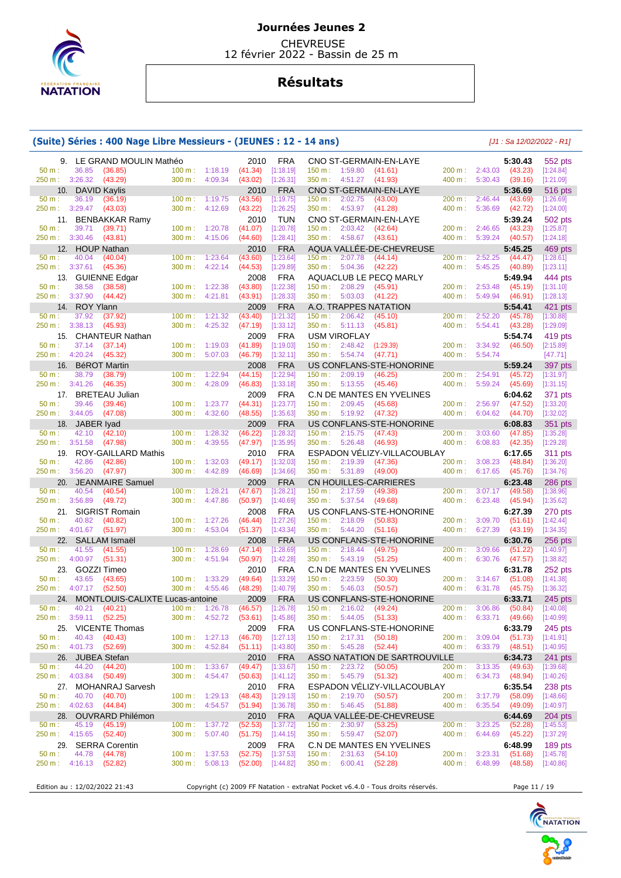

 CHEVREUSE 12 février 2022 - Bassin de 25 m

# **Résultats**

### **(Suite) Séries : 400 Nage Libre Messieurs - (JEUNES : 12 - 14 ans)** [J1 : Sa 12/02/2022 - R1]

| 9.                          | LE GRAND MOULIN Mathéo                                |                                                   | <b>FRA</b><br>2010                           | CNO ST-GERMAIN-EN-LAYE                                                                         | 5:30.43<br>552 pts                                                 |  |
|-----------------------------|-------------------------------------------------------|---------------------------------------------------|----------------------------------------------|------------------------------------------------------------------------------------------------|--------------------------------------------------------------------|--|
| 50 m:                       | 36.85<br>(36.85)                                      | 100 m: 1:18.19<br>300 m:                          | (41.34)<br>[1:18.19]                         | 200 m:<br>150 m: 1:59.80<br>(41.61)<br>400 m:                                                  | 2:43.03<br>[1:24.84]<br>(43.23)<br>5:30.43                         |  |
| 250 m: 3:26.32              | (43.29)<br>10. DAVID Kaylis                           | 4:09.34                                           | (43.02)<br>[1:26.31]<br><b>FRA</b><br>2010   | $350 \text{ m}: 4:51.27$ (41.93)<br>CNO ST-GERMAIN-EN-LAYE                                     | (39.16)<br>[1:21.09]<br>5:36.69<br>516 pts                         |  |
| 50 m:                       | 36.19<br>(36.19)                                      | 100 m:<br>1:19.75                                 | (43.56)<br>[1:19.75]                         | 150 m: 2:02.75<br>(43.00)<br>200 m:                                                            | 2:46.44<br>(43.69)<br>[1:26.69]                                    |  |
| 250 m:                      | 3:29.47<br>(43.03)                                    | $300 m$ :<br>4:12.69                              | (43.22)<br>[1:26.25]                         | 350 m:<br>4:53.97<br>(41.28)<br>400 m:                                                         | 5:36.69<br>(42.72)<br>[1:24.00]                                    |  |
|                             | 11. BENBAKKAR Ramy                                    |                                                   | 2010<br><b>TUN</b>                           | CNO ST-GERMAIN-EN-LAYE                                                                         | 5:39.24<br>502 pts                                                 |  |
| 50 m:<br>250 m :            | 39.71<br>(39.71)<br>3:30.46<br>(43.81)                | 100 m:<br>1:20.78<br>4:15.06<br>$300 \text{ m}$ : | [1:20.78]<br>(41.07)<br>(44.60)<br>[1:28.41] | $150 \text{ m}: 2:03.42$<br>(42.64)<br>200 m:<br>350 m: 4:58.67<br>(43.61)<br>400 m:           | 2:46.65<br>(43.23)<br>[1:25.87]<br>5:39.24<br>[1:24.18]<br>(40.57) |  |
|                             | 12. HOUP Nathan                                       |                                                   | <b>FRA</b><br>2010                           | AQUA VALLEE-DE-CHEVREUSE                                                                       | 5:45.25<br>469 pts                                                 |  |
| 50 m:                       | 40.04<br>(40.04)                                      | $100 m$ :<br>1:23.64                              | [1:23.64]<br>(43.60)                         | 200 m:<br>150 m:<br>2:07.78<br>(44.14)                                                         | 2:52.25<br>(44.47)<br>[1:28.61]                                    |  |
| 250 m: 3:37.61              | (45.36)                                               | 4:22.14<br>300 m:                                 | (44.53)<br>[1:29.89]                         | 400 m:<br>$350 \text{ m}: 5:04.36$<br>(42.22)                                                  | 5:45.25<br>(40.89)<br>[1:23.11]                                    |  |
| 50 m:                       | 13. GUIENNE Edgar<br>38.58<br>(38.58)                 | 1:22.38<br>100 m:                                 | <b>FRA</b><br>2008<br>(43.80)<br>[1:22.38]   | AQUACLUB LE PECQ MARLY<br>150 m: 2:08.29<br>(45.91)<br>200 m:                                  | 5:49.94<br>444 pts<br>2:53.48<br>(45.19)<br>[1:31.10]              |  |
| 250 m :                     | 3:37.90<br>(44.42)                                    | 4:21.81<br>$300 \text{ m}$ :                      | (43.91)<br>[1:28.33]                         | 350 m:<br>5:03.03<br>(41.22)<br>400 m:                                                         | 5:49.94<br>[1:28.13]<br>(46.91)                                    |  |
|                             | 14. ROY Ylann                                         |                                                   | 2009<br><b>FRA</b>                           | A.O. TRAPPES NATATION                                                                          | 5:54.41<br>421 pts                                                 |  |
| 50 m:                       | 37.92<br>(37.92)                                      | 1:21.32<br>100 m:                                 | [1:21.32]<br>(43.40)                         | 200 m:<br>150 m:<br>2:06.42<br>(45.10)                                                         | 2:52.20<br>(45.78)<br>[1:30.88]                                    |  |
| 250 m :                     | 3:38.13<br>(45.93)<br>15. CHANTEUR Nathan             | 300 m:<br>4:25.32                                 | (47.19)<br>[1:33.12]<br><b>FRA</b><br>2009   | (45.81)<br>400 m:<br>$350 \text{ m}: 5:11.13$<br><b>USM VIROFLAY</b>                           | 5:54.41<br>[1:29.09]<br>(43.28)<br>5:54.74<br>419 pts              |  |
| 50 m:                       | 37.14<br>(37.14)                                      | 1:19.03<br>100 m:                                 | [1:19.03]<br>(41.89)                         | (1:29.39)<br>150 m:<br>2:48.42<br>200 m:                                                       | 3:34.92<br>(46.50)<br>[2:15.89]                                    |  |
| 250 m: 4:20.24              | (45.32)                                               | 300 m:<br>5:07.03                                 | (46.79)<br>[1:32.11]                         | (47.71)<br>400 m:<br>350 m : 5:54.74                                                           | 5:54.74<br>[47.71]                                                 |  |
|                             | 16. BéROT Martin                                      |                                                   | <b>FRA</b><br>2008                           | US CONFLANS-STE-HONORINE                                                                       | 5:59.24<br>397 pts                                                 |  |
| 50 m:<br>250 m :            | 38.79<br>(38.79)<br>3:41.26<br>(46.35)                | 1:22.94<br>100 m:<br>4:28.09<br>$300 \text{ m}$ : | [1:22.94]<br>(44.15)<br>[1:33.18]<br>(46.83) | 150 m: 2:09.19<br>(46.25)<br>200 m:<br>350 m: 5:13.55<br>400 m:<br>(45.46)                     | 2:54.91<br>(45.72)<br>[1:31.97]<br>5:59.24<br>[1:31.15]<br>(45.69) |  |
|                             | 17. BRETEAU Julian                                    |                                                   | <b>FRA</b><br>2009                           | C.N DE MANTES EN YVELINES                                                                      | 6:04.62<br>371 pts                                                 |  |
| 50 m:                       | 39.46<br>(39.46)                                      | 1:23.77<br>100 m:                                 | [1:23.77]<br>(44.31)                         | 150 m:<br>2:09.45<br>(45.68)<br>200 m:                                                         | 2:56.97<br>(47.52)<br>[1:33.20]                                    |  |
| 250 m :                     | 3:44.05<br>(47.08)                                    | 300 m:<br>4:32.60                                 | (48.55)<br>[1:35.63]                         | 350 m: 5:19.92<br>(47.32)<br>400 m:                                                            | 6:04.62<br>[1:32.02]<br>(44.70)                                    |  |
| 18.                         | JABER Iyad                                            |                                                   | <b>FRA</b><br>2009                           | US CONFLANS-STE-HONORINE                                                                       | 6:08.83<br>351 pts                                                 |  |
| 50 m:<br>250 m : 3:51.58    | 42.10<br>(42.10)<br>(47.98)                           | 100 m:<br>1:28.32<br>4:39.55<br>300 m:            | [1:28.32]<br>(46.22)<br>(47.97)<br>[1:35.95] | 150 m:<br>2:15.75<br>(47.43)<br>200 m:<br>400 m:<br>350 m: 5:26.48<br>(46.93)                  | 3:03.60<br>(47.85)<br>[1:35.28]<br>[1:29.28]<br>6:08.83<br>(42.35) |  |
| 19.                         | ROY-GAILLARD Mathis                                   |                                                   | <b>FRA</b><br>2010                           | ESPADON VÉLIZY-VILLACOUBLAY                                                                    | 6:17.65<br>311 pts                                                 |  |
| 50 m:                       | 42.86<br>(42.86)                                      | 1:32.03<br>100 m:                                 | [1:32.03]<br>(49.17)                         | 150 m: 2:19.39<br>200 m:<br>(47.36)                                                            | 3:08.23<br>[1:36.20]<br>(48.84)                                    |  |
| 250 m :                     | 3:56.20<br>(47.97)                                    | 300 m:<br>4:42.89                                 | [1:34.66]<br>(46.69)                         | 350 m: 5:31.89<br>400 m:<br>(49.00)                                                            | [1:34.76]<br>6:17.65<br>(45.76)                                    |  |
| 50 m:                       | 20. JEANMAIRE Samuel<br>40.54<br>(40.54)              | 1:28.21<br>100 m:                                 | 2009<br><b>FRA</b><br>(47.67)<br>[1:28.21]   | <b>CN HOUILLES-CARRIERES</b><br>200 m:<br>150 m:<br>2:17.59<br>(49.38)                         | 6:23.48<br>286 pts<br>3:07.17<br>(49.58)<br>[1:38.96]              |  |
| 250 m :                     | 3:56.89<br>(49.72)                                    | 300 m:<br>4:47.86                                 | (50.97)<br>[1:40.69]                         | 350 m: 5:37.54<br>400 m:<br>(49.68)                                                            | 6:23.48<br>(45.94)<br>[1:35.62]                                    |  |
| 21.                         | <b>SIGRIST Romain</b>                                 |                                                   | <b>FRA</b><br>2008                           | US CONFLANS-STE-HONORINE                                                                       | 6:27.39<br>270 pts                                                 |  |
| 50 m:                       | 40.82<br>(40.82)                                      | 1:27.26<br>100 m:                                 | [1:27.26]<br>(46.44)                         | 200 m:<br>150 m:<br>2:18.09<br>(50.83)                                                         | 3:09.70<br>(51.61)<br>[1:42.44]                                    |  |
| 250 m: 4:01.67              | (51.97)                                               | 4:53.04<br>300 m:                                 | (51.37)<br>[1:43.34]                         | 400 m:<br>$350 \text{ m}: 5:44.20$<br>(51.16)                                                  | 6:27.39<br>(43.19)<br>[1:34.35]                                    |  |
| 22.<br>50 m:                | SALLAM Ismaël<br>41.55<br>(41.55)                     | 1:28.69<br>100 m:                                 | <b>FRA</b><br>2008<br>[1:28.69]<br>(47.14)   | US CONFLANS-STE-HONORINE<br>$150 \text{ m}: 2:18.44$<br>(49.75)<br>200 m:                      | 6:30.76<br>$256$ pts<br>3:09.66<br>(51.22)<br>[1:40.97]            |  |
| 250 m :                     | 4:00.97<br>(51.31)                                    | 300 m:<br>4:51.94                                 | (50.97)<br>[1:42.28]                         | 350 m:<br>5:43.19<br>400 m:<br>(51.25)                                                         | 6:30.76<br>[1:38.82]<br>(47.57)                                    |  |
| 23.                         | GOZZI Timeo                                           |                                                   | <b>FRA</b><br>2010                           | <b>C.N DE MANTES EN YVELINES</b>                                                               | 6:31.78<br>252 pts                                                 |  |
| 50 m:                       | 43.65<br>(43.65)                                      | 100 m:<br>1:33.29                                 | (49.64)<br>[1:33.29]                         | 200 m:<br>150 m:<br>2:23.59<br>(50.30)                                                         | [1:41.38]<br>3:14.67<br>(51.08)                                    |  |
| 250 m :<br>24.              | 4:07.17<br>(52.50)<br>MONTLOUIS-CALIXTE Lucas-antoine | 300 m:<br>4:55.46                                 | (48.29)<br>[1:40.79]<br><b>FRA</b><br>2009   | 5:46.03<br>(50.57)<br>400 m:<br>$350 \text{ m}$ :<br>US CONFLANS-STE-HONORINE                  | 6:31.78<br>(45.75)<br>[1:36.32]<br>6:33.71<br>$245$ pts            |  |
| 50 m:                       | 40.21<br>(40.21)                                      | 100 m:<br>1:26.78                                 | (46.57)<br>[1:26.78]                         | 200 m:<br>150 m:<br>2:16.02<br>(49.24)                                                         | 3:06.86<br>(50.84)<br>[1:40.08]                                    |  |
| 250 m :                     | 3:59.11<br>(52.25)                                    | 300 m:<br>4:52.72                                 | [1:45.86]<br>(53.61)                         | 400 m:<br>350 m:<br>5:44.05<br>(51.33)                                                         | [1:40.99]<br>6:33.71<br>(49.66)                                    |  |
|                             | 25. VICENTE Thomas                                    |                                                   | <b>FRA</b><br>2009                           | US CONFLANS-STE-HONORINE                                                                       | 6:33.79<br>$245$ pts                                               |  |
| $50 m$ :<br>250 m :         | 40.43<br>(40.43)<br>4:01.73<br>(52.69)                | 100 m: 1:27.13<br>300 m: 4:52.84                  | [1:27.13]<br>(46.70)<br>(51.11)<br>[1:43.80] | $150 \text{ m}: 2:17.31$<br>(50.18)<br>200 m:<br>350 m: 5:45.28<br>(52.44)<br>400 m :          | $3:09.04$ (51.73)<br>[1:41.91]<br>6:33.79 (48.51)<br>[1:40.95]     |  |
|                             | 26. JUBEA Stefan                                      |                                                   | <b>FRA</b><br>2010                           | ASSO NATATION DE SARTROUVILLE                                                                  | 6:34.73<br>241 pts                                                 |  |
| 50 m:                       | 44.20<br>(44.20)                                      | 100 m: 1:33.67                                    | (49.47)<br>[1:33.67]                         | 150 m : 2:23.72<br>(50.05)<br>200 m:                                                           | 3:13.35<br>(49.63)<br>[1:39.68]                                    |  |
| 250 m: 4:03.84              | (50.49)                                               | 300 m: 4:54.47                                    | (50.63)<br>[1:41.12]                         | 350 m: 5:45.79<br>(51.32)<br>400 m:                                                            | 6:34.73<br>(48.94)<br>[1:40.26]                                    |  |
|                             | 27. MOHANRAJ Sarvesh                                  |                                                   | 2010<br><b>FRA</b>                           | ESPADON VELIZY-VILLACOUBLAY                                                                    | 6:35.54<br>238 pts                                                 |  |
| 50 m:                       | 40.70<br>(40.70)<br>250 m : 4:02.63 (44.84)           | 100 m:<br>1:29.13<br>$300 \text{ m}$ :<br>4:54.57 | (48.43)<br>[1:29.13]<br>(51.94)<br>[1:36.78] | 150 m: 2:19.70<br>(50.57)<br>200 m:<br>$350 \text{ m}: 5:46.45$<br>(51.88)<br>400 m:           | 3:17.79<br>(58.09)<br>[1:48.66]<br>6:35.54<br>(49.09)<br>[1:40.97] |  |
|                             | 28. OUVRARD Philémon                                  |                                                   | <b>FRA</b><br>2010                           | AQUA VALLÉE-DE-CHEVREUSE                                                                       | 6:44.69<br>$204$ pts                                               |  |
| $50 m$ :                    | 45.19<br>(45.19)                                      | 1:37.72<br>$100 \text{ m}$ :                      | (52.53)<br>[1:37.72]                         | 150 m: 2:30.97<br>200 m:<br>(53.25)                                                            | 3:23.25<br>(52.28)<br>[1:45.53]                                    |  |
| 250 m : 4:15.65             | (52.40)                                               | 5:07.40<br>300 m:                                 | (51.75)<br>[1:44.15]                         | 350 m : 5:59.47<br>400 m:<br>(52.07)                                                           | 6:44.69<br>(45.22)<br>[1:37.29]                                    |  |
|                             | 29. SERRA Corentin<br>(44.78)                         |                                                   | 2009<br><b>FRA</b>                           | C.N DE MANTES EN YVELINES                                                                      | 6:48.99<br>189 pts<br>3:23.31                                      |  |
| $50 m$ :<br>250 m : 4:16.13 | 44.78<br>(52.82)                                      | 100 m: 1:37.53<br>5:08.13<br>$300 \text{ m}$ :    | (52.75)<br>[1:37.53]<br>(52.00)<br>[1:44.82] | $150 \text{ m}: 2:31.63$<br>(54.10)<br>200 m:<br>(52.28)<br>$350 \text{ m}: 6:00.41$<br>400 m: | (51.68)<br>[1:45.78]<br>6:48.99<br>(48.58)<br>[1:40.86]            |  |
|                             |                                                       |                                                   |                                              |                                                                                                |                                                                    |  |
|                             | Edition au : 12/02/2022 21:43                         |                                                   |                                              | Copyright (c) 2009 FF Natation - extraNat Pocket v6.4.0 - Tous droits réservés.                | Page 11 / 19                                                       |  |

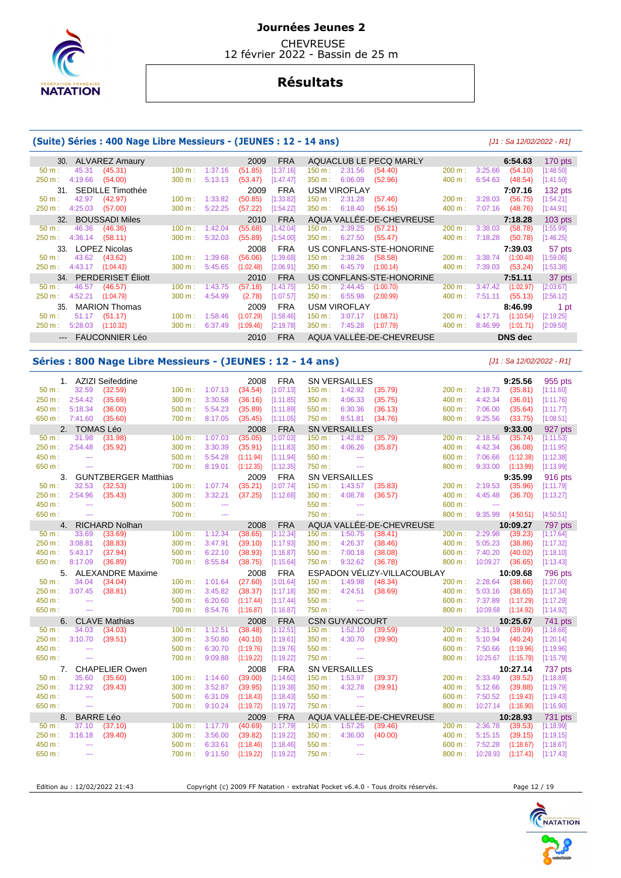

 CHEVREUSE 12 février 2022 - Bassin de 25 m

# **Résultats**

#### **(Suite) Séries : 400 Nage Libre Messieurs - (JEUNES : 12 - 14 ans)** [J1 : Sa 12/02/2022 - R1]

| 30. ALVAREZ Amaury                   |                              | 2009<br><b>FRA</b>     | AQUACLUB LE PECQ MARLY                    |                              | $170$ pts<br>6:54.63   |  |
|--------------------------------------|------------------------------|------------------------|-------------------------------------------|------------------------------|------------------------|--|
| 45.31<br>(45.31)<br>50 m:            | 100 m:<br>1:37.16            | [1:37.16]<br>(51.85)   | 150 m:<br>2:31.56<br>(54.40)              | 3:25.66<br>200 m:            | (54.10)<br>[1:48.50]   |  |
| 4:19.66<br>250 m:<br>(54.00)         | 5:13.13<br>300 m:            | (53.47)<br>[1:47.47]   | 350 m:<br>6:06.09<br>(52.96)              | 400 m:<br>6:54.63            | (48.54)<br>[1:41.50]   |  |
| 31. SEDILLE Timothée                 |                              | <b>FRA</b><br>2009     | <b>USM VIROFLAY</b>                       |                              | 7:07.16<br>$132$ pts   |  |
| 42.97<br>(42.97)<br>$50 m$ :         | 100 m:<br>1:33.82            | (50.85)<br>[1:33.82]   | $150 \text{ m}$ :<br>2:31.28<br>(57.46)   | 3:28.03<br>200 m:            | (56.75)<br>[1:54.21]   |  |
| 250 m:<br>4:25.03<br>(57.00)         | 5:22.25<br>300 m:            | (57.22)<br>[1:54.22]   | 6:18.40<br>(56.15)<br>350 m:              | 400 m:<br>7:07.16            | (48.76)<br>[1:44.91]   |  |
| 32. BOUSSADI Miles                   |                              | <b>FRA</b><br>2010     | AQUA VALLÉE-DE-CHEVREUSE                  |                              | $103$ pts<br>7:18.28   |  |
| 46.36<br>(46.36)<br>$50 m$ :         | 100 m:<br>1:42.04            | (55.68)<br>[1:42.04]   | (57.21)<br>$150 \text{ m}$ :<br>2:39.25   | 3:38.03<br>200 m:            | (58.78)<br>[1:55.99]   |  |
| 4:36.14<br>(58.11)<br>250 m :        | 5:32.03<br>300 m:            | (55.89)<br>[1:54.00]   | 6:27.50<br>350 m:<br>(55.47)              | 7:18.28<br>400 m:            | [1:46.25]<br>(50.78)   |  |
| 33. LOPEZ Nicolas                    |                              | <b>FRA</b><br>2008     | US CONFLANS-STE-HONORINE                  |                              | 57 pts<br>7:39.03      |  |
| 43.62<br>(43.62)<br>$50 m$ :         | 1:39.68<br>$100 \text{ m}$ : | [1:39.68]<br>(56.06)   | 150 m : 2:38.26<br>(58.58)                | 200 m:<br>3:38.74            | (1:00.48)<br>[1:59.06] |  |
| 4:43.17<br>(1:04.43)<br>250 m:       | 5:45.65<br>300 m:            | (1:02.48)<br>[2:06.91] | 350 m:<br>6:45.79<br>(1:00.14)            | 400 m:<br>7:39.03            | (53.24)<br>[1:53.38]   |  |
| 34. PERDERISET Eliott                |                              | <b>FRA</b><br>2010     | US CONFLANS-STE-HONORINE                  |                              | 37 pts<br>7:51.11      |  |
| 46.57<br>(46.57)<br>$50 m$ :         | 100 m:<br>1:43.75            | [1:43.75]<br>(57.18)   | $150 \text{ m}$ :<br>(1:00.70)<br>2:44.45 | 200 m:<br>3:47.42            | [2:03.67]<br>(1:02.97) |  |
| 4:52.21<br>(1:04.79)<br>250 m:       | 4:54.99<br>300 m:            | (2.78)<br>[1:07.57]    | 6:55.98<br>$350 m$ :<br>(2:00.99)         | 400 m:<br>7:51.11            | (55.13)<br>[2:56.12]   |  |
| <b>MARION Thomas</b><br>35.          |                              | <b>FRA</b><br>2009     | <b>USM VIROFLAY</b>                       |                              | 8:46.99<br>1 pt        |  |
| 51.17<br>(51.17)<br>$50 \text{ m}$ : | 100 m:<br>1:58.46            | [1:58.46]<br>(1:07.29) | $150 \text{ m}$ :<br>3:07.17<br>(1:08.71) | $200 \text{ m}$ :<br>4:17.71 | (1:10.54)<br>[2:19.25] |  |
| 5:28.03<br>250 m:<br>(1:10.32)       | 300 m:<br>6:37.49            | (1:09.46)<br>[2:19.78] | 350 m:<br>7:45.28<br>(1:07.79)            | 400 m:<br>8:46.99            | (1:01.71)<br>[2:09.50] |  |
| --- FAUCONNIER Léo                   |                              | <b>FRA</b><br>2010     | AQUA VALLÉE-DE-CHEVREUSE                  |                              | DNS dec                |  |

#### **Séries : 800 Nage Libre Messieurs - (JEUNES : 12 - 14 ans)** [J1 : Sa 12/02/2022 - R1]

|                |                  | 1. AZIZI Seifeddine     |                   |                | 2008      | <b>FRA</b> |                | <b>SN VERSAILLES</b>        |                          |                             |          | 9:25.56   | 955 pts        |
|----------------|------------------|-------------------------|-------------------|----------------|-----------|------------|----------------|-----------------------------|--------------------------|-----------------------------|----------|-----------|----------------|
| $50 m$ :       | 32.59            | (32.59)                 |                   | 100 m: 1:07.13 | (34.54)   | [1:07.13]  | 150 m:         | 1:42.92                     | (35.79)                  | 200 m:                      | 2:18.73  | (35.81)   | [1:11.60]      |
| 250 m:         | 2:54.42          | (35.69)                 | 300 m:            | 3:30.58        | (36.16)   | [1:11.85]  | 350 m:         | 4:06.33                     | (35.75)                  | 400 m:                      | 4:42.34  | (36.01)   | [1:11.76]      |
| 450 m :        | 5:18.34          | (36.00)                 | 500 m:            | 5:54.23        | (35.89)   | [1:11.89]  | 550 m:         | 6:30.36                     | (36.13)                  | 600 m:                      | 7:06.00  | (35.64)   | [1:11.77]      |
| 650 m: 7:41.60 |                  | (35.60)                 | 700 m:            | 8:17.05        | (35.45)   | [1:11.05]  | 750 m:         | 8:51.81                     | (34.76)                  | 800 m:                      | 9:25.56  | (33.75)   | [1:08.51]      |
|                | 2. TOMAS Léo     |                         |                   |                | 2008      | <b>FRA</b> |                | <b>SN VERSAILLES</b>        |                          |                             |          | 9:33.00   | 927 pts        |
| 50 m:          | 31.98            | (31.98)                 | 100 m:            | 1:07.03        | (35.05)   | [1:07.03]  | 150 m: 1:42.82 |                             | (35.79)                  | 200 m:                      | 2:18.56  | (35.74)   | [1:11.53]      |
| 250 m:         | 2:54.48          | (35.92)                 | 300 m:            | 3:30.39        | (35.91)   | [1:11.83]  | 350 m:         | 4:06.26                     | (35.87)                  | 400 m:                      | 4:42.34  | (36.08)   | [1:11.95]      |
| 450 m:         | $\sim$           |                         | 500 m:            | 5:54.28        | (1:11.94) | [1:11.94]  | 550 m:         | $\mathbb{Z} \to \mathbb{Z}$ |                          | 600 m:                      | 7:06.66  | (1:12.38) | [1:12.38]      |
| 650 m:         | $\sim$ $\sim$    |                         | 700 m:            | 8:19.01        | (1:12.35) | [1:12.35]  | 750 m:         | $\sim$ $\sim$               |                          | 800 m:                      | 9:33.00  | (1:13.99) | [1:13.99]      |
|                |                  | 3. GUNTZBERGER Matthias |                   |                | 2009      | <b>FRA</b> |                | <b>SN VERSAILLES</b>        |                          |                             |          | 9:35.99   | 916 pts        |
| $50 m$ :       | 32.53            | (32.53)                 | 100 m:            | 1:07.74        | (35.21)   | [1:07.74]  | 150 m:         | 1:43.57                     | (35.83)                  | 200 m:                      | 2:19.53  | (35.96)   | [1:11.79]      |
| 250 m:         | 2:54.96          | (35.43)                 | 300 m:            | 3:32.21        | (37.25)   | [1:12.68]  | 350 m:         | 4:08.78                     | (36.57)                  | 400 m:                      | 4:45.48  | (36.70)   | [1:13.27]      |
| 450 m:         | $\sim$ $\sim$    |                         | 500 m:            | $\sim$         |           |            | 550 m:         | $\sim$                      |                          | 600 m:                      | $\sim$   |           |                |
| 650 m:         | $\sim$ $\sim$    |                         | 700 m:            | ---            |           |            | 750 m:         | $\cdots$                    |                          | 800 m:                      | 9:35.99  | (4:50.51) | [4:50.51]      |
|                |                  | 4. RICHARD Nolhan       |                   |                | 2008      | <b>FRA</b> |                |                             | AQUA VALLÉE-DE-CHEVREUSE |                             |          | 10:09.27  | 797 pts        |
| $50 m$ :       | 33.69            | (33.69)                 | 100 m:            | 1:12.34        | (38.65)   | [1:12.34]  | 150 m:         | 1:50.75                     | (38.41)                  | 200 m:                      | 2:29.98  | (39.23)   | [1:17.64]      |
| 250 m:         | 3:08.81          | (38.83)                 | 300 m:            | 3:47.91        | (39.10)   | [1:17.93]  | 350 m:         | 4:26.37                     | (38.46)                  | 400 m:                      | 5:05.23  | (38.86)   | [1:17.32]      |
| 450 m:         | 5:43.17          | (37.94)                 | 500 m:            | 6:22.10        | (38.93)   | [1:16.87]  | 550 m:         | 7:00.18                     | (38.08)                  | 600 m:                      | 7:40.20  | (40.02)   | [1:18.10]      |
| 650 m :        | 8:17.09          | (36.89)                 | 700 m:            | 8:55.84        | (38.75)   | [1:15.64]  | 750 m:         | 9:32.62                     | (36.78)                  | 800 m:                      | 10:09.27 | (36.65)   | [1:13.43]      |
|                |                  |                         |                   |                |           |            |                |                             |                          |                             |          |           |                |
|                |                  | 5. ALEXANDRE Maxime     |                   |                | 2008      | <b>FRA</b> |                |                             |                          | ESPADON VÉLIZY-VILLACOUBLAY |          | 10:09.68  | 796 pts        |
| $50 m$ :       | 34.04            | (34.04)                 | 100 m:            | 1:01.64        | (27.60)   | [1:01.64]  | 150 m:         | 1:49.98                     | (48.34)                  | 200 m:                      | 2:28.64  | (38.66)   | [1:27.00]      |
| 250 m:         | 3:07.45          | (38.81)                 | 300 m:            | 3:45.82        | (38.37)   | [1:17.18]  | 350 m:         | 4:24.51                     | (38.69)                  | 400 m:                      | 5:03.16  | (38.65)   | [1:17.34]      |
| 450 m:         | $\sim$           |                         | 500 m:            | 6:20.60        | (1:17.44) | [1:17.44]  | 550 m:         | $\sim$ $\sim$               |                          | 600 m:                      | 7:37.89  | (1:17.29) | [1:17.29]      |
| 650 m:         | $\sim$           |                         | 700 m:            | 8:54.76        | (1:16.87) | [1:16.87]  | 750 m:         | $\sim$ $\sim$               |                          | 800 m:                      | 10:09.68 | (1:14.92) | [1:14.92]      |
|                |                  | 6. CLAVE Mathias        |                   |                | 2008      | <b>FRA</b> |                | <b>CSN GUYANCOURT</b>       |                          |                             |          | 10:25.67  | 741 pts        |
| $50 m$ :       | 34.03            | (34.03)                 | 100 m:            | 1:12.51        | (38.48)   | [1:12.51]  | 150 m:         | 1:52.10                     | (39.59)                  | $200 \text{ m}$ :           | 2:31.19  | (39.09)   | [1:18.68]      |
| 250 m:         | 3:10.70          | (39.51)                 | 300 m:            | 3:50.80        | (40.10)   | [1:19.61]  | 350 m:         | 4:30.70                     | (39.90)                  | 400 m:                      | 5:10.94  | (40.24)   | [1:20.14]      |
| 450 m:         | $\sim$           |                         | 500 m:            | 6:30.70        | (1:19.76) | [1:19.76]  | 550 m:         | $\sim$ $\sim$               |                          | 600 m:                      | 7:50.66  | (1:19.96) | [1:19.96]      |
| 650 m:         | $\sim$           |                         | 700 m:            | 9:09.88        | (1:19.22) | [1:19.22]  | 750 m:         | $\sim$ $\sim$               |                          | 800 m:                      | 10:25.67 | (1:15.79) | [1:15.79]      |
|                |                  | 7. CHAPELIER Owen       |                   |                | 2008      | <b>FRA</b> |                | <b>SN VERSAILLES</b>        |                          |                             |          | 10:27.14  | 737 pts        |
| $50 m$ :       | 35.60            | (35.60)                 | 100 m:            | 1:14.60        | (39.00)   | [1:14.60]  | 150 m:         | 1:53.97                     | (39.37)                  | 200 m:                      | 2:33.49  | (39.52)   | [1:18.89]      |
| 250 m:         | 3:12.92          | (39.43)                 | 300 m:            | 3:52.87        | (39.95)   | [1:19.38]  | 350 m:         | 4:32.78                     | (39.91)                  | 400 m:                      | 5:12.66  | (39.88)   | [1:19.79]      |
| 450 m:         | $\sim$ $\sim$    |                         | 500 m:            | 6:31.09        | (1:18.43) | [1:18.43]  | 550 m:         | $\sim$ $\sim$               |                          | 600 m:                      | 7:50.52  | (1:19.43) | [1:19.43]      |
| 650 m:         | $\sim$ $\sim$    |                         | 700 m:            | 9:10.24        | (1:19.72) | [1:19.72]  | 750 m:         | $\sim$                      |                          | 800 m:                      | 10:27.14 | (1:16.90) | [1:16.90]      |
| 8.             | <b>BARRE Léo</b> |                         |                   |                | 2009      | <b>FRA</b> |                |                             | AQUA VALLÉE-DE-CHEVREUSE |                             |          | 10:28.93  | <b>731 pts</b> |
| $50 m$ :       | 37.10            | (37.10)                 | $100 \text{ m}$ : | 1:17.79        | (40.69)   | [1:17.79]  | 150 m:         | 1:57.25                     | (39.46)                  | 200 m:                      | 2:36.78  | (39.53)   | [1:18.99]      |
| 250 m:         | 3:16.18          | (39.40)                 | 300 m:            | 3:56.00        | (39.82)   | [1:19.22]  | 350 m:         | 4:36.00                     | (40.00)                  | 400 m:                      | 5:15.15  | (39.15)   | [1:19.15]      |
| 450 m:         | $\sim$           |                         | 500 m:            | 6:33.61        | (1:18.46) | [1:18.46]  | 550 m:         | $\frac{1}{2}$               |                          | 600 m:                      | 7:52.28  | (1:18.67) | [1:18.67]      |
| 650 m:         | $\sim$           |                         | 700 m:            | 9:11.50        | (1:19.22) | [1:19.22]  | 750 m:         | $\cdots$                    |                          | 800 m:                      | 10:28.93 | (1:17.43) | [1:17.43]      |

Edition au : 12/02/2022 21:43 Copyright (c) 2009 FF Natation - extraNat Pocket v6.4.0 - Tous droits réservés. Page 12 / 19

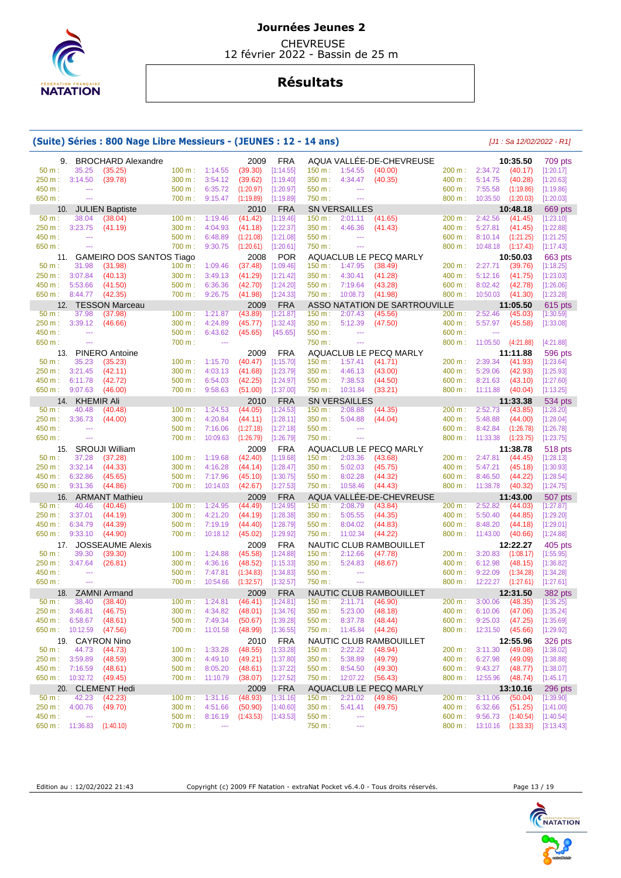

 CHEVREUSE 12 février 2022 - Bassin de 25 m

# **Résultats**

|                  |                           | (Suite) Séries : 800 Nage Libre Messieurs - (JEUNES : 12 - 14 ans) |                          |                                  |                                  |             |         |                             |                                |        |                                  |           | $[J1: Sa 12/02/2022 - R1]$ |
|------------------|---------------------------|--------------------------------------------------------------------|--------------------------|----------------------------------|----------------------------------|-------------|---------|-----------------------------|--------------------------------|--------|----------------------------------|-----------|----------------------------|
| 9.               |                           | <b>BROCHARD Alexandre</b>                                          |                          |                                  | 2009                             | <b>FRA</b>  |         |                             | AQUA VALLÉE-DE-CHEVREUSE       |        |                                  | 10:35.50  | 709 pts                    |
| 50 m:            | 35.25                     | (35.25)                                                            | 100 m: 1:14.55           |                                  | (39.30)                          | [1:14.55]   | 150 m:  | 1:54.55                     | (40.00)                        |        | 200 m: 2:34.72                   | (40.17)   | [1:20.17]                  |
| 250 m:           | 3:14.50                   | (39.78)                                                            | 300 m:                   | 3:54.12                          | (39.62)                          | [1:19.40]   | 350 m:  | 4:34.47                     | (40.35)                        | 400 m: | 5:14.75                          | (40.28)   | [1:20.63]                  |
| 450 m:           | $\overline{a}$            |                                                                    | $500 \text{ m}$ :        | 6:35.72                          | (1:20.97)                        | [1:20.97]   | 550 m:  | $\sim$ $\sim$               |                                | 600 m: | 7:55.58                          | (1:19.86) | [1:19.86]                  |
| 650 m:           | $\sim$                    |                                                                    | 700 m:                   | 9:15.47                          | (1:19.89)                        | [1:19.89]   | 750 m:  | $\sim$                      |                                | 800 m: | 10:35.50                         | (1:20.03) | [1:20.03]                  |
| 10.              |                           | <b>JULIEN Baptiste</b>                                             |                          |                                  | 2010                             | <b>FRA</b>  |         | <b>SN VERSAILLES</b>        |                                |        |                                  | 10:48.18  | 669 pts                    |
| 50 m:            | 38.04                     | (38.04)                                                            | 100 m:                   | 1:19.46                          | (41.42)                          | [1:19.46]   | 150 m:  | 2:01.11                     | (41.65)                        | 200 m: | 2:42.56                          | (41.45)   | [1:23.10]                  |
| 250 m:           | 3:23.75                   | (41.19)                                                            | 300 m:                   | 4:04.93                          | (41.18)                          | [1:22.37]   | 350 m:  | 4:46.36                     | (41.43)                        | 400 m: | 5:27.81                          | (41.45)   | [1:22.88]                  |
| 450 m:           | $\hspace{0.05cm} \ldots$  |                                                                    | $500 m$ :                | 6:48.89                          | (1:21.08)                        | [1:21.08]   | 550 m:  | $\scriptstyle\cdots$        |                                | 600 m: | 8:10.14                          | (1:21.25) | [1:21.25]                  |
| 650 m:           | $\sim$                    |                                                                    | 700 m:                   | 9:30.75                          | (1:20.61)                        |             | 750 m:  | $\sim$ $\sim$               |                                | 800 m: | 10:48.18                         | (1:17.43) | [1:17.43]                  |
|                  |                           |                                                                    |                          |                                  |                                  | [1:20.61]   |         |                             |                                |        |                                  |           |                            |
| 11.              |                           | <b>GAMEIRO DOS SANTOS Tiago</b>                                    |                          |                                  | 2008                             | POR         |         |                             | AQUACLUB LE PECQ MARLY         |        |                                  | 10:50.03  | 663 pts                    |
| 50 m:            | 31.98                     | (31.98)                                                            | 100 m:                   | 1:09.46                          | (37.48)                          | [1:09.46]   | 150 m:  | 1:47.95                     | (38.49)                        | 200 m: | 2:27.71                          | (39.76)   | [1:18.25]                  |
| 250 m:           | 3:07.84                   | (40.13)                                                            | 300 m:                   | 3:49.13                          | (41.29)                          | [1:21.42]   | 350 m : | 4:30.41                     | (41.28)                        | 400 m: | 5:12.16                          | (41.75)   | [1:23.03]                  |
| 450 m:           | 5:53.66                   | (41.50)                                                            | 500 m:                   | 6:36.36                          | (42.70)                          | [1:24.20]   | 550 m:  | 7:19.64                     | (43.28)                        | 600 m: | 8:02.42                          | (42.78)   | [1:26.06]                  |
| 650 m:           | 8:44.77                   | (42.35)                                                            | 700 m :                  | 9:26.75                          | (41.98)                          | [1:24.33]   | 750 m : | 10:08.73                    | (41.98)                        | 800 m: | 10:50.03                         | (41.30)   | [1:23.28]                  |
| 12.              |                           | <b>TESSON Marceau</b>                                              |                          |                                  | 2009                             | <b>FRA</b>  |         |                             | ASSO NATATION DE SARTROUVILLE  |        |                                  | 11:05.50  | 615 pts                    |
| 50 m:            | 37.98                     | (37.98)                                                            | 100 m:                   | 1:21.87                          | (43.89)                          | [1:21.87]   | 150 m:  | 2:07.43                     | (45.56)                        | 200 m: | 2:52.46                          | (45.03)   | [1:30.59]                  |
| 250 m:           | 3:39.12                   | (46.66)                                                            | 300 m:                   | 4:24.89                          | (45.77)                          | [1:32.43]   | 350 m : | 5:12.39                     | (47.50)                        | 400 m: | 5:57.97                          | (45.58)   | [1:33.08]                  |
| 450 m:           | 44                        |                                                                    | 500 m:                   | 6:43.62                          | (45.65)                          | [45.65]     | 550 m:  | $\sim$ $\sim$               |                                | 600 m: | $\overline{a}$                   |           |                            |
| 650 m:           | $\overline{\phantom{a}}$  |                                                                    | 700 m:                   | $\overline{a}$                   |                                  |             | 750 m:  | $\sim$ $\sim$               |                                | 800 m: | 11:05.50                         | (4:21.88) | [4:21.88]                  |
| 13.              |                           | <b>PINERO Antoine</b>                                              |                          |                                  | 2009                             | <b>FRA</b>  |         |                             | AQUACLUB LE PECQ MARLY         |        |                                  | 11:11.88  | 596 pts                    |
| 50 m:            | 35.23                     | (35.23)                                                            | 100 m:                   | 1:15.70                          | (40.47)                          | [1:15.70]   | 150 m:  | 1:57.41                     | (41.71)                        | 200 m: | 2:39.34                          | (41.93)   | [1:23.64]                  |
| 250 m:           | 3:21.45                   | (42.11)                                                            | 300 m:                   | 4:03.13                          | (41.68)                          | [1:23.79]   | 350 m:  | 4:46.13                     | (43.00)                        | 400 m: | 5:29.06                          | (42.93)   | [1:25.93]                  |
| 450 m:           | 6:11.78                   | (42.72)                                                            | 500 m:                   | 6:54.03                          | (42.25)                          | [1:24.97]   | 550 m:  | 7:38.53                     | (44.50)                        | 600 m: | 8:21.63                          | (43.10)   | [1:27.60]                  |
| 650 m:           | 9:07.63                   | (46.00)                                                            | 700 m :                  | 9:58.63                          | (51.00)                          | [1:37.00]   | 750 m : | 10:31.84                    | (33.21)                        | 800 m: | 11:11.88                         | (40.04)   | [1:13.25]                  |
|                  |                           |                                                                    |                          |                                  |                                  |             |         |                             |                                |        |                                  |           |                            |
|                  | 14. KHEMIR Ali            |                                                                    |                          |                                  | 2010                             | <b>FRA</b>  |         | <b>SN VERSAILLES</b>        |                                |        |                                  | 11:33.38  | 534 pts                    |
| 50 m:            | 40.48                     | (40.48)                                                            | 100 m:                   | 1:24.53                          | (44.05)                          | [1:24.53]   | 150 m:  | 2:08.88                     | (44.35)                        | 200 m: | 2:52.73                          | (43.85)   | [1:28.20]                  |
| 250 m:           | 3:36.73                   | (44.00)                                                            | 300 m:                   | 4:20.84                          | (44.11)                          | [1:28.11]   | 350 m : | 5:04.88                     | (44.04)                        | 400 m: | 5:48.88                          | (44.00)   | [1:28.04]                  |
| 450 m:           | $\overline{\phantom{a}}$  |                                                                    | 500 m:                   | 7:16.06                          | (1:27.18)                        | [1:27.18]   | 550 m:  | $\sim$ $\sim$               |                                | 600 m: | 8:42.84                          | (1:26.78) | [1:26.78]                  |
| 650 m:           | ---                       |                                                                    | 700 m:                   | 10:09.63                         | (1:26.79)                        | [1:26.79]   | 750 m:  | $\sim$ $\sim$               |                                | 800 m: | 11:33.38                         | (1:23.75) | [1:23.75]                  |
| 15.              |                           | <b>SROUJI William</b>                                              |                          |                                  | 2009                             | <b>FRA</b>  |         |                             | AQUACLUB LE PECQ MARLY         |        |                                  | 11:38.78  | 518 pts                    |
| 50 m:            | 37.28                     | (37.28)                                                            | 100 m:                   | 1:19.68                          | (42.40)                          | [1:19.68]   | 150 m:  | 2:03.36                     | (43.68)                        | 200 m: | 2:47.81                          | (44.45)   | [1:28.13]                  |
| 250 m:           | 3:32.14                   | (44.33)                                                            | 300 m:                   | 4:16.28                          | (44.14)                          | [1:28.47]   | 350 m:  | 5:02.03                     | (45.75)                        | 400 m: | 5:47.21                          | (45.18)   | [1:30.93]                  |
| 450 m:           | 6:32.86                   | (45.65)                                                            | 500 m:                   | 7:17.96                          | (45.10)                          | [1:30.75]   | 550 m : | 8:02.28                     | (44.32)                        | 600 m: | 8:46.50                          | (44.22)   | [1:28.54]                  |
| 650 m:           | 9:31.36                   | (44.86)                                                            | 700 m:                   | 10:14.03                         | (42.67)                          | [1:27.53]   | 750 m : | 10:58.46                    | (44.43)                        | 800 m: | 11:38.78                         | (40.32)   | [1:24.75]                  |
| 16.              |                           | <b>ARMANT Mathieu</b>                                              |                          |                                  | 2009                             | <b>FRA</b>  |         |                             | AQUA VALLÉE-DE-CHEVREUSE       |        |                                  | 11:43.00  | 507 pts                    |
| $50 m$ :         | 40.46                     | (40.46)                                                            | 100 m:                   | 1:24.95                          | (44.49)                          | [1:24.95]   | 150 m:  | 2:08.79                     | (43.84)                        | 200 m: | 2:52.82                          | (44.03)   | [1:27.87]                  |
| 250 m:           | 3:37.01                   | (44.19)                                                            | 300 m:                   | 4:21.20                          | (44.19)                          | [1:28.38]   | 350 m:  | 5:05.55                     | (44.35)                        | 400 m: | 5:50.40                          | (44.85)   | [1:29.20]                  |
| 450 m:           | 6:34.79                   | (44.39)                                                            | 500 m:                   | 7:19.19                          | (44.40)                          | [1:28.79]   | 550 m:  | 8:04.02                     | (44.83)                        | 600 m: | 8:48.20                          | (44.18)   | [1:29.01]                  |
| 650 m:           | 9:33.10                   | (44.90)                                                            | 700 m:                   | 10:18.12                         | (45.02)                          | [1:29.92]   | 750 m:  | 11:02.34                    | (44.22)                        | 800 m: | 11:43.00                         | (40.66)   | [1:24.88]                  |
|                  |                           |                                                                    |                          |                                  |                                  |             |         |                             |                                |        |                                  |           |                            |
| 17.<br>$50 m$ :  |                           | <b>JOSSEAUME Alexis</b>                                            |                          |                                  | 2009                             | <b>FRA</b>  |         |                             | NAUTIC CLUB RAMBOUILLET        |        |                                  | 12:22.27  | 405 pts                    |
|                  | 39.30                     | (39.30)                                                            | 100 m:                   | 1:24.88                          | (45.58)                          | [1:24.88]   | 150 m:  | 2:12.66                     | (47.78)                        | 200 m: | 3:20.83                          | (1:08.17) | [1:55.95]                  |
| 250 m:           | 3:47.64                   | (26.81)                                                            | 300 m:                   | 4:36.16                          | (48.52)                          | [1:15.33]   | 350 m : | 5:24.83                     | (48.67)                        | 400 m: | 6:12.98                          | (48.15)   | [1:36.82]                  |
| 450 m:           | $-$                       |                                                                    | 500 m:                   | 7:47.81                          | (1:34.83)                        | [1:34.83]   | 550 m:  | $\mathbb{Z} \to \mathbb{Z}$ |                                | 600 m: | 9:22.09                          | (1:34.28) | [1:34.28]                  |
| 650 m:           | $\scriptstyle\cdots$      |                                                                    | 700 m: 10:54.66          |                                  | (1:32.57)                        | [1:32.57]   | 750 m:  | $\sim$ $\sim$               |                                |        | 800 m: 12:22.27                  | (1:27.61) | [1:27.61]                  |
|                  |                           | 18. ZAMNI Armand                                                   |                          |                                  | 2009                             | <b>FRA</b>  |         |                             | <b>NAUTIC CLUB RAMBOUILLET</b> |        |                                  | 12:31.50  | <b>382 pts</b>             |
| $50 m$ :         |                           | 38.40 (38.40)                                                      |                          | $100 \text{ m}: 1:24.81 (46.41)$ |                                  | [1:24.81]   |         | 150 m : 2:11.71 (46.90)     |                                |        | 200 m: 3:00.06 (48.35) [1:35.25] |           |                            |
| 250 m: 3:46.81   |                           | (46.75)                                                            |                          |                                  | 300 m: 4:34.82 (48.01) [1:34.76] |             |         | 350 m : 5:23.00             | (48.18)                        |        | 400 m: 6:10.06 (47.06) [1:35.24] |           |                            |
| 450 m : 6:58.67  |                           | (48.61)                                                            |                          | 500 m: 7:49.34                   | $(50.67)$ [1:39.28]              |             |         | 550 m: 8:37.78              | (48.44)                        |        | 600 m: 9:25.03                   | (47.25)   | [1:35.69]                  |
| 650 m: 10:12.59  |                           | (47.56)                                                            |                          | 700 m: 11:01.58                  | (48.99)                          | $[1:36.55]$ |         | 750 m: 11:45.84             | (44.26)                        |        | 800 m: 12:31.50 (45.66)          |           | [1:29.92]                  |
|                  |                           | 19. CAYRON Nino                                                    |                          |                                  | 2010                             | FRA         |         |                             | NAUTIC CLUB RAMBOUILLET        |        |                                  | 12:55.96  | 326 pts                    |
| 50 m:            | 44.73                     | (44.73)                                                            | 100 m:                   | 1:33.28                          | (48.55)                          | [1:33.28]   |         | 150 m : 2:22.22             | (48.94)                        |        | 200 m: 3:11.30                   | (49.08)   | [1:38.02]                  |
| 250 m: 3:59.89   |                           | (48.59)                                                            | $300 \text{ m}: 4:49.10$ |                                  | (49.21)                          | [1:37.80]   |         | 350 m: 5:38.89              | (49.79)                        |        | 400 m: 6:27.98                   | (49.09)   | [1:38.88]                  |
| 450 m: 7:16.59   |                           | (48.61)                                                            | $500 \text{ m}: 8:05.20$ |                                  | (48.61)                          | [1:37.22]   |         | 550 m : 8:54.50             | (49.30)                        |        | 600 m : 9:43.27                  | (48.77)   | [1:38.07]                  |
| 650 m : 10:32.72 |                           | (49.45)                                                            |                          | 700 m: 11:10.79                  | (38.07)                          | [1:27.52]   |         | 750 m : 12:07.22            | (56.43)                        |        | 800 m: 12:55.96 (48.74)          |           | [1:45.17]                  |
|                  |                           |                                                                    |                          |                                  |                                  |             |         |                             |                                |        |                                  |           |                            |
|                  |                           | 20. CLEMENT Hedi                                                   |                          |                                  | 2009                             | <b>FRA</b>  |         |                             | AQUACLUB LE PECQ MARLY         |        |                                  | 13:10.16  | 296 pts                    |
| $50 m$ :         | 42.23                     | (42.23)                                                            |                          | $100 \text{ m}: 1:31.16$         | (48.93)                          | [1:31.16]   |         | 150 m: 2:21.02              | (49.86)                        |        | 200 m: 3:11.06                   | (50.04)   | [1:39.90]                  |
| 250 m: 4:00.76   |                           | (49.70)                                                            | 300 m: 4:51.66           |                                  | (50.90)                          | [1:40.60]   |         | 350 m : 5:41.41             | (49.75)                        |        | 400 m: 6:32.66                   | (51.25)   | [1:41.00]                  |
| 450 m :          | $\sim$                    |                                                                    |                          | $500 \text{ m}: 8:16.19$         | (1:43.53)                        | [1:43.53]   | 550 m:  | $\scriptstyle\cdots$        |                                |        | 600 m: 9:56.73 (1:40.54)         |           | [1:40.54]                  |
|                  | 650 m: 11:36.83 (1:40.10) |                                                                    | 700 m:                   | $\sim$ $\sim$                    |                                  |             | 750 m : | $\sim$                      |                                |        | 800 m: 13:10.16 (1:33.33)        |           | [3:13.43]                  |

Edition au : 12/02/2022 21:43 Copyright (c) 2009 FF Natation - extraNat Pocket v6.4.0 - Tous droits réservés. Page 13 / 19



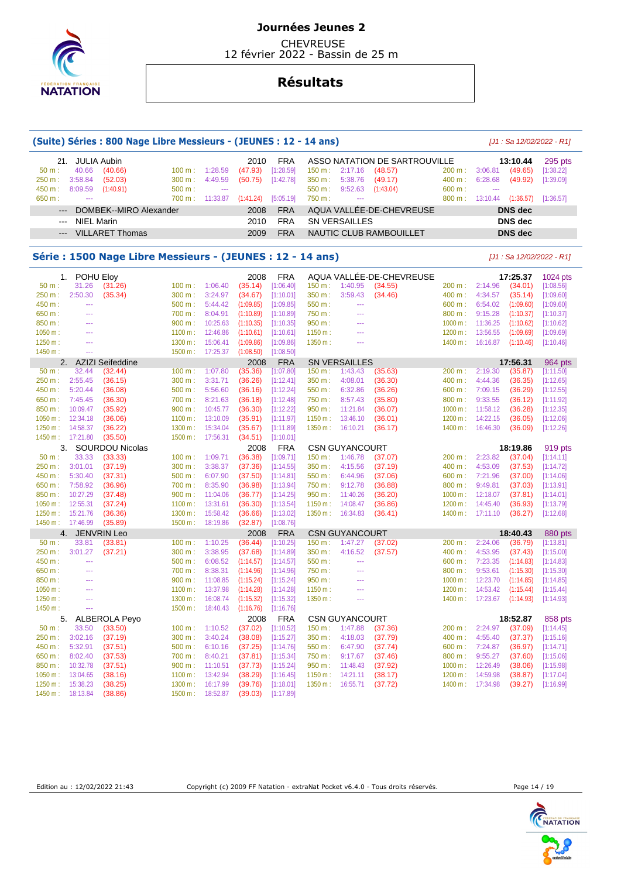

 CHEVREUSE 12 février 2022 - Bassin de 25 m

## **Résultats**

|                     |                   | (Suite) Séries : 800 Nage Libre Messieurs - (JEUNES : 12 - 14 ans) |                  |                    |                        |                        |                  |                                  |                               |                  |                    |                            | $[J1: Sa 12/02/2022 - R1]$ |
|---------------------|-------------------|--------------------------------------------------------------------|------------------|--------------------|------------------------|------------------------|------------------|----------------------------------|-------------------------------|------------------|--------------------|----------------------------|----------------------------|
|                     |                   |                                                                    |                  |                    |                        | <b>FRA</b>             |                  |                                  | ASSO NATATION DE SARTROUVILLE |                  |                    |                            |                            |
| 21.<br>50 m:        | 40.66             | <b>JULIA Aubin</b><br>(40.66)                                      | 100 m:           | 1:28.59            | 2010<br>(47.93)        | [1:28.59]              | 150 m:           | 2:17.16                          | (48.57)                       | 200 m:           | 3:06.81            | 13:10.44<br>(49.65)        | 295 pts<br>[1:38.22]       |
| 250 m :             | 3:58.84           | (52.03)                                                            | 300 m:           | 4:49.59            | (50.75)                | [1:42.78]              | 350 m :          | 5:38.76                          | (49.17)                       | 400 m:           | 6:28.68            | (49.92)                    | [1:39.09]                  |
| 450 m :             | 8:09.59           | (1:40.91)                                                          | 500 m:           | ---                |                        |                        | 550 m:           | 9:52.63                          | (1:43.04)                     | 600 m:           | ---                |                            |                            |
| 650 m:              | <u>.</u>          |                                                                    | 700 m:           | 11:33.87           | (1:41.24)              | [5:05.19]              | 750 m:           | 444                              |                               | 800 m:           | 13:10.44           | (1:36.57)                  | [1:36.57]                  |
| $\qquad \qquad - -$ |                   | DOMBEK--MIRO Alexander                                             |                  |                    | 2008                   | <b>FRA</b>             |                  |                                  | AQUA VALLÉE-DE-CHEVREUSE      |                  |                    | DNS dec                    |                            |
| ---                 | <b>NIEL Marin</b> |                                                                    |                  |                    | 2010                   | <b>FRA</b>             |                  | <b>SN VERSAILLES</b>             |                               |                  |                    | <b>DNS</b> dec             |                            |
|                     |                   |                                                                    |                  |                    |                        |                        |                  |                                  |                               |                  |                    |                            |                            |
|                     |                   | <b>VILLARET Thomas</b>                                             |                  |                    | 2009                   | <b>FRA</b>             |                  |                                  | NAUTIC CLUB RAMBOUILLET       |                  |                    | <b>DNS</b> dec             |                            |
|                     |                   | Série : 1500 Nage Libre Messieurs - (JEUNES : 12 - 14 ans)         |                  |                    |                        |                        |                  |                                  |                               |                  |                    |                            | $[J1: Sa 12/02/2022 - R1]$ |
| 1.                  | POHU Eloy         |                                                                    |                  |                    | 2008                   | <b>FRA</b>             |                  |                                  | AQUA VALLÉE-DE-CHEVREUSE      |                  |                    | 17:25.37                   | 1024 pts                   |
| 50 m:               | 31.26             | (31.26)                                                            | 100 m:           | 1:06.40            | (35.14)                | [1:06.40]              | 150 m:           | 1:40.95                          | (34.55)                       | 200 m:           | 2:14.96            | (34.01)                    | [1:08.56]                  |
| 250 m :             | 2:50.30           | (35.34)                                                            | 300 m:           | 3:24.97            | (34.67)                | [1:10.01]              | 350 m :          | 3:59.43                          | (34.46)                       | 400 m:           | 4:34.57            | (35.14)                    | [1:09.60]                  |
| 450 m:              | $\overline{a}$    |                                                                    | 500 m:           | 5:44.42            | (1:09.85)              | [1:09.85]              | 550 m:           | 444                              |                               | 600 m:           | 6:54.02            | (1:09.60)                  | [1:09.60]                  |
| 650 m:              | ---               |                                                                    | 700 m:           | 8:04.91            | (1:10.89)              | [1:10.89]              | 750 m:           | ---                              |                               | 800 m:           | 9:15.28            | (1:10.37)                  | [1:10.37]                  |
| 850 m:              | ---               |                                                                    | 900 m:           | 10:25.63           | (1:10.35)              | [1:10.35]              | 950 m:           | ---                              |                               | 1000 m:          | 11:36.25           | (1:10.62)                  | [1:10.62]                  |
| 1050 m:             | ---               |                                                                    | 1100 m:          | 12:46.86           | (1:10.61)              | [1:10.61]              | 1150 m:          | ---                              |                               | 1200 m:          | 13:56.55           | (1:09.69)                  | [1:09.69]                  |
| 1250 m:             | $\sim$            |                                                                    | 1300 m:          | 15:06.41           | (1:09.86)              | [1:09.86]              | 1350 m:          | ---                              |                               | 1400 m:          | 16:16.87           | (1:10.46)                  | [1:10.46]                  |
| 1450 m:             | <u>.</u>          |                                                                    | 1500 m:          | 17:25.37           | (1:08.50)              | [1:08.50]              |                  |                                  |                               |                  |                    |                            |                            |
| 2.                  |                   | <b>AZIZI Seifeddine</b>                                            |                  |                    | 2008                   | <b>FRA</b>             |                  | <b>SN VERSAILLES</b>             |                               |                  |                    | 17:56.31                   | 964 pts                    |
| 50 m:               | 32.44             | (32.44)                                                            | 100 m:           | 1:07.80            | (35.36)                | [1:07.80]              | 150 m:           | 1:43.43                          | (35.63)                       | 200 m:           | 2:19.30            | (35.87)                    | [1:11.50]                  |
| 250 m:              | 2:55.45           | (36.15)                                                            | 300 m:           | 3:31.71            | (36.26)                | [1:12.41]              | 350 m :          | 4:08.01                          | (36.30)                       | 400 m:           | 4:44.36            | (36.35)                    | [1:12.65]                  |
| 450 m:              | 5:20.44           | (36.08)                                                            | 500 m:           | 5:56.60            | (36.16)                | [1:12.24]              | 550 m:           | 6:32.86                          | (36.26)                       | 600 m:           | 7:09.15            | (36.29)                    | [1:12.55]                  |
| 650 m:              | 7:45.45           | (36.30)                                                            | 700 m:           | 8:21.63            | (36.18)                | [1:12.48]              | 750 m :          | 8:57.43                          | (35.80)                       | 800 m:           | 9:33.55            | (36.12)                    | [1:11.92]                  |
| 850 m:              | 10:09.47          | (35.92)                                                            | 900 m:           | 10:45.77           | (36.30)                | [1:12.22]              | 950 m:           | 11:21.84                         | (36.07)                       | 1000 m:          | 11:58.12           | (36.28)                    | [1:12.35]                  |
| 1050 m:             | 12:34.18          | (36.06)                                                            | 1100 m:          | 13:10.09           | (35.91)                | [1:11.97]              | 1150 m:          | 13:46.10                         | (36.01)                       | 1200 m:          | 14:22.15           | (36.05)                    | [1:12.06]                  |
| 1250 m:             | 14:58.37          | (36.22)                                                            | 1300 m:          | 15:34.04           | (35.67)                | [1:11.89]              | 1350 m:          | 16:10.21                         | (36.17)                       | 1400 m:          | 16:46.30           | (36.09)                    | [1:12.26]                  |
| 1450 m:             | 17:21.80          | (35.50)                                                            | 1500 m:          | 17:56.31           | (34.51)                | [1:10.01]              |                  |                                  |                               |                  |                    |                            |                            |
| 3.                  |                   | <b>SOURDOU Nicolas</b>                                             |                  |                    | 2008                   | <b>FRA</b>             |                  | <b>CSN GUYANCOURT</b>            |                               |                  |                    | 18:19.86                   | 919 pts                    |
| 50 m:               | 33.33             | (33.33)                                                            | 100 m:           | 1:09.71            | (36.38)                | [1:09.71]              | 150 m:           | 1:46.78                          | (37.07)                       | 200 m:           | 2:23.82            | (37.04)                    | [1:14.11]                  |
| 250 m :             | 3:01.01           | (37.19)                                                            | 300 m:           | 3:38.37            | (37.36)                | [1:14.55]              | 350 m :          | 4:15.56                          | (37.19)                       | 400 m:           | 4:53.09            | (37.53)                    | [1:14.72]                  |
| 450 m :             | 5:30.40           | (37.31)                                                            | 500 m:           | 6:07.90            | (37.50)                | [1:14.81]              | 550 m:           | 6:44.96                          | (37.06)                       | 600 m:           | 7:21.96            | (37.00)                    | [1:14.06]                  |
| 650 m :             | 7:58.92           | (36.96)                                                            | 700 m:           | 8:35.90            | (36.98)                | [1:13.94]              | 750 m :          | 9:12.78                          | (36.88)                       | 800 m:           | 9:49.81            | (37.03)                    | [1:13.91]                  |
| 850 m:              | 10:27.29          | (37.48)                                                            | 900 m:           | 11:04.06           | (36.77)                | [1:14.25]              | 950 m:           | 11:40.26                         | (36.20)                       | 1000 m:          | 12:18.07           | (37.81)                    | [1:14.01]                  |
| 1050 m:             | 12:55.31          | (37.24)                                                            | 1100 m:          | 13:31.61           | (36.30)                | [1:13.54]              | 1150 m:          | 14:08.47                         | (36.86)                       | 1200 m:          | 14:45.40           | (36.93)                    | [1:13.79]                  |
| 1250 m:             | 15:21.76          | (36.36)                                                            | 1300 m:          | 15:58.42           | (36.66)                | [1:13.02]              | 1350 m:          | 16:34.83                         | (36.41)                       | 1400 m:          | 17:11.10           | (36.27)                    | [1:12.68]                  |
| 1450 m:             | 17:46.99          | (35.89)                                                            | 1500 m:          | 18:19.86           | (32.87)                | [1:08.76]              |                  |                                  |                               |                  |                    |                            |                            |
| 4.                  |                   | <b>JENVRIN Leo</b>                                                 |                  |                    | 2008                   | <b>FRA</b>             |                  | <b>CSN GUYANCOURT</b>            |                               |                  |                    | 18:40.43                   | 880 pts                    |
| 50 m:<br>250 m:     | 33.81             | (33.81)                                                            | 100 m:           | 1:10.25            | (36.44)                | [1:10.25]              | 150 m:           | 1:47.27                          | (37.02)                       | 200 m:           | 2:24.06            | (36.79)                    | [1:13.81]                  |
| 450 m:              | 3:01.27<br>---    | (37.21)                                                            | 300 m:           | 3:38.95            | (37.68)<br>(1:14.57)   | [1:14.89]              | 350 m :          | 4:16.52<br>---                   | (37.57)                       | 400 m:           | 4:53.95            | (37.43)                    | [1:15.00]                  |
| 650 m:              |                   |                                                                    | 500 m:<br>700 m: | 6:08.52<br>8:38.31 |                        | [1:14.57]<br>[1:14.96] | 550 m:<br>750 m: | ---                              |                               | 600 m:<br>800 m: | 7:23.35<br>9:53.61 | (1:14.83)                  | [1:14.83]<br>[1:15.30]     |
| 850 m:              | ---               |                                                                    | 900 m:           | 11:08.85           | (1:14.96)<br>(1:15.24) | [1:15.24]              | 950 m:           | ---                              |                               | 1000 m:          | 12:23.70           | (1:15.30)<br>(1:14.85)     | [1:14.85]                  |
| 1050 m:             | ---               |                                                                    | 1100 m:          | 13:37.98           | (1:14.28)              | [1:14.28]              | 1150 m:          | ---                              |                               | 1200 m:          | 14:53.42           | (1:15.44)                  | [1:15.44]                  |
| 1250 m:             | ---               |                                                                    |                  | 1300 m: 16:08.74   | (1:15.32)              | [1:15.32]              | 1350 m:          | $\scriptstyle\cdots$             |                               |                  |                    | 1400 m: 17:23.67 (1:14.93) | [1:14.93]                  |
| 1450 m:             | ---               |                                                                    | 1500 m:          | 18:40.43           | (1:16.76)              | [1:16.76]              |                  |                                  |                               |                  |                    |                            |                            |
|                     |                   |                                                                    |                  |                    |                        |                        |                  |                                  |                               |                  |                    |                            |                            |
| 5.<br>50 m:         | 33.50             | ALBEROLA Peyo<br>(33.50)                                           | 100 m:           | 1:10.52            | 2008<br>(37.02)        | <b>FRA</b>             |                  | <b>CSN GUYANCOURT</b><br>1:47.88 | (37.36)                       |                  | 2:24.97            | 18:52.87<br>(37.09)        | 858 pts<br>[1:14.45]       |
| 250 m:              | 3:02.16           | (37.19)                                                            | 300 m:           | 3:40.24            | (38.08)                | [1:10.52]<br>[1:15.27] | 150 m:<br>350 m: | 4:18.03                          | (37.79)                       | 200 m:<br>400 m: | 4:55.40            | (37.37)                    | [1:15.16]                  |
| 450 m :             | 5:32.91           | (37.51)                                                            | 500 m:           | 6:10.16            | (37.25)                | [1:14.76]              | 550 m:           | 6:47.90                          | (37.74)                       | 600 m:           | 7:24.87            | (36.97)                    |                            |
| 650 m :             | 8:02.40           | (37.53)                                                            | 700 m:           | 8:40.21            | (37.81)                | [1:15.34]              | 750 m :          | 9:17.67                          | (37.46)                       | 800 m:           | 9:55.27            | (37.60)                    | [1:14.71]<br>[1:15.06]     |
| 850 m:              | 10:32.78          | (37.51)                                                            | 900 m:           | 11:10.51           | (37.73)                | [1:15.24]              | 950 m:           | 11:48.43                         | (37.92)                       | 1000 m:          | 12:26.49           | (38.06)                    | [1:15.98]                  |
| 1050 m:             | 13:04.65          | (38.16)                                                            | 1100 m:          | 13:42.94           | (38.29)                | [1:16.45]              | 1150 m:          | 14:21.11                         | (38.17)                       | 1200 m:          | 14:59.98           | (38.87)                    | [1:17.04]                  |
| 1250 m:             | 15:38.23          | (38.25)                                                            | 1300 m:          | 16:17.99           | (39.76)                | [1:18.01]              | 1350 m:          | 16:55.71                         | (37.72)                       |                  | 1400 m: 17:34.98   | (39.27)                    | [1:16.99]                  |
| 1450 m:             | 18:13.84          | (38.86)                                                            | 1500 m:          | 18:52.87           | (39.03)                | [1:17.89]              |                  |                                  |                               |                  |                    |                            |                            |
|                     |                   |                                                                    |                  |                    |                        |                        |                  |                                  |                               |                  |                    |                            |                            |



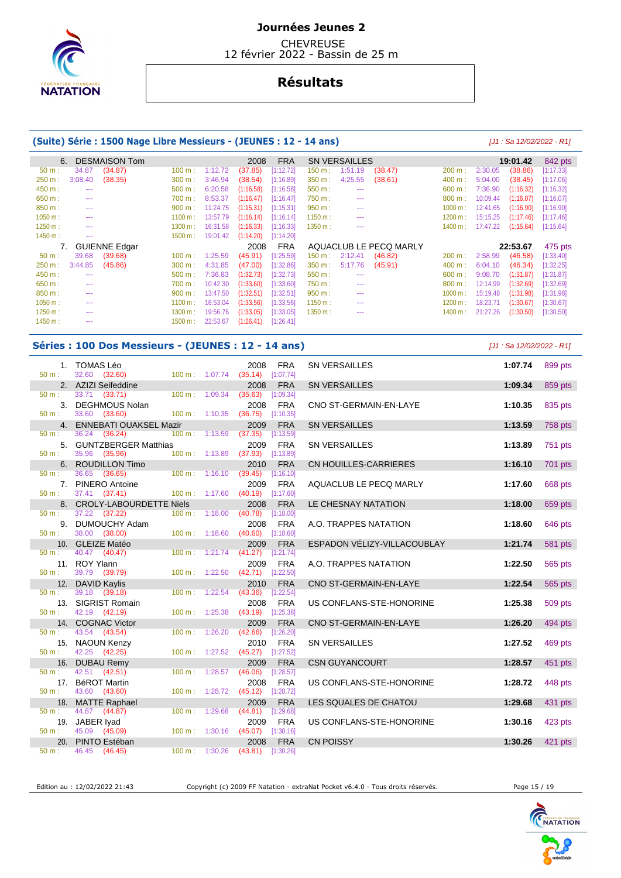

**CHEVREUSE** 12 février 2022 - Bassin de 25 m

# **Résultats**

### **(Suite) Série : 1500 Nage Libre Messieurs - (JEUNES : 12 - 14 ans)** [J1 : Sa 12/02/2022 - R1]

| 6.       |         | <b>DESMAISON Tom</b>            |         |          | 2008      | <b>FRA</b> |         | <b>SN VERSAILLES</b> |                        |         |          | 19:01.42  | 842 pts              |
|----------|---------|---------------------------------|---------|----------|-----------|------------|---------|----------------------|------------------------|---------|----------|-----------|----------------------|
| 50 m:    | 34.87   | (34.87)                         | 100 m:  | 1:12.72  | (37.85)   | [1:12.72]  | 150 m:  | 1:51.19              | (38.47)                | 200 m:  | 2:30.05  | (38.86)   | [1:17.33]            |
| 250 m:   | 3:08.40 | (38.35)                         | 300 m:  | 3:46.94  | (38.54)   | [1:16.89]  | 350 m:  | 4:25.55              | (38.61)                | 400 m:  | 5:04.00  | (38.45)   | [1:17.06]            |
| 450 m:   | ---     |                                 | 500 m:  | 6:20.58  | (1:16.58) | [1:16.58]  | 550 m:  | $- - -$              |                        | 600 m:  | 7:36.90  | (1:16.32) | [1:16.32]            |
| 650 m:   | ---     |                                 | 700 m:  | 8:53.37  | (1:16.47) | [1:16.47]  | 750 m:  | $- - -$              |                        | 800 m:  | 10:09.44 | (1:16.07) | [1:16.07]            |
| 850 m:   | ---     |                                 | 900 m:  | 11:24.75 | (1:15.31) | [1:15.31]  | 950 m:  | $- - -$              |                        | 1000 m: | 12:41.65 | (1:16.90) | [1:16.90]            |
| 1050 m:  | ---     |                                 | 1100 m: | 13:57.79 | (1:16.14) | [1:16.14]  | 1150 m: | ---                  |                        | 1200 m: | 15:15.25 | (1:17.46) | [1:17.46]            |
| 1250 m:  | ---     |                                 | 1300 m: | 16:31.58 | (1:16.33) | [1:16.33]  | 1350 m: | $- - -$              |                        | 1400 m: | 17:47.22 | (1:15.64) | [1:15.64]            |
| 1450 m:  | ---     |                                 | 1500 m: | 19:01.42 | (1:14.20) | [1:14.20]  |         |                      |                        |         |          |           |                      |
|          |         |                                 |         |          |           |            |         |                      |                        |         |          |           |                      |
|          |         |                                 |         |          | 2008      | <b>FRA</b> |         |                      | AQUACLUB LE PECQ MARLY |         |          | 22:53.67  |                      |
| $50 m$ : | 39.68   | <b>GUIENNE Edgar</b><br>(39.68) | 100 m:  | 1:25.59  | (45.91)   | [1:25.59]  | 150 m : | 2:12.41              | (46.82)                | 200 m:  | 2:58.99  | (46.58)   | 475 pts<br>[1:33.40] |
| 250 m:   | 3:44.85 | (45.86)                         | 300 m:  | 4:31.85  | (47.00)   | [1:32.86]  | 350 m:  | 5:17.76              | (45.91)                | 400 m:  | 6:04.10  | (46.34)   | [1:32.25]            |
| 450 m:   | ---     |                                 | 500 m:  | 7:36.83  | (1:32.73) | [1:32.73]  | 550 m:  | $- - -$              |                        | 600 m:  | 9:08.70  | (1:31.87) | 1:31.87              |
| 650 m:   | ---     |                                 | 700 m:  | 10:42.30 | (1:33.60) | [1:33.60]  | 750 m:  | $- - -$              |                        | 800 m:  | 12:14.99 | (1:32.69) | [1:32.69]            |
| 850 m:   | ---     |                                 | 900 m:  | 13:47.50 | (1:32.51) | [1:32.51]  | 950 m:  | $- - -$              |                        | 1000 m: | 15:19.48 | (1:31.98) | [1:31.98]            |
| 1050 m:  | ---     |                                 | 1100 m: | 16:53.04 | (1:33.56) | [1:33.56]  | 1150 m: | $- - -$              |                        | 1200 m: | 18:23.71 | (1:30.67) | [1:30.67]            |
| 1250 m:  | ---     |                                 | 1300 m: | 19:56.76 | (1:33.05) | [1:33.05]  | 1350 m: | ---                  |                        | 1400 m: | 21:27.26 | (1:30.50) | [1:30.50]            |
| 1450 m:  | ---     |                                 | 1500 m: | 22:53.67 | (1:26.41) | [1:26.41]  |         |                      |                        |         |          |           |                      |

#### **Séries : 100 Dos Messieurs - (JEUNES : 12 - 14 ans)** [J1 : Sa 12/02/2022 - R1]

| 50 m :           | 1. TOMAS Léo<br>32.60 (32.60)            | $100 m$ : 1:07.74         | 2008<br>$(35.14)$ [1:07.74] | <b>FRA</b>              | <b>SN VERSAILLES</b>        | 1:07.74 | 899 pts        |
|------------------|------------------------------------------|---------------------------|-----------------------------|-------------------------|-----------------------------|---------|----------------|
|                  | 2. AZIZI Seifeddine                      |                           | 2008                        | <b>FRA</b>              | <b>SN VERSAILLES</b>        | 1:09.34 | 859 pts        |
| 50 m :           | 33.71 (33.71)                            | 100 m: 1:09.34            | (35.63)                     | [1:09.34]               |                             |         |                |
|                  | 3. DEGHMOUS Nolan                        |                           | 2008                        | <b>FRA</b>              | CNO ST-GERMAIN-EN-LAYE      | 1:10.35 | 835 pts        |
| 50 m :           | 33.60 (33.60)                            | $100 \text{ m}$ : 1:10.35 | (36.75)                     | [1:10.35]               |                             |         |                |
|                  | 4. ENNEBATI OUAKSEL Mazir                |                           | 2009                        | <b>FRA</b>              | <b>SN VERSAILLES</b>        | 1:13.59 | 758 pts        |
| 50 m :           | 36.24 (36.24)                            | $100 m$ : 1:13.59         | (37.35)<br>2009             | [1:13.59]<br><b>FRA</b> |                             |         |                |
| 50 m : _         | 5. GUNTZBERGER Matthias<br>35.96 (35.96) | $100 \text{ m}: 1:13.89$  | (37.93)                     | [1:13.89]               | <b>SN VERSAILLES</b>        | 1:13.89 | 751 pts        |
| 6.               | <b>ROUDILLON Timo</b>                    |                           | 2010                        | <b>FRA</b>              | CN HOUILLES-CARRIERES       | 1:16.10 | 701 pts        |
| 50 m:            | 36.65 (36.65)                            | $100 m$ : 1:16.10         | (39.45)                     | [1:16.10]               |                             |         |                |
|                  | 7. PINERO Antoine                        |                           | 2009                        | <b>FRA</b>              | AQUACLUB LE PECQ MARLY      | 1:17.60 | 668 pts        |
| $50 \text{ m}$ : | 37.41 (37.41)                            | 100 m: 1:17.60            | $(40.19)$ [1:17.60]         |                         |                             |         |                |
|                  | 8. CROLY-LABOURDETTE Niels               |                           | 2008                        | <b>FRA</b>              | LE CHESNAY NATATION         | 1:18.00 | 659 pts        |
| 50 m :           | 37.22 (37.22)                            | $100 m$ : 1:18.00         | (40.78)                     | [1:18.00]               |                             |         |                |
| 50 m :           | 9. DUMOUCHY Adam<br>38.00 (38.00)        | 100 m: 1:18.60            | 2008<br>(40.60)             | <b>FRA</b><br>[1:18.60] | A.O. TRAPPES NATATION       | 1:18.60 | 646 pts        |
|                  | 10. GLEIZE Matéo                         |                           | 2009                        | <b>FRA</b>              | ESPADON VÉLIZY-VILLACOUBLAY | 1:21.74 | <b>581 pts</b> |
| $50 m$ :         | 40.47 (40.47)                            | 100 m: 1:21.74            | (41.27)                     | [1:21.74]               |                             |         |                |
|                  | 11. ROY Ylann                            |                           | 2009                        | <b>FRA</b>              | A.O. TRAPPES NATATION       | 1:22.50 | 565 pts        |
| $50 m$ :         | 39.79 (39.79)                            | $100 m$ : 1:22.50         | (42.71)                     | [1:22.50]               |                             |         |                |
|                  | 12. DAVID Kaylis                         |                           | 2010                        | <b>FRA</b>              | CNO ST-GERMAIN-EN-LAYE      | 1:22.54 | 565 pts        |
| 50 m:            | 39.18 (39.18)                            | 100 m: 1:22.54            | (43.36)                     | [1:22.54]               |                             |         |                |
|                  | 13. SIGRIST Romain                       |                           | 2008                        | <b>FRA</b>              | US CONFLANS-STE-HONORINE    | 1:25.38 | 509 pts        |
| $50 m$ :         | 42.19 (42.19)                            | 100 m: 1:25.38            | $(43.19)$ [1:25.38]         |                         |                             |         |                |
| 50 m :           | 14. COGNAC Victor<br>43.54 (43.54)       | 100 m: 1:26.20            | 2009<br>(42.66)             | <b>FRA</b><br>[1:26.20] | CNO ST-GERMAIN-EN-LAYE      | 1:26.20 | 494 pts        |
|                  | 15. NAOUN Kenzy                          |                           | 2010                        | <b>FRA</b>              | SN VERSAILLES               | 1:27.52 | 469 pts        |
| 50 m :           | 42.25 (42.25)                            | $100 m$ : 1:27.52         | $(45.27)$ [1:27.52]         |                         |                             |         |                |
| 16.              | <b>DUBAU Remv</b>                        |                           | 2009                        | <b>FRA</b>              | <b>CSN GUYANCOURT</b>       | 1:28.57 | 451 pts        |
| 50 m:            | 42.51 (42.51)                            | 100 m: 1:28.57            | (46.06)                     | [1:28.57]               |                             |         |                |
|                  | 17. BéROT Martin                         |                           | 2008                        | <b>FRA</b>              | US CONFLANS-STE-HONORINE    | 1:28.72 | 448 pts        |
| $50 m$ :         | 43.60 (43.60)                            | 100 m: 1:28.72            | $(45.12)$ [1:28.72]         |                         |                             |         |                |
|                  | 18. MATTE Raphael                        |                           | 2009                        | <b>FRA</b>              | LES SQUALES DE CHATOU       | 1:29.68 | 431 pts        |
| 50 m:            | 44.87 (44.87)                            | $100 m$ : 1:29.68         | (44.81)                     | [1:29.68]               |                             |         |                |
| 19.<br>$50 m$ :  | JABER Iyad<br>45.09 (45.09)              | 100 m: 1:30.16            | 2009<br>$(45.07)$ [1:30.16] | <b>FRA</b>              | US CONFLANS-STE-HONORINE    | 1:30.16 | 423 pts        |
| 20.              | PINTO Estéban                            |                           | 2008                        | <b>FRA</b>              | <b>CN POISSY</b>            | 1:30.26 | 421 pts        |
| 50 m:            | 46.45 (46.45)                            | $100 m$ : 1:30.26         | $(43.81)$ [1:30.26]         |                         |                             |         |                |

Edition au : 12/02/2022 21:43 Copyright (c) 2009 FF Natation - extraNat Pocket v6.4.0 - Tous droits réservés. Page 15 / 19

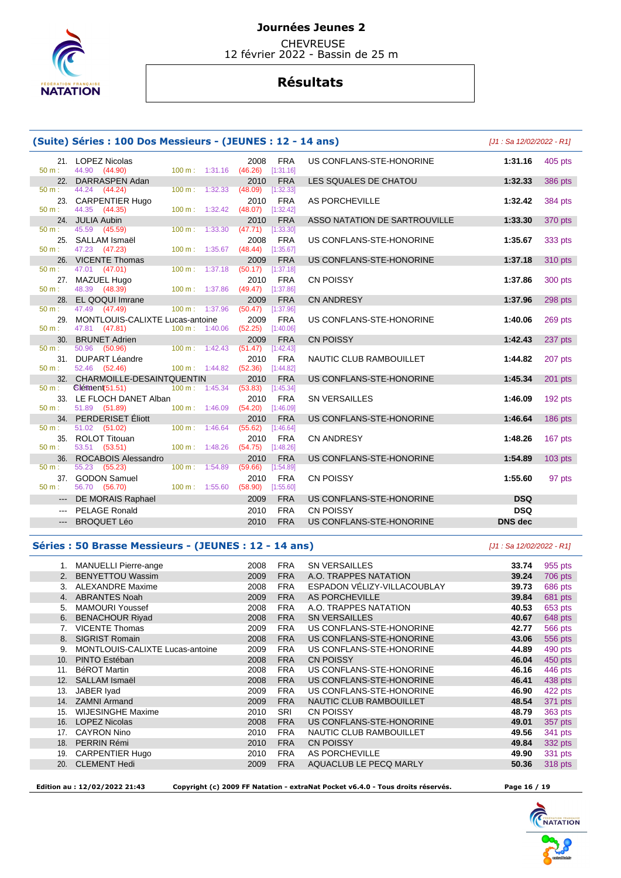

 CHEVREUSE 12 février 2022 - Bassin de 25 m

## **Résultats**

|                     | (Suite) Séries : 100 Dos Messieurs - (JEUNES : 12 - 14 ans)                                           |                                                                    |                                       | [J1 : Sa 12/02/2022 - R1]    |                |
|---------------------|-------------------------------------------------------------------------------------------------------|--------------------------------------------------------------------|---------------------------------------|------------------------------|----------------|
| $50 m$ :            | 21. LOPEZ Nicolas<br>$100 m$ : 1:31.16<br>44.90 (44.90)                                               | <b>FRA</b><br>2008<br>$(46.26)$ [1:31.16]                          | US CONFLANS-STE-HONORINE              | 1:31.16                      | 405 pts        |
| $50 m$ :            | 22. DARRASPEN Adan<br>44.24 (44.24)<br>1:32.33<br>100 m:                                              | 2010<br><b>FRA</b><br>(48.09)<br>[1:32.33]                         | LES SQUALES DE CHATOU                 | 1:32.33                      | 386 pts        |
| 23.                 | <b>CARPENTIER Hugo</b>                                                                                | <b>FRA</b><br>2010                                                 | AS PORCHEVILLE                        | 1:32.42                      | 384 pts        |
| $50 m$ :            | 44.35 (44.35)<br>1:32.42<br>100 m:<br>24. JULIA Aubin                                                 | [1:32.42]<br>(48.07)<br><b>FRA</b><br>2010                         | ASSO NATATION DE SARTROUVILLE         | 1:33.30                      | 370 pts        |
| $50 m$ :            | 45.59<br>$100 \text{ m}$ : 1:33.30<br>(45.59)<br>25. SALLAM Ismaël                                    | [1:33.30]<br>(47.71)<br><b>FRA</b><br>2008                         | US CONFLANS-STE-HONORINE              | 1:35.67                      | 333 pts        |
| $50 m$ :<br>26.     | 47.23 (47.23)<br>1:35.67<br>100 m:<br><b>VICENTE Thomas</b>                                           | [1:35.67]<br>(48.44)<br><b>FRA</b><br>2009                         | US CONFLANS-STE-HONORINE              | 1:37.18                      | 310 pts        |
| $50 m$ :            | 47.01 (47.01)<br>1:37.18<br>100 m:<br>27. MAZUEL Hugo                                                 | (50.17)<br>[1:37.18]<br>2010<br><b>FRA</b>                         | CN POISSY                             | 1:37.86                      | 300 pts        |
| $50 m$ :            | 48.39 (48.39)<br>100 m: 1:37.86<br>28. EL QOQUI Imrane                                                | $(49.47)$ [1:37.86]<br>2009<br><b>FRA</b>                          | <b>CN ANDRESY</b>                     | 1:37.96                      | 298 pts        |
| $50 m$ :            | 47.49 (47.49)<br>100 m: 1:37.96                                                                       | $(50.47)$ [1:37.96]                                                |                                       |                              |                |
| 29.<br>$50 m$ :     | MONTLOUIS-CALIXTE Lucas-antoine<br>100 m: 1:40.06<br>47.81 (47.81)                                    | 2009<br><b>FRA</b><br>(52.25)<br>[1:40.06]                         | US CONFLANS-STE-HONORINE              | 1:40.06                      | 269 pts        |
| $50 m$ :            | 30. BRUNET Adrien<br>50.96 (50.96)<br>$100 \text{ m}: 1:42.43$                                        | <b>FRA</b><br>2009<br>(51.47)<br>[1:42.43]                         | <b>CN POISSY</b>                      | 1:42.43                      | 237 pts        |
| $50 \text{ m}$ :    | 31. DUPART Léandre<br>52.46 (52.46)<br>$100 m$ : $1:44.82$                                            | 2010<br><b>FRA</b><br>(52.36)<br>[1:44.82]                         | NAUTIC CLUB RAMBOUILLET               | 1:44.82                      | 207 pts        |
|                     | 32. CHARMOILLE-DESAINTQUENTIN                                                                         | <b>FRA</b><br>2010                                                 | US CONFLANS-STE-HONORINE              | 1:45.34                      | $201$ pts      |
| 50 m:<br>$50 m$ :   | $\binom{5165}{1216}$<br>100 m: 1:45.34<br>33. LE FLOCH DANET Alban<br>51.89 (51.89)<br>100 m: 1:46.09 | (53.83)<br>[1:45.34]<br><b>FRA</b><br>2010<br>(54.20)<br>[1:46.09] | <b>SN VERSAILLES</b>                  | 1:46.09                      | 192 pts        |
| $50 m$ :            | 34. PERDERISET Éliott<br>51.02 (51.02)<br>1:46.64<br>100 m:                                           | 2010<br><b>FRA</b><br>(55.62)<br>[1:46.64]                         | US CONFLANS-STE-HONORINE              | 1:46.64                      | <b>186 pts</b> |
| 35.<br>50 m:        | <b>ROLOT Titouan</b><br>53.51 (53.51)<br>$100 \text{ m}$ :<br>1:48.26                                 | 2010<br><b>FRA</b><br>(54.75)<br>[1:48.26]                         | <b>CN ANDRESY</b>                     | 1:48.26                      | 167 pts        |
| 36.<br>$50 m$ :     | <b>ROCABOIS Alessandro</b><br>55.23 (55.23)<br>100 m: 1:54.89                                         | 2010<br><b>FRA</b><br>(59.66)<br>[1:54.89]                         | US CONFLANS-STE-HONORINE              | 1:54.89                      | $103$ pts      |
| 37.<br>$50 m$ :     | <b>GODON Samuel</b><br>56.70 (56.70)<br>100 m: 1:55.60                                                | 2010<br><b>FRA</b><br>(58.90)<br>[1:55.60]                         | <b>CN POISSY</b>                      | 1:55.60                      | 97 pts         |
| $\cdots$            | DE MORAIS Raphael                                                                                     | <b>FRA</b><br>2009                                                 | US CONFLANS-STE-HONORINE              | <b>DSQ</b>                   |                |
| $\qquad \qquad - -$ | <b>PELAGE Ronald</b><br><b>BROQUET Léo</b>                                                            | 2010<br><b>FRA</b><br>2010<br><b>FRA</b>                           | CN POISSY<br>US CONFLANS-STE-HONORINE | <b>DSQ</b><br><b>DNS</b> dec |                |
|                     |                                                                                                       |                                                                    |                                       |                              |                |

#### **Séries : 50 Brasse Messieurs - (JEUNES : 12 - 14 ans)** [J1 : Sa 12/02/2022 - R1]

|     | <b>MANUELLI Pierre-ange</b>     | 2008 | <b>FRA</b> | <b>SN VERSAILLES</b>           | 33.74 | 955 pts        |
|-----|---------------------------------|------|------------|--------------------------------|-------|----------------|
|     | 2. BENYETTOU Wassim             | 2009 | <b>FRA</b> | A.O. TRAPPES NATATION          | 39.24 | 706 pts        |
| 3.  | <b>ALEXANDRE Maxime</b>         | 2008 | <b>FRA</b> | ESPADON VÉLIZY-VILLACOUBLAY    | 39.73 | 686 pts        |
| 4.  | <b>ABRANTES Noah</b>            | 2009 | <b>FRA</b> | <b>AS PORCHEVILLE</b>          | 39.84 | 681 pts        |
| 5.  | <b>MAMOURI Youssef</b>          | 2008 | <b>FRA</b> | A.O. TRAPPES NATATION          | 40.53 | 653 pts        |
| 6.  | <b>BENACHOUR Rivad</b>          | 2008 | <b>FRA</b> | <b>SN VERSAILLES</b>           | 40.67 | 648 pts        |
|     | <b>VICENTE Thomas</b>           | 2009 | <b>FRA</b> | US CONFLANS-STE-HONORINE       | 42.77 | <b>566 pts</b> |
| 8.  | <b>SIGRIST Romain</b>           | 2008 | <b>FRA</b> | US CONFLANS-STE-HONORINE       | 43.06 | 556 pts        |
| 9.  | MONTLOUIS-CALIXTE Lucas-antoine | 2009 | <b>FRA</b> | US CONFLANS-STE-HONORINE       | 44.89 | 490 pts        |
| 10. | PINTO Estéban                   | 2008 | <b>FRA</b> | <b>CN POISSY</b>               | 46.04 | 450 pts        |
| 11. | BéROT Martin                    | 2008 | <b>FRA</b> | US CONFLANS-STE-HONORINE       | 46.16 | 446 pts        |
| 12. | SALLAM Ismaël                   | 2008 | <b>FRA</b> | US CONFLANS-STE-HONORINE       | 46.41 | 438 pts        |
| 13. | JABER Iyad                      | 2009 | <b>FRA</b> | US CONFLANS-STE-HONORINE       | 46.90 | 422 pts        |
| 14. | <b>ZAMNI Armand</b>             | 2009 | <b>FRA</b> | <b>NAUTIC CLUB RAMBOUILLET</b> | 48.54 | 371 pts        |
| 15. | <b>WIJESINGHE Maxime</b>        | 2010 | <b>SRI</b> | <b>CN POISSY</b>               | 48.79 | 363 pts        |
| 16. | <b>LOPEZ Nicolas</b>            | 2008 | <b>FRA</b> | US CONFLANS-STE-HONORINE       | 49.01 | 357 pts        |
| 17. | <b>CAYRON Nino</b>              | 2010 | <b>FRA</b> | NAUTIC CLUB RAMBOUILLET        | 49.56 | 341 pts        |
| 18. | PERRIN Rémi                     | 2010 | <b>FRA</b> | <b>CN POISSY</b>               | 49.84 | 332 pts        |
| 19. | <b>CARPENTIER Hugo</b>          | 2010 | <b>FRA</b> | <b>AS PORCHEVILLE</b>          | 49.90 | 331 pts        |
| 20. | <b>CLEMENT Hedi</b>             | 2009 | <b>FRA</b> | AQUACLUB LE PECQ MARLY         | 50.36 | 318 pts        |
|     |                                 |      |            |                                |       |                |

 **Edition au : 12/02/2022 21:43 Copyright (c) 2009 FF Natation - extraNat Pocket v6.4.0 - Tous droits réservés. Page 16 / 19** 

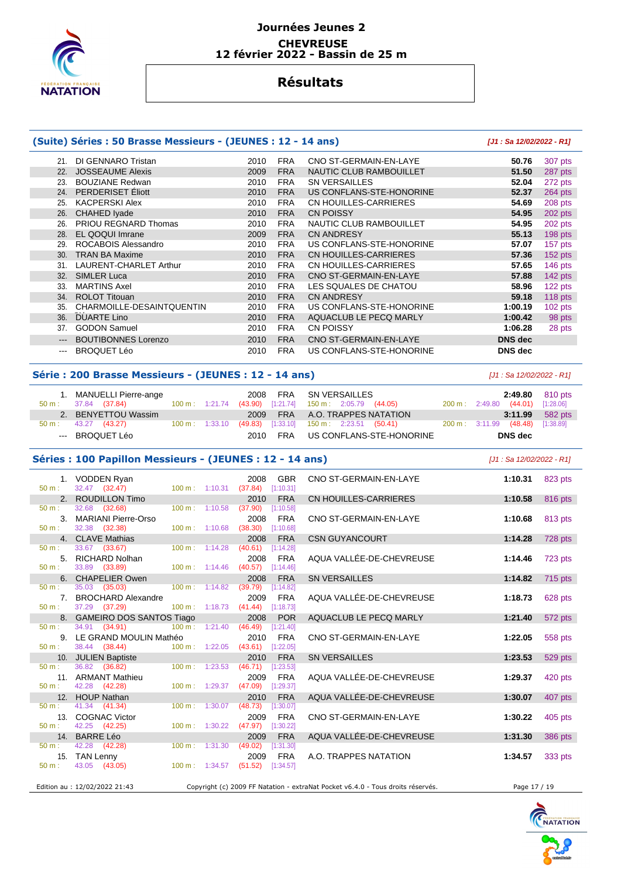

## **Résultats**

### **(Suite) Séries : 50 Brasse Messieurs - (JEUNES : 12 - 14 ans) [J1 : Sa 12/02/2022 - R1]**

| 21.   | DI GENNARO Tristan          | 2010 | <b>FRA</b> | CNO ST-GERMAIN-EN-LAYE   | 50.76          | 307 pts   |
|-------|-----------------------------|------|------------|--------------------------|----------------|-----------|
| 22.   | <b>JOSSEAUME Alexis</b>     | 2009 | <b>FRA</b> | NAUTIC CLUB RAMBOUILLET  | 51.50          | 287 pts   |
| 23.   | <b>BOUZIANE Redwan</b>      | 2010 | <b>FRA</b> | <b>SN VERSAILLES</b>     | 52.04          | 272 pts   |
| 24.   | PERDERISET Éliott           | 2010 | <b>FRA</b> | US CONFLANS-STE-HONORINE | 52.37          | 264 pts   |
| 25.   | <b>KACPERSKI Alex</b>       | 2010 | <b>FRA</b> | CN HOUILLES-CARRIERES    | 54.69          | 208 pts   |
| 26.   | <b>CHAHED Iyade</b>         | 2010 | <b>FRA</b> | <b>CN POISSY</b>         | 54.95          | 202 pts   |
| 26.   | <b>PRIOU REGNARD Thomas</b> | 2010 | <b>FRA</b> | NAUTIC CLUB RAMBOUILLET  | 54.95          | 202 pts   |
| 28.   | EL QOQUI Imrane             | 2009 | <b>FRA</b> | <b>CN ANDRESY</b>        | 55.13          | 198 pts   |
| 29.   | ROCABOIS Alessandro         | 2010 | <b>FRA</b> | US CONFLANS-STE-HONORINE | 57.07          | 157 pts   |
| 30.   | <b>TRAN BA Maxime</b>       | 2010 | <b>FRA</b> | CN HOUILLES-CARRIERES    | 57.36          | 152 pts   |
| 31.   | LAURENT-CHARLET Arthur      | 2010 | <b>FRA</b> | CN HOUILLES-CARRIERES    | 57.65          | 146 pts   |
| 32.   | <b>SIMLER Luca</b>          | 2010 | <b>FRA</b> | CNO ST-GERMAIN-EN-LAYE   | 57.88          | $142$ pts |
| 33.   | <b>MARTINS Axel</b>         | 2010 | <b>FRA</b> | LES SQUALES DE CHATOU    | 58.96          | 122 pts   |
| 34.   | <b>ROLOT Titouan</b>        | 2010 | <b>FRA</b> | <b>CN ANDRESY</b>        | 59.18          | 118 pts   |
| 35.   | CHARMOILLE-DESAINTQUENTIN   | 2010 | <b>FRA</b> | US CONFLANS-STE-HONORINE | 1:00.19        | 102 pts   |
| 36.   | <b>DUARTE Lino</b>          | 2010 | <b>FRA</b> | AQUACLUB LE PECQ MARLY   | 1:00.42        | 98 pts    |
| 37.   | <b>GODON Samuel</b>         | 2010 | <b>FRA</b> | <b>CN POISSY</b>         | 1:06.28        | 28 pts    |
| $---$ | <b>BOUTIBONNES Lorenzo</b>  | 2010 | <b>FRA</b> | CNO ST-GERMAIN-EN-LAYE   | <b>DNS</b> dec |           |
| $---$ | <b>BROQUET Léo</b>          | 2010 | <b>FRA</b> | US CONFLANS-STE-HONORINE | <b>DNS</b> dec |           |

#### **Série : 200 Brasse Messieurs - (JEUNES : 12 - 14 ans)** [J1 : Sa 12/02/2022 - R1]

| 1. MANUELLI Pierre-ange |  |  | 2008 FRA SN VERSAILLES<br>50 m : 37.84 (37.84) 100 m : 1:21.74 (43.90) [1:21.74] 150 m : 2:05.79 (44.05) | 200 m: 2:49.80 (44.01) [1:28.06] | <b>2:49.80</b> 810 pts |
|-------------------------|--|--|----------------------------------------------------------------------------------------------------------|----------------------------------|------------------------|
| 2. BENYETTOU Wassim     |  |  | 2009 FRA A.O. TRAPPES NATATION                                                                           |                                  | $3:11.99$ 582 pts      |
| 50 m : 43.27 (43.27)    |  |  | 100 m: 1:33.10  (49.83)  [1:33.10]  150 m: 2:23.51  (50.41)                                              | 200 m: 3:11.99 (48.48) [1:38.89] |                        |
| --- BROQUET Léo         |  |  | 2010 FRA US CONFLANS-STE-HONORINE                                                                        | DNS dec                          |                        |

#### **Séries : 100 Papillon Messieurs - (JEUNES : 12 - 14 ans)** [J1 : Sa 12/02/2022 - R1]

| 50 m:            | 1. VODDEN Ryan<br>32.47 (32.47)              | $100 m$ : 1:10.31         | 2008<br>(37.84)                  | <b>GBR</b><br>[1:10.31] | CNO ST-GERMAIN-EN-LAYE                                                          | 1:10.31      | 823 pts |
|------------------|----------------------------------------------|---------------------------|----------------------------------|-------------------------|---------------------------------------------------------------------------------|--------------|---------|
|                  | 2. ROUDILLON Timo                            |                           | 2010                             | <b>FRA</b>              | <b>CN HOUILLES-CARRIERES</b>                                                    | 1:10.58      | 816 pts |
| 50 m:            | 32.68 (32.68)                                | $100 \text{ m}$ : 1:10.58 | (37.90)                          | [1:10.58]               |                                                                                 |              |         |
|                  | 3. MARIANI Pierre-Orso                       |                           | 2008                             | <b>FRA</b>              | CNO ST-GERMAIN-EN-LAYE                                                          | 1:10.68      | 813 pts |
| 50 m:            | 32.38 (32.38)                                | 100 m: 1:10.68            | (38.30)                          | [1:10.68]               |                                                                                 |              |         |
|                  | 4. CLAVE Mathias                             |                           | 2008                             | <b>FRA</b>              | <b>CSN GUYANCOURT</b>                                                           | 1:14.28      | 728 pts |
| 50 m:            | 33.67 (33.67)                                | $100 m$ : $1:14.28$       | (40.61)                          | [1:14.28]               |                                                                                 |              |         |
|                  | 5. RICHARD Nolhan                            |                           | 2008                             | <b>FRA</b>              | AQUA VALLÉE-DE-CHEVREUSE                                                        | 1:14.46      | 723 pts |
| $50 \text{ m}$ : | 33.89 (33.89)                                | $100 \text{ m}$ : 1:14.46 | (40.57)                          | [1:14.46]               |                                                                                 |              |         |
|                  | 6. CHAPELIER Owen                            |                           | 2008                             | <b>FRA</b>              | <b>SN VERSAILLES</b>                                                            | 1:14.82      | 715 pts |
| 50 m:            | 35.03 (35.03)                                | 100 m: 1:14.82            | (39.79)                          | [1:14.82]               |                                                                                 |              |         |
|                  | 7. BROCHARD Alexandre                        |                           | 2009                             | <b>FRA</b>              | AQUA VALLÉE-DE-CHEVREUSE                                                        | 1:18.73      | 628 pts |
| 50 m:            | 37.29 (37.29)                                | 100 m: 1:18.73            | (41.44)                          | [1:18.73]               |                                                                                 |              |         |
| $50 \text{ m}$ : | 8. GAMEIRO DOS SANTOS Tiago<br>34.91 (34.91) | $100 \text{ m}: 1:21.40$  | 2008<br>(46.49)                  | <b>POR</b><br>[1:21.40] | AQUACLUB LE PECQ MARLY                                                          | 1:21.40      | 572 pts |
|                  | 9. LE GRAND MOULIN Mathéo                    |                           | 2010                             | <b>FRA</b>              | CNO ST-GERMAIN-EN-LAYE                                                          | 1:22.05      | 558 pts |
| 50 m:            | 38.44 (38.44)                                | 100 m: 1:22.05            | $(43.61)$ [1:22.05]              |                         |                                                                                 |              |         |
|                  | 10. JULIEN Baptiste                          |                           | 2010                             | <b>FRA</b>              | <b>SN VERSAILLES</b>                                                            | 1:23.53      | 529 pts |
| $50 m$ :         | 36.82 (36.82)                                | 100 m: 1:23.53            | (46.71)                          | [1:23.53]               |                                                                                 |              |         |
|                  | 11. ARMANT Mathieu                           |                           | 2009                             | <b>FRA</b>              | AQUA VALLÉE-DE-CHEVREUSE                                                        | 1:29.37      | 420 pts |
| $50 m$ :         | 42.28 (42.28)                                | 100 m: 1:29.37            | (47.09)                          | [1:29.37]               |                                                                                 |              |         |
|                  | 12. HOUP Nathan                              |                           | 2010                             | <b>FRA</b>              | AQUA VALLÉE-DE-CHEVREUSE                                                        | 1:30.07      | 407 pts |
| $50 \text{ m}$ : | 41.34 (41.34)                                | $100 \text{ m}$ : 1:30.07 | (48.73)                          | [1:30.07]               |                                                                                 |              |         |
|                  | 13. COGNAC Victor                            |                           | 2009                             | <b>FRA</b>              | CNO ST-GERMAIN-EN-LAYE                                                          | 1:30.22      | 405 pts |
| 50 m:            | 42.25 (42.25)                                | 100 m: 1:30.22            | (47.97)                          | [1:30.22]               |                                                                                 |              |         |
|                  | 14. BARRE Léo                                |                           | 2009                             | <b>FRA</b>              | AQUA VALLÉE-DE-CHEVREUSE                                                        | 1:31.30      | 386 pts |
| 50 m:            | 42.28 (42.28)                                | 100 m: 1:31.30            | (49.02)                          | [1:31.30]               |                                                                                 |              |         |
|                  | 15. TAN Lenny                                |                           | 2009                             | <b>FRA</b>              | A.O. TRAPPES NATATION                                                           | 1:34.57      | 333 pts |
| 50 m:            | 43.05 (43.05)                                |                           | 100 m: 1:34.57 (51.52) [1:34.57] |                         |                                                                                 |              |         |
|                  | Edition au : 12/02/2022 21:43                |                           |                                  |                         | Copyright (c) 2009 FF Natation - extraNat Pocket v6.4.0 - Tous droits réservés. | Page 17 / 19 |         |
|                  |                                              |                           |                                  |                         |                                                                                 |              |         |

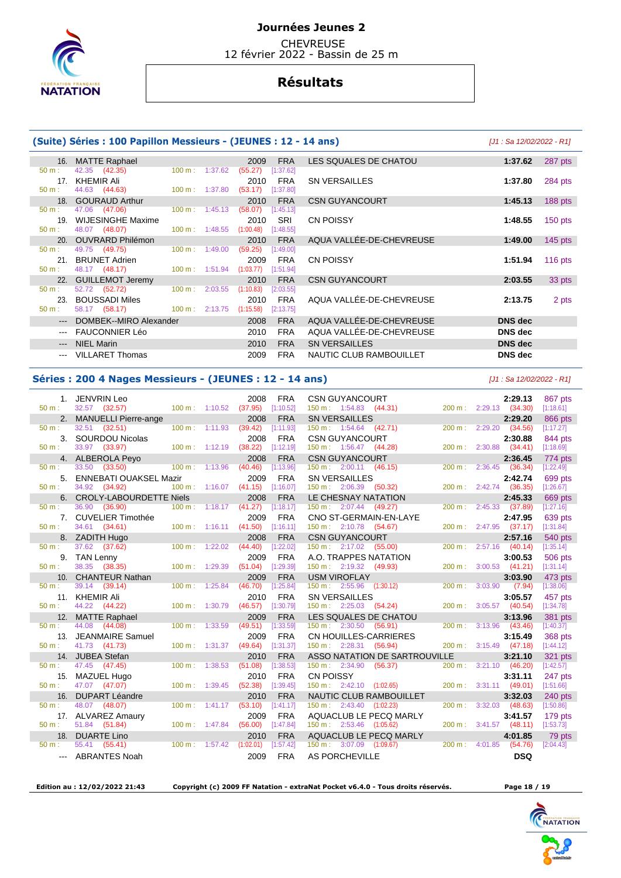

**CHEVREUSE** 12 février 2022 - Bassin de 25 m

## **Résultats**

#### **(Suite) Séries : 100 Papillon Messieurs - (JEUNES : 12 - 14 ans)** [J1 : Sa 12/02/2022 - R1] 16. MATTE Raphael 2009 FRA LES SQUALES DE CHATOU **1:37.62** 287 pts 50 m : 42.35 (42.35) 100 m : 1:37.62 (55.27) [1:37.62] 17. KHEMIR Ali 2010 FRA SN VERSAILLES **1:37.80** 284 pts  $(53.17)$   $[1:37.80]$ 18. GOURAUD Arthur 2010 FRA CSN GUYANCOURT 1:45.13 188 pts<br>
50 m : 47.06 (47.06) 100 m : 1:45.13 (58.07) [1:45.13] 47.06 (47.06) 100 m : 1:45.13 (58.07) [1:45.13] 19. WIJESINGHE Maxime 2010 SRI CN POISSY **1:48.55** 150 pts 50 m : 48.07 (48.07) 100 m : 1:48.55 (1:00.48) [1:48.55] 20. OUVRARD Philémon 2010 FRA AQUA VALLÉE-DE-CHEVREUSE **1:49.00** 145 pts 49.75 (49.75) 21. BRUNET Adrien 2009 FRA CN POISSY **1:51.94** 116 pts 1:51.94 22. GUILLEMOT Jeremy 2010 FRA CSN GUYANCOURT 2:03.55 33 pts<br>
50 m : 52.72 (52.72) 100 m : 2:03.55 (1:10.83) [2:03.55] 52.72 (52.72) 23. BOUSSADI Miles 2010 FRA AQUA VALLÉE-DE-CHEVREUSE **2:13.75** 2 pts 50 m : 58.17 (58.17) 100 m : 2:13.75 (1:15.58) [2:13.75] --- DOMBEK--MIRO Alexander 2008 FRA AQUA VALLÉE-DE-CHEVREUSE **DNS dec**  --- FAUCONNIER Léo 2010 FRA AQUA VALLÉE-DE-CHEVREUSE **DNS dec**  --- NIEL Marin 2010 FRA SN VERSAILLES **DNS dec**  --- VILLARET Thomas 2009 FRA NAUTIC CLUB RAMBOUILLET **DNS dec**

#### **Séries : 200 4 Nages Messieurs - (JEUNES : 12 - 14 ans)** [J1 : Sa 12/02/2022 - R1]

|                 | 1. JENVRIN Leo                    |                           |         | 2008            | <b>FRA</b>              | <b>CSN GUYANCOURT</b>                |                               |                           | 2:29.13                             |                      |
|-----------------|-----------------------------------|---------------------------|---------|-----------------|-------------------------|--------------------------------------|-------------------------------|---------------------------|-------------------------------------|----------------------|
| $50 m$ :        | 32.57 (32.57)                     | 100 m: 1:10.52            |         | (37.95)         | [1:10.52]               | $150 \text{ m}: 1:54.83$ (44.31)     |                               |                           | 200 m: 2:29.13 (34.30)              | 867 pts<br>[1:18.61] |
| 2.              | <b>MANUELLI Pierre-ange</b>       |                           |         | 2008            | <b>FRA</b>              | <b>SN VERSAILLES</b>                 |                               |                           | 2:29.20                             | 866 pts              |
| $50 m$ :        | 32.51 (32.51)                     | 100 m: 1:11.93            |         | (39.42)         | [1:11.93]               | $150 \text{ m}: 1:54.64$ (42.71)     |                               | $200 \text{ m}$ :         | 2:29.20<br>(34.56)                  | [1:17.27]            |
| 3.              | <b>SOURDOU Nicolas</b>            |                           |         | 2008            | <b>FRA</b>              | <b>CSN GUYANCOURT</b>                |                               |                           | 2:30.88                             | 844 pts              |
| $50 m$ :        | 33.97 (33.97)                     | $100 m$ : 1:12.19         |         | (38.22)         | [1:12.19]               | 150 m: 1:56.47 (44.28)               |                               |                           | 200 m: 2:30.88 (34.41)              | [1:18.69]            |
|                 | 4. ALBEROLA Peyo                  |                           |         | 2008            | <b>FRA</b>              | <b>CSN GUYANCOURT</b>                |                               |                           | 2:36.45                             | 774 pts              |
| 50 m:           | 33.50 (33.50)                     | 100 m: 1:13.96            |         | (40.46)         | [1:13.96]               | $150 \text{ m}: 2:00.11 (46.15)$     |                               | 200 m:                    | $2:36.45$ (36.34)                   | [1:22.49]            |
| 5.              | <b>ENNEBATI OUAKSEL Mazir</b>     |                           |         | 2009            | <b>FRA</b>              | <b>SN VERSAILLES</b>                 |                               |                           | 2:42.74                             | 699 pts              |
| $50 m$ :        | 34.92 (34.92)                     | 100 m: 1:16.07            |         | (41.15)         | [1:16.07]               | 150 m: 2:06.39 (50.32)               |                               |                           | 200 m: 2:42.74 (36.35)              | [1:26.67]            |
| 6.              | <b>CROLY-LABOURDETTE Niels</b>    |                           |         | 2008            | <b>FRA</b>              |                                      | LE CHESNAY NATATION           |                           | 2:45.33                             | 669 pts              |
| 50 m:           | 36.90<br>(36.90)                  | 100 m: 1:18.17            |         | (41.27)         | [1:18.17]               | 150 m : 2:07.44 (49.27)              |                               | 200 m:                    | 2:45.33 (37.89)                     | [1:27.16]            |
| 7.              | <b>CUVELIER Timothée</b>          |                           |         | 2009            | <b>FRA</b>              |                                      | CNO ST-GERMAIN-EN-LAYE        |                           | 2:47.95                             | 639 pts              |
| $50 m$ :        | 34.61 (34.61)                     | $100 \text{ m}: 1:16.11$  |         | (41.50)         | [1:16.11]               | 150 m: 2:10.78 (54.67)               |                               |                           | 200 m: 2:47.95 (37.17)              | [1:31.84]            |
|                 | 8. ZADITH Hugo                    |                           |         | 2008            | <b>FRA</b>              | <b>CSN GUYANCOURT</b>                |                               |                           | 2:57.16                             | 540 pts              |
| $50 m$ :        | 37.62 (37.62)                     | $100 m$ : 1:22.02         |         | (44.40)         | [1:22.02]               | 150 m: 2:17.02 (55.00)               |                               |                           | $200 \text{ m}: 2:57.16$ (40.14)    | [1:35.14]            |
| 9.              | <b>TAN Lenny</b>                  |                           |         | 2009            | <b>FRA</b>              |                                      | A.O. TRAPPES NATATION         |                           | 3:00.53                             | 506 pts              |
| $50 m$ :        | 38.35 (38.35)                     | 100 m: 1:29.39            |         | (51.04)         | [1:29.39]               | 150 m: 2:19.32 (49.93)               |                               |                           | 200 m: 3:00.53 (41.21)              | [1:31.14]            |
|                 | 10. CHANTEUR Nathan               |                           |         | 2009            | <b>FRA</b>              | <b>USM VIROFLAY</b>                  |                               |                           | 3:03.90                             | 473 pts              |
| $50 m$ :        | 39.14 (39.14)                     | $100 \text{ m}$ :         | 1:25.84 | (46.70)         | [1:25.84]               | 150 m: 2:55.96 (1:30.12)             |                               | 200 m : 3:03.90           |                                     | (7.94)<br>[1:38.06]  |
|                 | 11. KHEMIR Ali                    |                           |         | 2010            | <b>FRA</b>              | <b>SN VERSAILLES</b>                 |                               |                           | 3:05.57                             | 457 pts              |
| $50 m$ :        | 44.22 (44.22)                     | 100 m:                    | 1:30.79 | (46.57)         | [1:30.79]               | $150 \text{ m}: 2:25.03$ (54.24)     |                               |                           | 200 m: 3:05.57 (40.54)              | [1:34.78]            |
| 12.             | <b>MATTE Raphael</b>              |                           |         | 2009            | <b>FRA</b>              |                                      | LES SQUALES DE CHATOU         |                           | 3:13.96                             | 381 pts              |
| $50 m$ :        | 44.08<br>(44.08)                  | $100 \text{ m}$ :         | 1:33.59 | (49.51)<br>2009 | [1:33.59]               | $150 \text{ m}: 2:30.50$ (56.91)     |                               | 200 m:                    | $3:13.96$ (43.46)                   | [1:40.37]            |
| 13.<br>$50 m$ : | JEANMAIRE Samuel<br>41.73 (41.73) | $100 \text{ m}: 1:31.37$  |         | (49.64)         | <b>FRA</b><br>[1:31.37] | 150 m: 2:28.31 (56.94)               | <b>CN HOUILLES-CARRIERES</b>  |                           | 3:15.49<br>200 m: 3:15.49 (47.18)   | 368 pts<br>[1:44.12] |
|                 | 14. JUBEA Stefan                  |                           |         | 2010            | <b>FRA</b>              |                                      | ASSO NATATION DE SARTROUVILLE |                           | 3:21.10                             | 321 pts              |
| $50 m$ :        | 47.45 (47.45)                     | 100 m:                    | 1:38.53 | (51.08)         | [1:38.53]               | $150 \text{ m}: 2:34.90$             | (56.37)                       | 200 m:                    | $3:21.10$ (46.20)                   | [1:42.57]            |
| 15.             | MAZUEL Hugo                       |                           |         | 2010            | <b>FRA</b>              | <b>CN POISSY</b>                     |                               |                           | 3:31.11                             | 247 pts              |
| $50 m$ :        | 47.07 (47.07)                     | 100 m:                    | 1:39.45 | (52.38)         | [1:39.45]               | $150 \text{ m}: 2:42.10 (1:02.65)$   |                               |                           | 200 m: 3:31.11 (49.01)              | [1:51.66]            |
| 16.             | <b>DUPART Léandre</b>             |                           |         | 2010            | <b>FRA</b>              |                                      | NAUTIC CLUB RAMBOUILLET       |                           | 3:32.03                             | 240 pts              |
| 50 m:           | 48.07 (48.07)                     | 100 m:                    | 1:41.17 | (53.10)         | [1:41.17]               | $150 \text{ m}: 2:43.40$ $(1:02.23)$ |                               | $200 m$ :                 | 3:32.03<br>(48.63)                  | [1:50.86]            |
|                 | 17. ALVAREZ Amaury                |                           |         | 2009            | <b>FRA</b>              |                                      | AQUACLUB LE PECQ MARLY        |                           | 3:41.57                             | 179 pts              |
| $50 m$ :        | 51.84 (51.84)                     | $100 \text{ m}$ : 1:47.84 |         | (56.00)         | [1:47.84]               | 150 m: 2:53.46 (1:05.62)             |                               |                           | $200 \text{ m}: 3:41.57$<br>(48.11) | [1:53.73]            |
| 18.             | <b>DUARTE Lino</b>                |                           |         | 2010            | <b>FRA</b>              |                                      | AQUACLUB LE PECQ MARLY        |                           | 4:01.85                             | 79 pts               |
| $50 m$ :        | 55.41 (55.41)                     | $100 \text{ m}$ : 1:57.42 |         | (1:02.01)       | [1:57.42]               | 150 m: 3:07.09                       | (1:09.67)                     | $200 \text{ m}$ : 4:01.85 | (54.76)                             | [2:04.43]            |
|                 | ABRANTES Noah                     |                           |         | 2009            | <b>FRA</b>              | <b>AS PORCHEVILLE</b>                |                               |                           |                                     | <b>DSQ</b>           |

 **Edition au : 12/02/2022 21:43 Copyright (c) 2009 FF Natation - extraNat Pocket v6.4.0 - Tous droits réservés. Page 18 / 19**